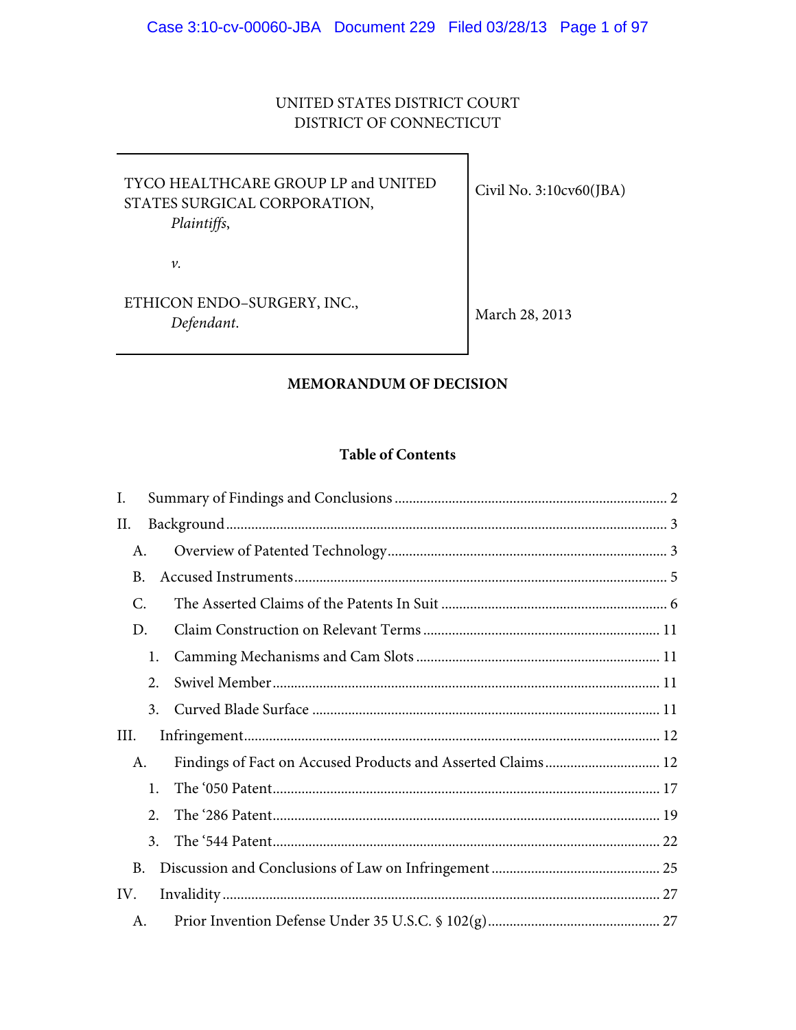# UNITED STATES DISTRICT COURT DISTRICT OF CONNECTICUT

| TYCO HEALTHCARE GROUP LP and UNITED<br>STATES SURGICAL CORPORATION,<br>Plaintiffs, | Civil No. $3:10c\sqrt{60}$ (JBA) |
|------------------------------------------------------------------------------------|----------------------------------|
| ν.                                                                                 |                                  |
| ETHICON ENDO-SURGERY, INC.,<br>Defendant.                                          | March 28, 2013                   |

# **MEMORANDUM OF DECISION**

# **Table of Contents**

| I.   |    |                                                             |  |
|------|----|-------------------------------------------------------------|--|
| П.   |    |                                                             |  |
| A.   |    |                                                             |  |
| B.   |    |                                                             |  |
| C.   |    |                                                             |  |
| D.   |    |                                                             |  |
|      | 1. |                                                             |  |
|      | 2. |                                                             |  |
|      | 3. |                                                             |  |
| III. |    |                                                             |  |
| A.   |    | Findings of Fact on Accused Products and Asserted Claims 12 |  |
|      | 1. |                                                             |  |
|      | 2. |                                                             |  |
|      | 3. |                                                             |  |
| B.   |    |                                                             |  |
| IV.  |    |                                                             |  |
| A.   |    |                                                             |  |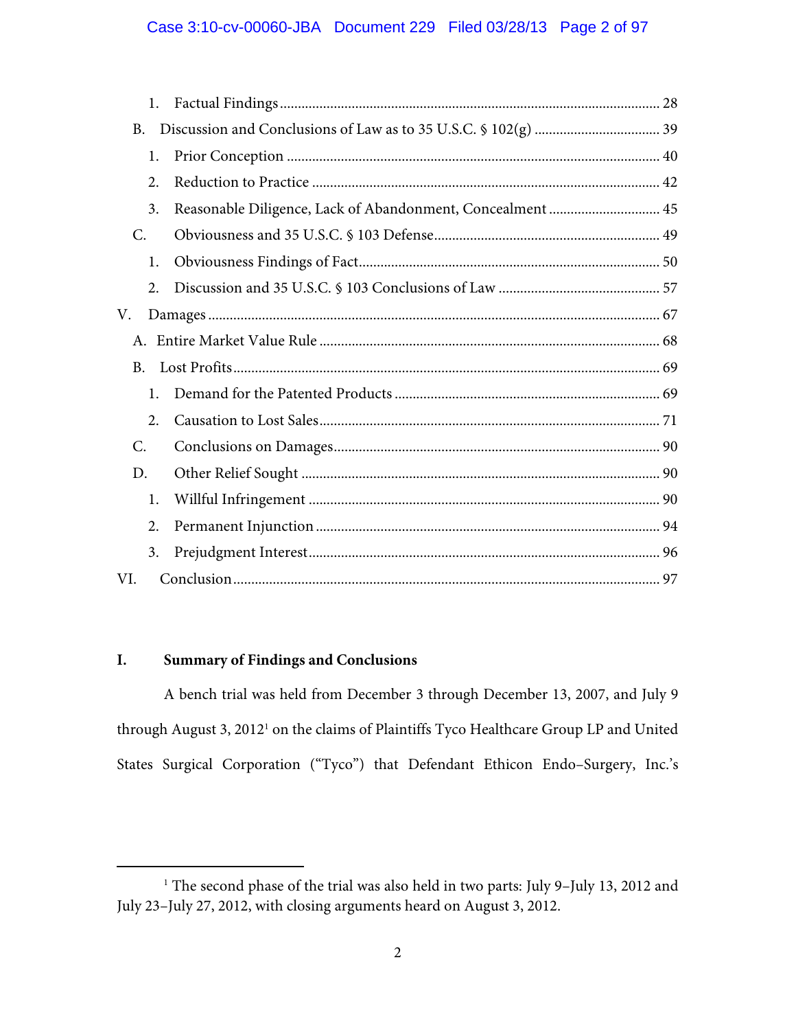## Case 3:10-cv-00060-JBA Document 229 Filed 03/28/13 Page 2 of 97

| 1.  |                                                            |  |
|-----|------------------------------------------------------------|--|
| B.  |                                                            |  |
| 1.  |                                                            |  |
| 2.  |                                                            |  |
| 3.  | Reasonable Diligence, Lack of Abandonment, Concealment  45 |  |
| C.  |                                                            |  |
| 1.  |                                                            |  |
| 2.  |                                                            |  |
| V.  |                                                            |  |
|     |                                                            |  |
| B.  |                                                            |  |
| 1.  |                                                            |  |
| 2.  |                                                            |  |
| C.  |                                                            |  |
| D.  |                                                            |  |
| 1.  |                                                            |  |
| 2.  |                                                            |  |
| 3.  |                                                            |  |
| VI. |                                                            |  |

## **I. Summary of Findings and Conclusions**

A bench trial was held from December 3 through December 13, 2007, and July 9 through August 3, 2012<sup>1</sup> on the claims of Plaintiffs Tyco Healthcare Group LP and United States Surgical Corporation ("Tyco") that Defendant Ethicon Endo–Surgery, Inc.'s

<sup>&</sup>lt;u>1</u> <sup>1</sup> The second phase of the trial was also held in two parts: July 9-July 13, 2012 and July 23–July 27, 2012, with closing arguments heard on August 3, 2012.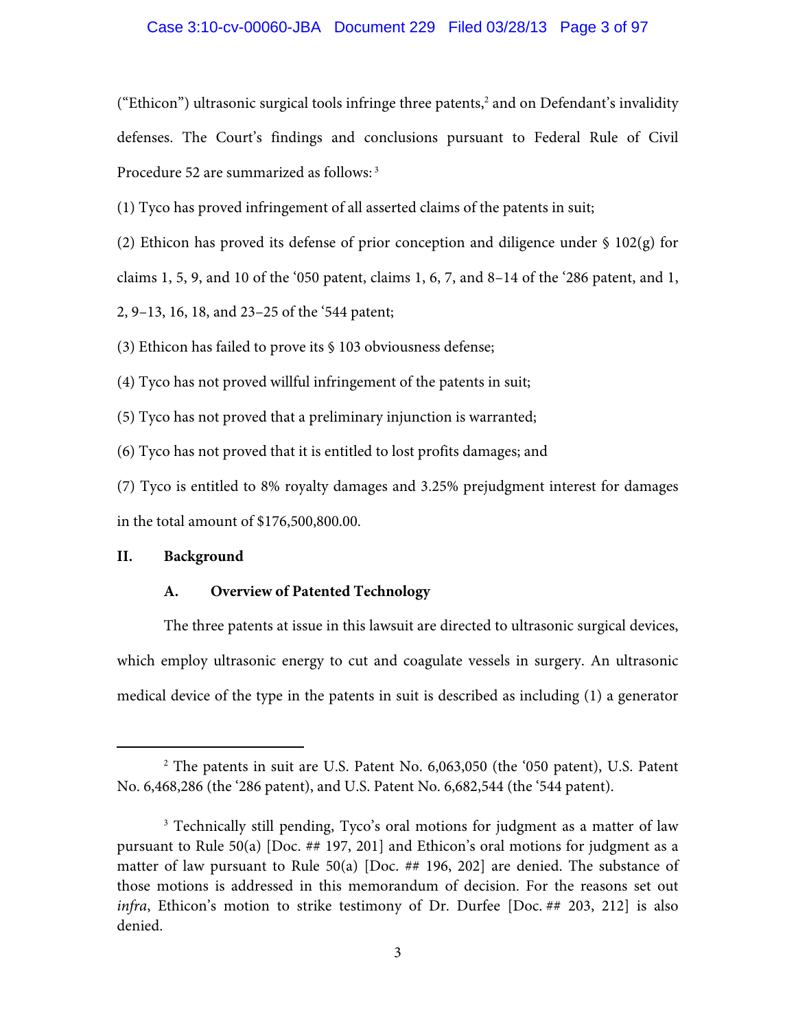## Case 3:10-cv-00060-JBA Document 229 Filed 03/28/13 Page 3 of 97

("Ethicon") ultrasonic surgical tools infringe three patents,<sup>2</sup> and on Defendant's invalidity defenses. The Court's findings and conclusions pursuant to Federal Rule of Civil Procedure 52 are summarized as follows: 3

(1) Tyco has proved infringement of all asserted claims of the patents in suit;

(2) Ethicon has proved its defense of prior conception and diligence under § 102(g) for

claims 1, 5, 9, and 10 of the '050 patent, claims 1, 6, 7, and 8–14 of the '286 patent, and 1,

2, 9–13, 16, 18, and 23–25 of the '544 patent;

(3) Ethicon has failed to prove its § 103 obviousness defense;

(4) Tyco has not proved willful infringement of the patents in suit;

(5) Tyco has not proved that a preliminary injunction is warranted;

(6) Tyco has not proved that it is entitled to lost profits damages; and

(7) Tyco is entitled to 8% royalty damages and 3.25% prejudgment interest for damages in the total amount of \$176,500,800.00.

### **II. Background**

### **A. Overview of Patented Technology**

The three patents at issue in this lawsuit are directed to ultrasonic surgical devices, which employ ultrasonic energy to cut and coagulate vessels in surgery. An ultrasonic medical device of the type in the patents in suit is described as including (1) a generator

 $\begin{array}{c|c}\n\hline\n\text{2}\n\end{array}$ <sup>2</sup> The patents in suit are U.S. Patent No. 6,063,050 (the '050 patent), U.S. Patent No. 6,468,286 (the '286 patent), and U.S. Patent No. 6,682,544 (the '544 patent).

<sup>&</sup>lt;sup>3</sup> Technically still pending, Tyco's oral motions for judgment as a matter of law pursuant to Rule 50(a) [Doc. ## 197, 201] and Ethicon's oral motions for judgment as a matter of law pursuant to Rule 50(a) [Doc. ## 196, 202] are denied. The substance of those motions is addressed in this memorandum of decision. For the reasons set out *infra*, Ethicon's motion to strike testimony of Dr. Durfee [Doc. ## 203, 212] is also denied.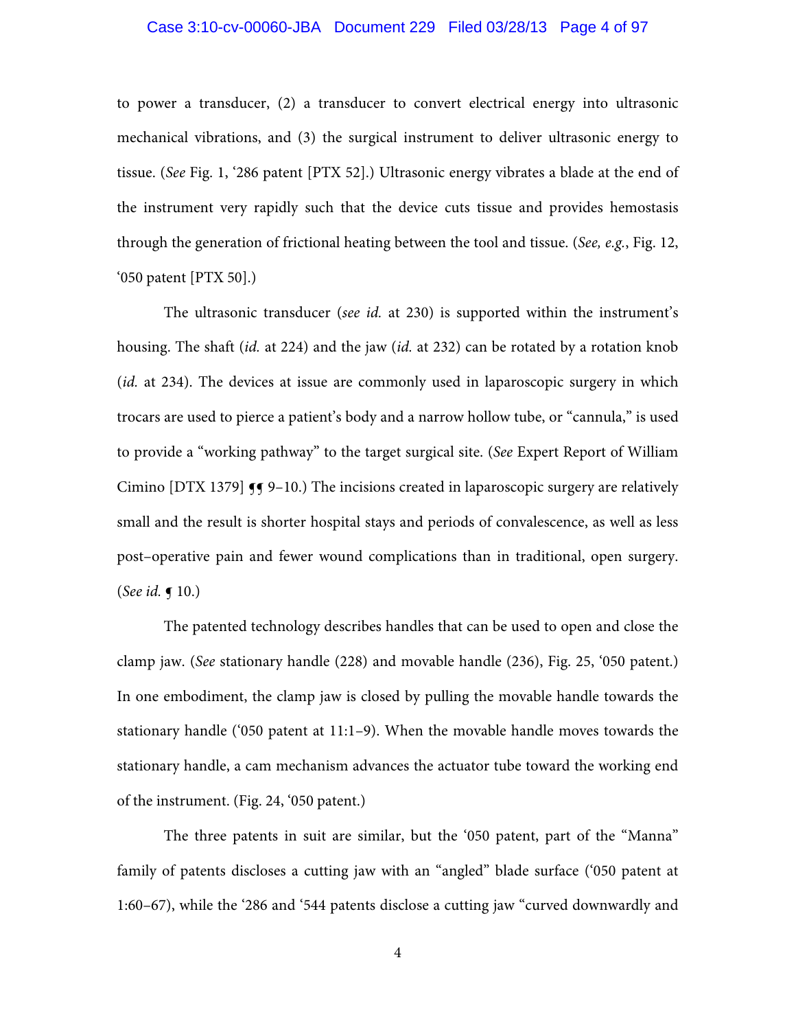### Case 3:10-cv-00060-JBA Document 229 Filed 03/28/13 Page 4 of 97

to power a transducer, (2) a transducer to convert electrical energy into ultrasonic mechanical vibrations, and (3) the surgical instrument to deliver ultrasonic energy to tissue. (*See* Fig. 1, '286 patent [PTX 52].) Ultrasonic energy vibrates a blade at the end of the instrument very rapidly such that the device cuts tissue and provides hemostasis through the generation of frictional heating between the tool and tissue. (*See, e.g.*, Fig. 12, '050 patent [PTX 50].)

The ultrasonic transducer (*see id.* at 230) is supported within the instrument's housing. The shaft (*id.* at 224) and the jaw (*id.* at 232) can be rotated by a rotation knob (*id.* at 234). The devices at issue are commonly used in laparoscopic surgery in which trocars are used to pierce a patient's body and a narrow hollow tube, or "cannula," is used to provide a "working pathway" to the target surgical site. (*See* Expert Report of William Cimino  $[DTX 1379]$   $\P$  9–10.) The incisions created in laparoscopic surgery are relatively small and the result is shorter hospital stays and periods of convalescence, as well as less post–operative pain and fewer wound complications than in traditional, open surgery. (*See id.* ¶ 10.)

The patented technology describes handles that can be used to open and close the clamp jaw. (*See* stationary handle (228) and movable handle (236), Fig. 25, '050 patent.) In one embodiment, the clamp jaw is closed by pulling the movable handle towards the stationary handle ('050 patent at 11:1–9). When the movable handle moves towards the stationary handle, a cam mechanism advances the actuator tube toward the working end of the instrument. (Fig. 24, '050 patent.)

The three patents in suit are similar, but the '050 patent, part of the "Manna" family of patents discloses a cutting jaw with an "angled" blade surface ('050 patent at 1:60–67), while the '286 and '544 patents disclose a cutting jaw "curved downwardly and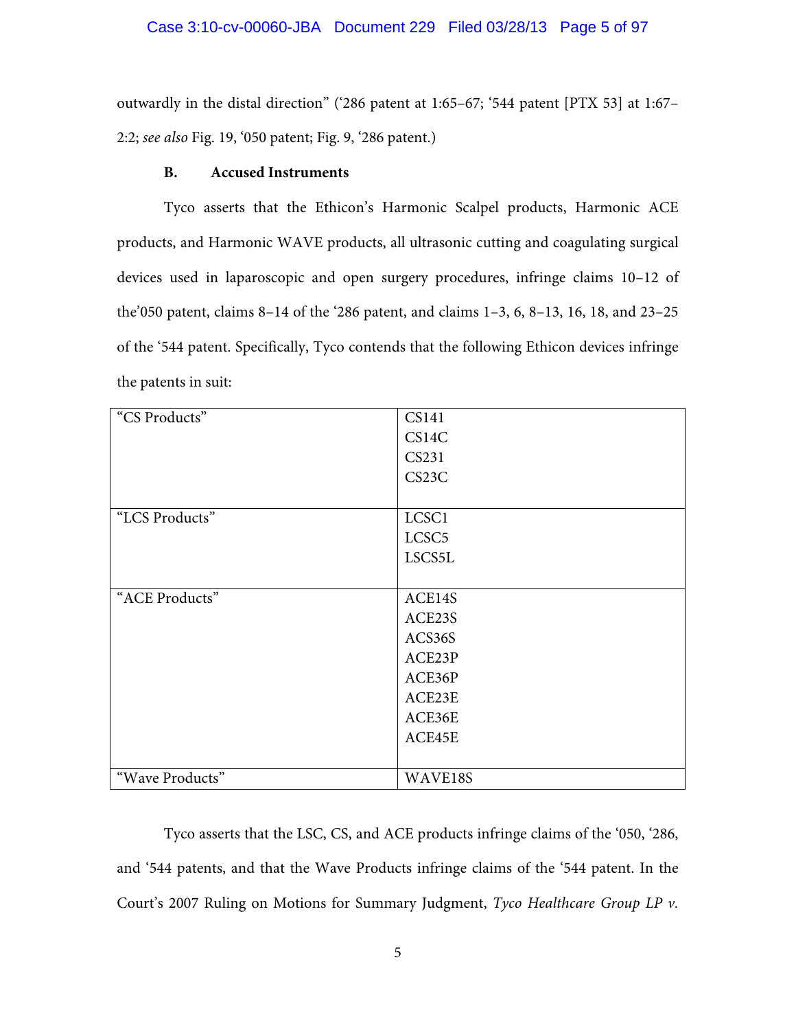outwardly in the distal direction" ('286 patent at 1:65–67; '544 patent [PTX 53] at 1:67– 2:2; *see also* Fig. 19, '050 patent; Fig. 9, '286 patent.)

## **B. Accused Instruments**

Tyco asserts that the Ethicon's Harmonic Scalpel products, Harmonic ACE products, and Harmonic WAVE products, all ultrasonic cutting and coagulating surgical devices used in laparoscopic and open surgery procedures, infringe claims 10–12 of the'050 patent, claims 8–14 of the '286 patent, and claims 1–3, 6, 8–13, 16, 18, and 23–25 of the '544 patent. Specifically, Tyco contends that the following Ethicon devices infringe the patents in suit:

| "CS Products"   | <b>CS141</b>       |
|-----------------|--------------------|
|                 | CS14C              |
|                 | CS231              |
|                 | CS <sub>23</sub> C |
|                 |                    |
| "LCS Products"  | LCSC1              |
|                 | LCSC <sub>5</sub>  |
|                 | LSCS5L             |
|                 |                    |
| "ACE Products"  | ACE14S             |
|                 | ACE23S             |
|                 | ACS36S             |
|                 | ACE23P             |
|                 | ACE36P             |
|                 | ACE23E             |
|                 | ACE36E             |
|                 | ACE45E             |
|                 |                    |
| "Wave Products" | WAVE18S            |

Tyco asserts that the LSC, CS, and ACE products infringe claims of the '050, '286, and '544 patents, and that the Wave Products infringe claims of the '544 patent. In the Court's 2007 Ruling on Motions for Summary Judgment, *Tyco Healthcare Group LP v.*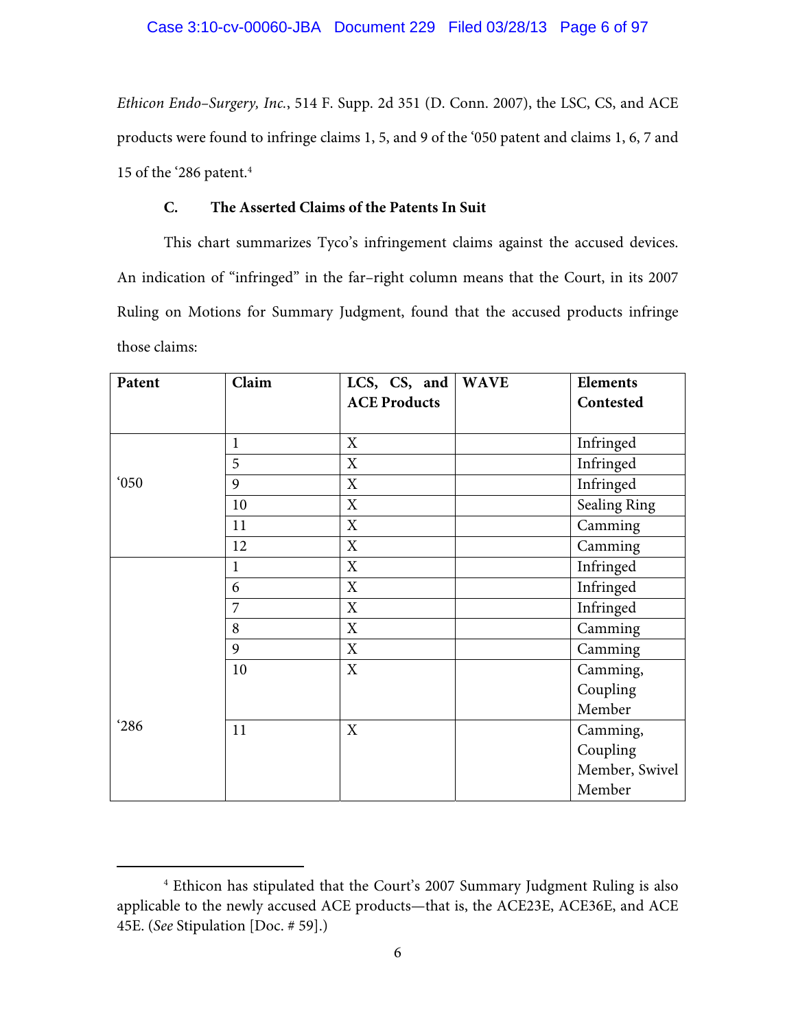*Ethicon Endo–Surgery, Inc.*, 514 F. Supp. 2d 351 (D. Conn. 2007), the LSC, CS, and ACE products were found to infringe claims 1, 5, and 9 of the '050 patent and claims 1, 6, 7 and 15 of the '286 patent.4

## **C. The Asserted Claims of the Patents In Suit**

This chart summarizes Tyco's infringement claims against the accused devices. An indication of "infringed" in the far–right column means that the Court, in its 2007 Ruling on Motions for Summary Judgment, found that the accused products infringe those claims:

| Patent         | Claim        | LCS, CS, and        | <b>WAVE</b> | <b>Elements</b>     |
|----------------|--------------|---------------------|-------------|---------------------|
|                |              | <b>ACE Products</b> |             | Contested           |
|                |              |                     |             |                     |
|                | $\mathbf{1}$ | X                   |             | Infringed           |
|                | 5            | X                   |             | Infringed           |
| $^{\circ}050$  | 9            | X                   |             | Infringed           |
|                | 10           | X                   |             | <b>Sealing Ring</b> |
|                | 11           | X                   |             | Camming             |
|                | 12           | X                   |             | Camming             |
|                | $\mathbf{1}$ | X                   |             | Infringed           |
|                | 6            | X                   |             | Infringed           |
|                | 7            | X                   |             | Infringed           |
|                | 8            | X                   |             | Camming             |
|                | 9            | X                   |             | Camming             |
|                | 10           | X                   |             | Camming,            |
|                |              |                     |             | Coupling            |
|                |              |                     |             | Member              |
| $^{\prime}286$ | 11           | X                   |             | Camming,            |
|                |              |                     |             | Coupling            |
|                |              |                     |             | Member, Swivel      |
|                |              |                     |             | Member              |

 $\overline{a}$  Ethicon has stipulated that the Court's 2007 Summary Judgment Ruling is also applicable to the newly accused ACE products—that is, the ACE23E, ACE36E, and ACE 45E. (*See* Stipulation [Doc. # 59].)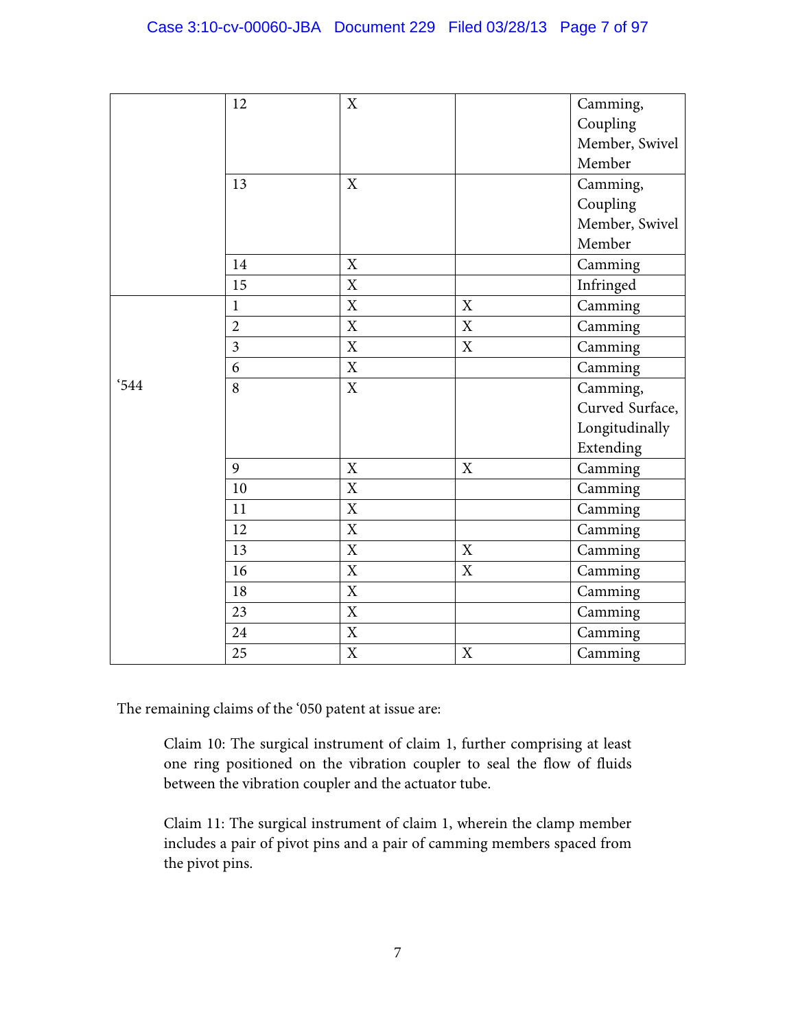## Case 3:10-cv-00060-JBA Document 229 Filed 03/28/13 Page 7 of 97

|      | 12             | $\mathbf X$ |             | Camming,        |
|------|----------------|-------------|-------------|-----------------|
|      |                |             |             | Coupling        |
|      |                |             |             | Member, Swivel  |
|      |                |             |             | Member          |
|      | 13             | X           |             | Camming,        |
|      |                |             |             | Coupling        |
|      |                |             |             | Member, Swivel  |
|      |                |             |             | Member          |
|      | 14             | X           |             | Camming         |
|      | 15             | X           |             | Infringed       |
|      | $\mathbf{1}$   | X           | $\mathbf X$ | Camming         |
|      | $\overline{2}$ | X           | X           | Camming         |
|      | $\overline{3}$ | X           | $\mathbf X$ | Camming         |
|      | 6              | $\mathbf X$ |             | Camming         |
| '544 | 8              | X           |             | Camming,        |
|      |                |             |             | Curved Surface, |
|      |                |             |             | Longitudinally  |
|      |                |             |             | Extending       |
|      | 9              | X           | X           | Camming         |
|      | 10             | X           |             | Camming         |
|      | 11             | X           |             | Camming         |
|      | 12             | X           |             | Camming         |
|      | 13             | $\mathbf X$ | $\mathbf X$ | Camming         |
|      | 16             | X           | X           | Camming         |
|      | 18             | X           |             | Camming         |
|      | 23             | $\mathbf X$ |             | Camming         |
|      | 24             | $\mathbf X$ |             | Camming         |
|      | 25             | $\mathbf X$ | $\mathbf X$ | Camming         |

The remaining claims of the '050 patent at issue are:

Claim 10: The surgical instrument of claim 1, further comprising at least one ring positioned on the vibration coupler to seal the flow of fluids between the vibration coupler and the actuator tube.

Claim 11: The surgical instrument of claim 1, wherein the clamp member includes a pair of pivot pins and a pair of camming members spaced from the pivot pins.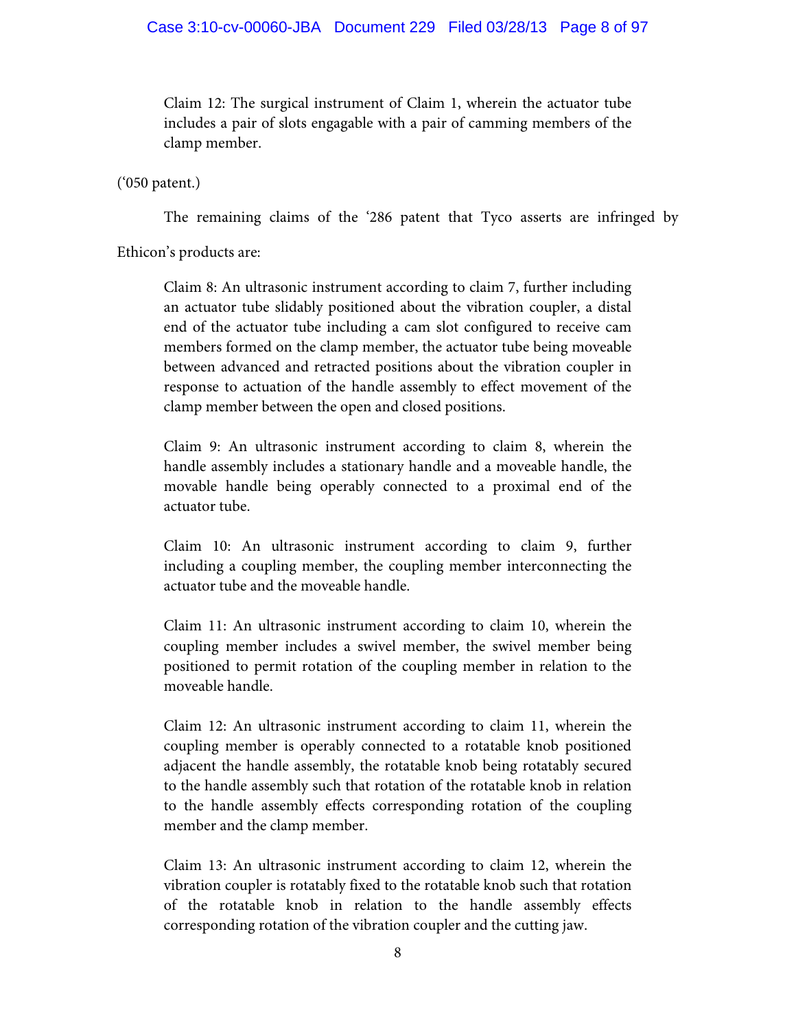## Case 3:10-cv-00060-JBA Document 229 Filed 03/28/13 Page 8 of 97

Claim 12: The surgical instrument of Claim 1, wherein the actuator tube includes a pair of slots engagable with a pair of camming members of the clamp member.

('050 patent.)

The remaining claims of the '286 patent that Tyco asserts are infringed by

Ethicon's products are:

Claim 8: An ultrasonic instrument according to claim 7, further including an actuator tube slidably positioned about the vibration coupler, a distal end of the actuator tube including a cam slot configured to receive cam members formed on the clamp member, the actuator tube being moveable between advanced and retracted positions about the vibration coupler in response to actuation of the handle assembly to effect movement of the clamp member between the open and closed positions.

Claim 9: An ultrasonic instrument according to claim 8, wherein the handle assembly includes a stationary handle and a moveable handle, the movable handle being operably connected to a proximal end of the actuator tube.

Claim 10: An ultrasonic instrument according to claim 9, further including a coupling member, the coupling member interconnecting the actuator tube and the moveable handle.

Claim 11: An ultrasonic instrument according to claim 10, wherein the coupling member includes a swivel member, the swivel member being positioned to permit rotation of the coupling member in relation to the moveable handle.

Claim 12: An ultrasonic instrument according to claim 11, wherein the coupling member is operably connected to a rotatable knob positioned adjacent the handle assembly, the rotatable knob being rotatably secured to the handle assembly such that rotation of the rotatable knob in relation to the handle assembly effects corresponding rotation of the coupling member and the clamp member.

Claim 13: An ultrasonic instrument according to claim 12, wherein the vibration coupler is rotatably fixed to the rotatable knob such that rotation of the rotatable knob in relation to the handle assembly effects corresponding rotation of the vibration coupler and the cutting jaw.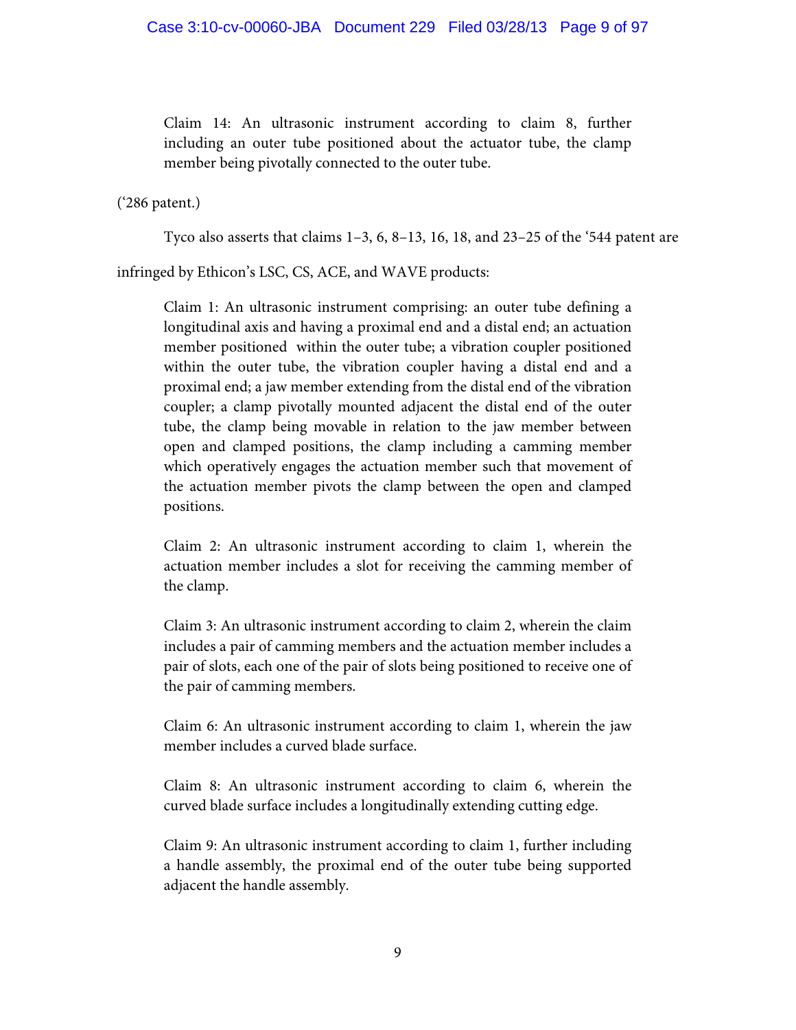Claim 14: An ultrasonic instrument according to claim 8, further including an outer tube positioned about the actuator tube, the clamp member being pivotally connected to the outer tube.

('286 patent.)

Tyco also asserts that claims 1–3, 6, 8–13, 16, 18, and 23–25 of the '544 patent are

infringed by Ethicon's LSC, CS, ACE, and WAVE products:

Claim 1: An ultrasonic instrument comprising: an outer tube defining a longitudinal axis and having a proximal end and a distal end; an actuation member positioned within the outer tube; a vibration coupler positioned within the outer tube, the vibration coupler having a distal end and a proximal end; a jaw member extending from the distal end of the vibration coupler; a clamp pivotally mounted adjacent the distal end of the outer tube, the clamp being movable in relation to the jaw member between open and clamped positions, the clamp including a camming member which operatively engages the actuation member such that movement of the actuation member pivots the clamp between the open and clamped positions.

Claim 2: An ultrasonic instrument according to claim 1, wherein the actuation member includes a slot for receiving the camming member of the clamp.

Claim 3: An ultrasonic instrument according to claim 2, wherein the claim includes a pair of camming members and the actuation member includes a pair of slots, each one of the pair of slots being positioned to receive one of the pair of camming members.

Claim 6: An ultrasonic instrument according to claim 1, wherein the jaw member includes a curved blade surface.

Claim 8: An ultrasonic instrument according to claim 6, wherein the curved blade surface includes a longitudinally extending cutting edge.

Claim 9: An ultrasonic instrument according to claim 1, further including a handle assembly, the proximal end of the outer tube being supported adjacent the handle assembly.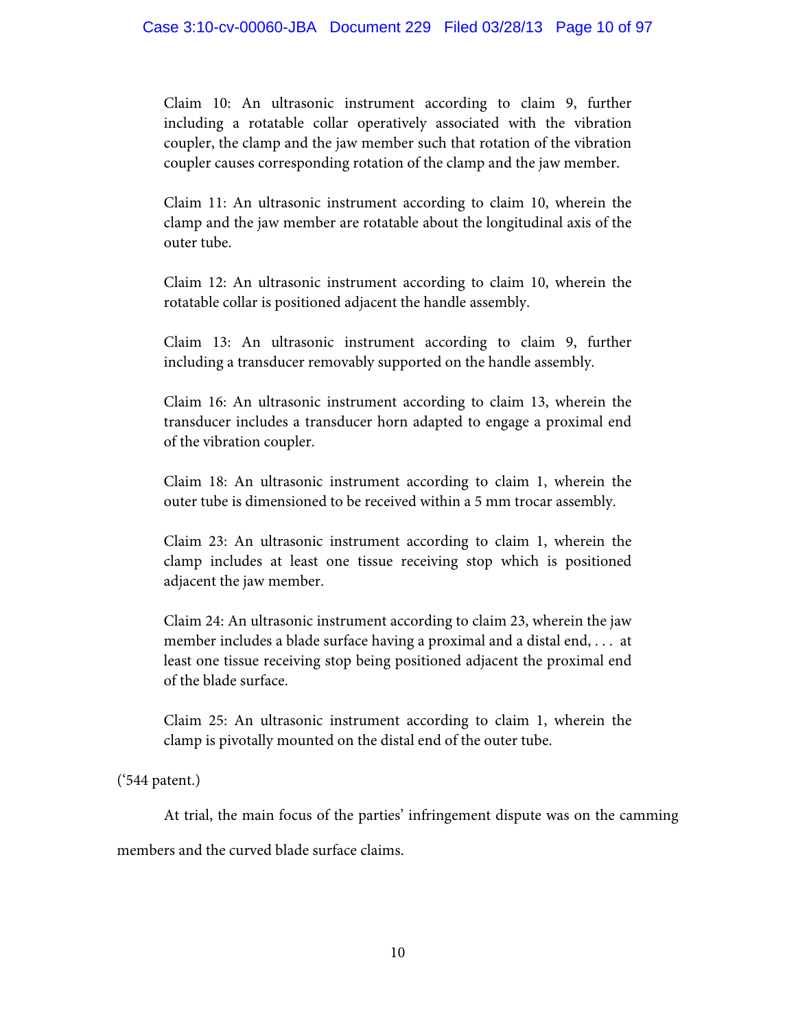Claim 10: An ultrasonic instrument according to claim 9, further including a rotatable collar operatively associated with the vibration coupler, the clamp and the jaw member such that rotation of the vibration coupler causes corresponding rotation of the clamp and the jaw member.

Claim 11: An ultrasonic instrument according to claim 10, wherein the clamp and the jaw member are rotatable about the longitudinal axis of the outer tube.

Claim 12: An ultrasonic instrument according to claim 10, wherein the rotatable collar is positioned adjacent the handle assembly.

Claim 13: An ultrasonic instrument according to claim 9, further including a transducer removably supported on the handle assembly.

Claim 16: An ultrasonic instrument according to claim 13, wherein the transducer includes a transducer horn adapted to engage a proximal end of the vibration coupler.

Claim 18: An ultrasonic instrument according to claim 1, wherein the outer tube is dimensioned to be received within a 5 mm trocar assembly.

Claim 23: An ultrasonic instrument according to claim 1, wherein the clamp includes at least one tissue receiving stop which is positioned adjacent the jaw member.

Claim 24: An ultrasonic instrument according to claim 23, wherein the jaw member includes a blade surface having a proximal and a distal end, . . . at least one tissue receiving stop being positioned adjacent the proximal end of the blade surface.

Claim 25: An ultrasonic instrument according to claim 1, wherein the clamp is pivotally mounted on the distal end of the outer tube.

('544 patent.)

At trial, the main focus of the parties' infringement dispute was on the camming

members and the curved blade surface claims.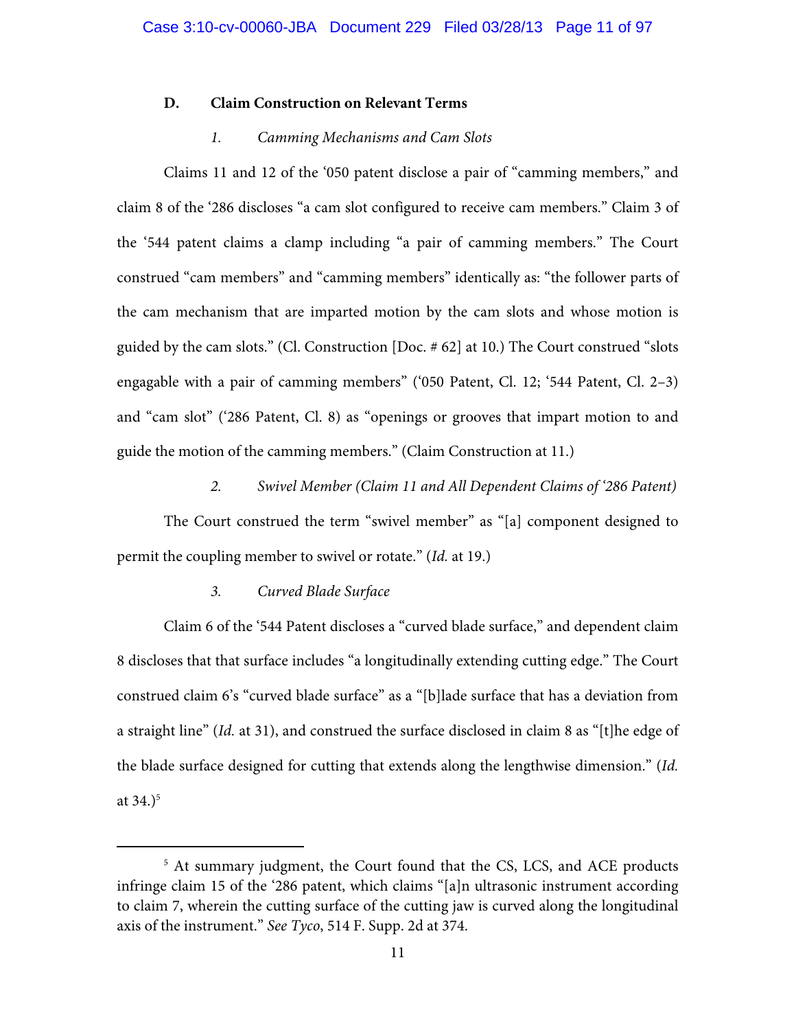## **D. Claim Construction on Relevant Terms**

## *1. Camming Mechanisms and Cam Slots*

Claims 11 and 12 of the '050 patent disclose a pair of "camming members," and claim 8 of the '286 discloses "a cam slot configured to receive cam members." Claim 3 of the '544 patent claims a clamp including "a pair of camming members." The Court construed "cam members" and "camming members" identically as: "the follower parts of the cam mechanism that are imparted motion by the cam slots and whose motion is guided by the cam slots." (Cl. Construction [Doc. # 62] at 10.) The Court construed "slots engagable with a pair of camming members" ('050 Patent, Cl. 12; '544 Patent, Cl. 2–3) and "cam slot" ('286 Patent, Cl. 8) as "openings or grooves that impart motion to and guide the motion of the camming members." (Claim Construction at 11.)

## *2. Swivel Member (Claim 11 and All Dependent Claims of '286 Patent)*

The Court construed the term "swivel member" as "[a] component designed to permit the coupling member to swivel or rotate." (*Id.* at 19.)

## *3. Curved Blade Surface*

Claim 6 of the '544 Patent discloses a "curved blade surface," and dependent claim 8 discloses that that surface includes "a longitudinally extending cutting edge." The Court construed claim 6's "curved blade surface" as a "[b]lade surface that has a deviation from a straight line" (*Id.* at 31), and construed the surface disclosed in claim 8 as "[t]he edge of the blade surface designed for cutting that extends along the lengthwise dimension." (*Id.* at  $34.$ <sup>5</sup>

 $\frac{1}{5}$ <sup>5</sup> At summary judgment, the Court found that the CS, LCS, and ACE products infringe claim 15 of the '286 patent, which claims "[a]n ultrasonic instrument according to claim 7, wherein the cutting surface of the cutting jaw is curved along the longitudinal axis of the instrument." *See Tyco*, 514 F. Supp. 2d at 374.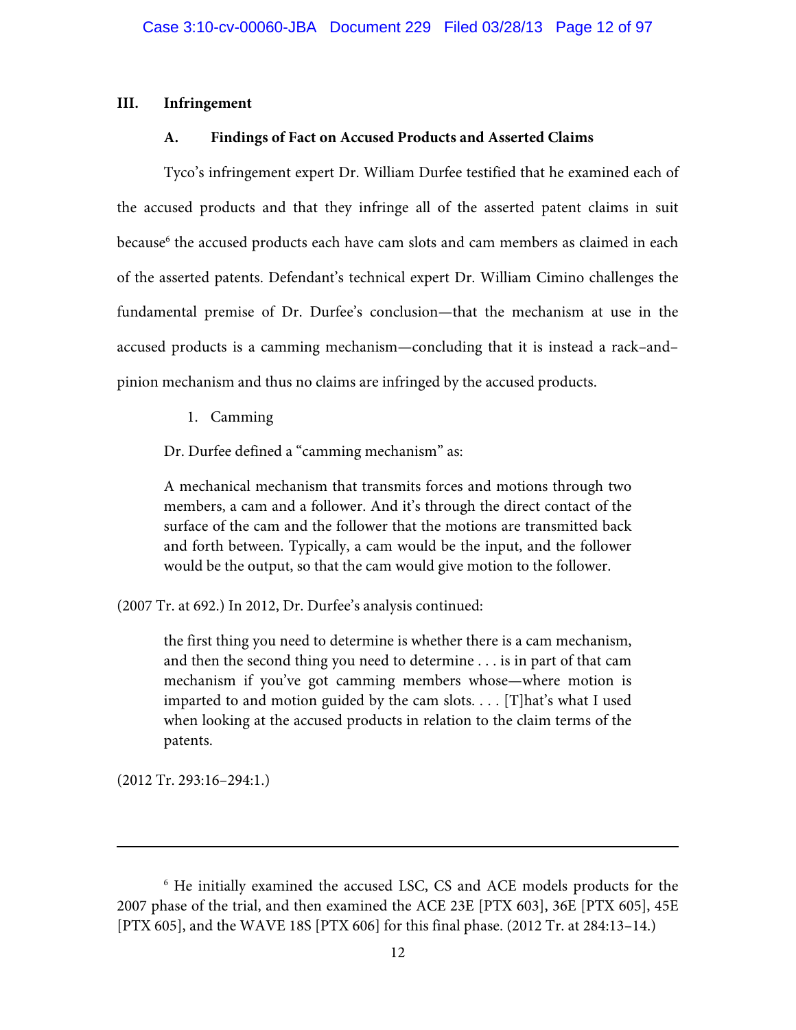## **III. Infringement**

## **A. Findings of Fact on Accused Products and Asserted Claims**

Tyco's infringement expert Dr. William Durfee testified that he examined each of the accused products and that they infringe all of the asserted patent claims in suit because<sup>6</sup> the accused products each have cam slots and cam members as claimed in each of the asserted patents. Defendant's technical expert Dr. William Cimino challenges the fundamental premise of Dr. Durfee's conclusion—that the mechanism at use in the accused products is a camming mechanism—concluding that it is instead a rack–and– pinion mechanism and thus no claims are infringed by the accused products.

1. Camming

Dr. Durfee defined a "camming mechanism" as:

A mechanical mechanism that transmits forces and motions through two members, a cam and a follower. And it's through the direct contact of the surface of the cam and the follower that the motions are transmitted back and forth between. Typically, a cam would be the input, and the follower would be the output, so that the cam would give motion to the follower.

(2007 Tr. at 692.) In 2012, Dr. Durfee's analysis continued:

the first thing you need to determine is whether there is a cam mechanism, and then the second thing you need to determine . . . is in part of that cam mechanism if you've got camming members whose—where motion is imparted to and motion guided by the cam slots. . . . [T]hat's what I used when looking at the accused products in relation to the claim terms of the patents.

(2012 Tr. 293:16–294:1.)

-

<sup>6</sup> He initially examined the accused LSC, CS and ACE models products for the 2007 phase of the trial, and then examined the ACE 23E [PTX 603], 36E [PTX 605], 45E [PTX 605], and the WAVE 18S [PTX 606] for this final phase. (2012 Tr. at 284:13–14.)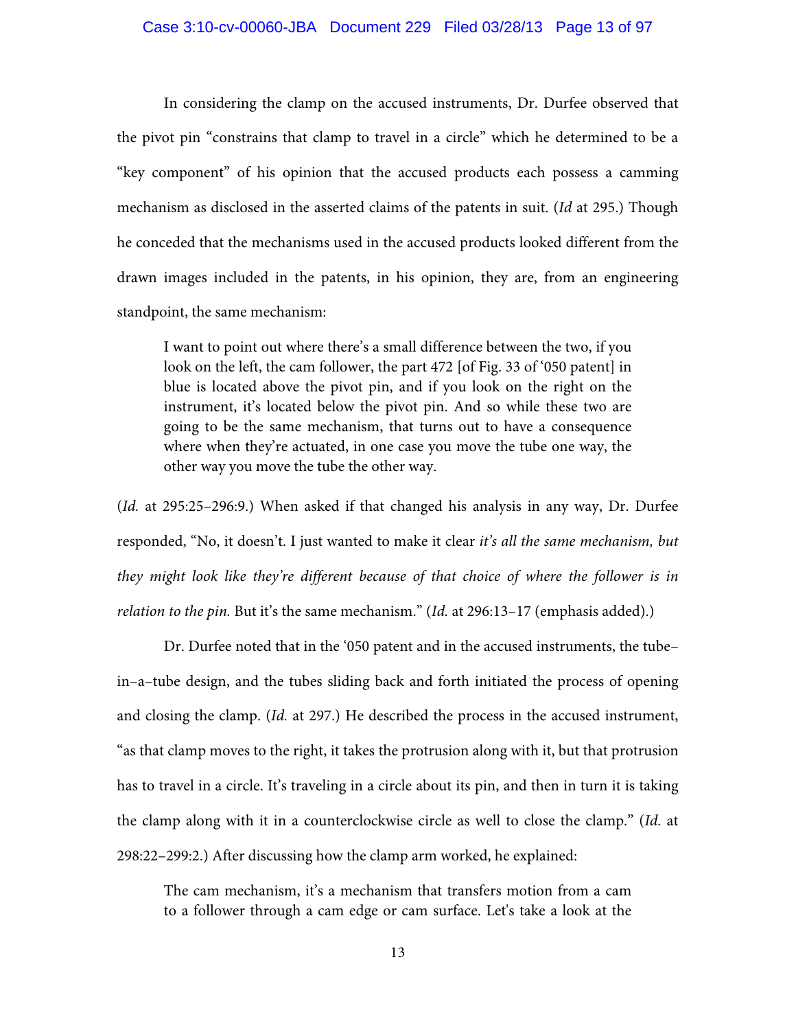#### Case 3:10-cv-00060-JBA Document 229 Filed 03/28/13 Page 13 of 97

 In considering the clamp on the accused instruments, Dr. Durfee observed that the pivot pin "constrains that clamp to travel in a circle" which he determined to be a "key component" of his opinion that the accused products each possess a camming mechanism as disclosed in the asserted claims of the patents in suit. (*Id* at 295.) Though he conceded that the mechanisms used in the accused products looked different from the drawn images included in the patents, in his opinion, they are, from an engineering standpoint, the same mechanism:

I want to point out where there's a small difference between the two, if you look on the left, the cam follower, the part 472 [of Fig. 33 of '050 patent] in blue is located above the pivot pin, and if you look on the right on the instrument, it's located below the pivot pin. And so while these two are going to be the same mechanism, that turns out to have a consequence where when they're actuated, in one case you move the tube one way, the other way you move the tube the other way.

(*Id.* at 295:25–296:9.) When asked if that changed his analysis in any way, Dr. Durfee responded, "No, it doesn't. I just wanted to make it clear *it's all the same mechanism, but they might look like they're different because of that choice of where the follower is in relation to the pin.* But it's the same mechanism." (*Id.* at 296:13–17 (emphasis added).)

 Dr. Durfee noted that in the '050 patent and in the accused instruments, the tube– in–a–tube design, and the tubes sliding back and forth initiated the process of opening and closing the clamp. (*Id.* at 297.) He described the process in the accused instrument, "as that clamp moves to the right, it takes the protrusion along with it, but that protrusion has to travel in a circle. It's traveling in a circle about its pin, and then in turn it is taking the clamp along with it in a counterclockwise circle as well to close the clamp." (*Id.* at 298:22–299:2.) After discussing how the clamp arm worked, he explained:

The cam mechanism, it's a mechanism that transfers motion from a cam to a follower through a cam edge or cam surface. Let's take a look at the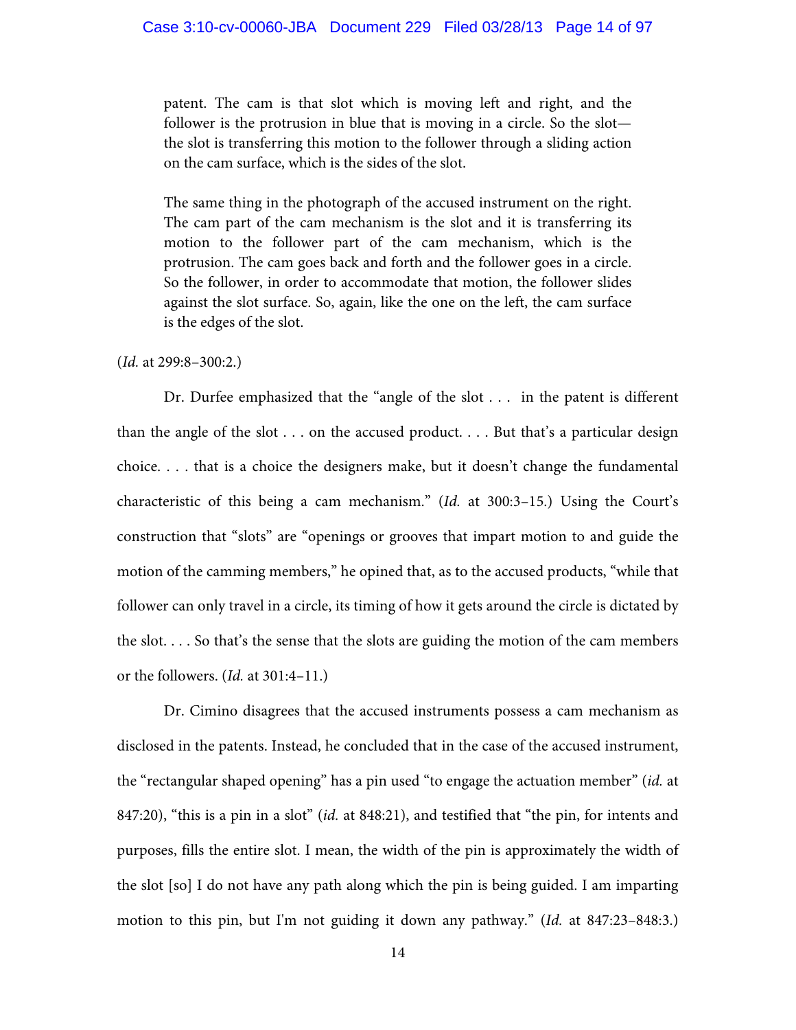patent. The cam is that slot which is moving left and right, and the follower is the protrusion in blue that is moving in a circle. So the slot the slot is transferring this motion to the follower through a sliding action on the cam surface, which is the sides of the slot.

The same thing in the photograph of the accused instrument on the right. The cam part of the cam mechanism is the slot and it is transferring its motion to the follower part of the cam mechanism, which is the protrusion. The cam goes back and forth and the follower goes in a circle. So the follower, in order to accommodate that motion, the follower slides against the slot surface. So, again, like the one on the left, the cam surface is the edges of the slot.

### (*Id.* at 299:8–300:2.)

 Dr. Durfee emphasized that the "angle of the slot . . . in the patent is different than the angle of the slot  $\dots$  on the accused product.  $\dots$  But that's a particular design choice. . . . that is a choice the designers make, but it doesn't change the fundamental characteristic of this being a cam mechanism." (*Id.* at 300:3–15.) Using the Court's construction that "slots" are "openings or grooves that impart motion to and guide the motion of the camming members," he opined that, as to the accused products, "while that follower can only travel in a circle, its timing of how it gets around the circle is dictated by the slot. . . . So that's the sense that the slots are guiding the motion of the cam members or the followers. (*Id.* at 301:4–11.)

 Dr. Cimino disagrees that the accused instruments possess a cam mechanism as disclosed in the patents. Instead, he concluded that in the case of the accused instrument, the "rectangular shaped opening" has a pin used "to engage the actuation member" (*id.* at 847:20), "this is a pin in a slot" (*id.* at 848:21), and testified that "the pin, for intents and purposes, fills the entire slot. I mean, the width of the pin is approximately the width of the slot [so] I do not have any path along which the pin is being guided. I am imparting motion to this pin, but I'm not guiding it down any pathway." (*Id.* at 847:23–848:3.)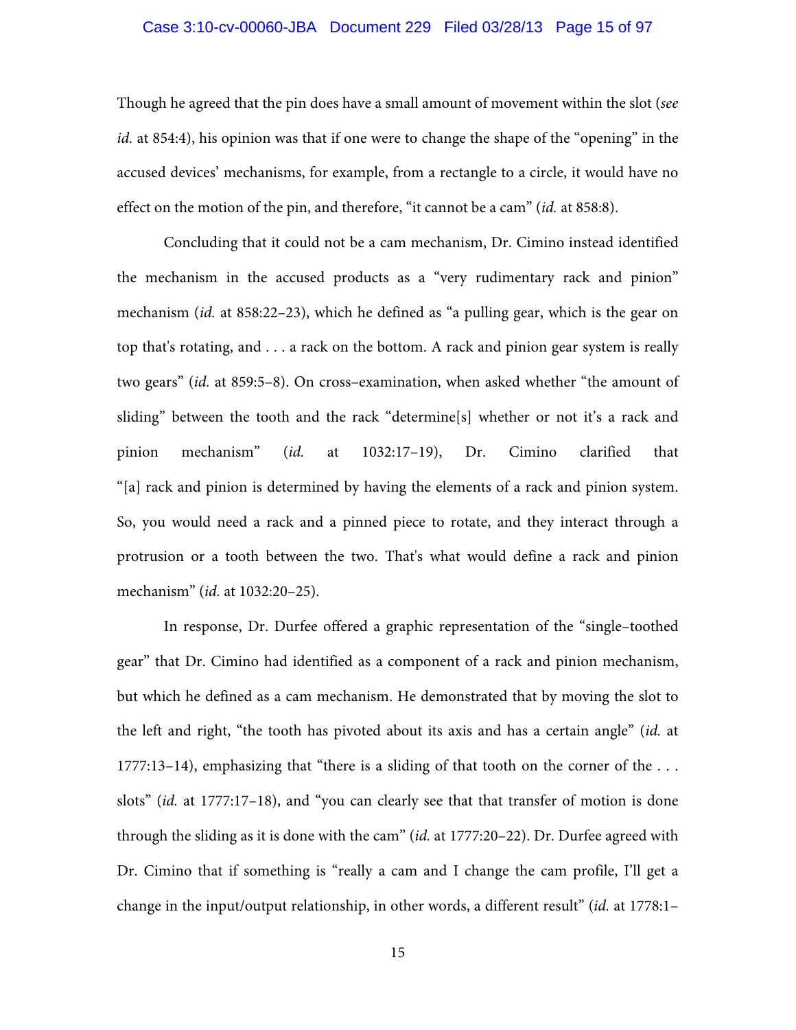#### Case 3:10-cv-00060-JBA Document 229 Filed 03/28/13 Page 15 of 97

Though he agreed that the pin does have a small amount of movement within the slot (*see id.* at 854:4), his opinion was that if one were to change the shape of the "opening" in the accused devices' mechanisms, for example, from a rectangle to a circle, it would have no effect on the motion of the pin, and therefore, "it cannot be a cam" (*id.* at 858:8).

Concluding that it could not be a cam mechanism, Dr. Cimino instead identified the mechanism in the accused products as a "very rudimentary rack and pinion" mechanism (*id.* at 858:22–23), which he defined as "a pulling gear, which is the gear on top that's rotating, and . . . a rack on the bottom. A rack and pinion gear system is really two gears" (*id.* at 859:5–8). On cross–examination, when asked whether "the amount of sliding" between the tooth and the rack "determine[s] whether or not it's a rack and pinion mechanism" (*id.* at 1032:17–19), Dr. Cimino clarified that "[a] rack and pinion is determined by having the elements of a rack and pinion system. So, you would need a rack and a pinned piece to rotate, and they interact through a protrusion or a tooth between the two. That's what would define a rack and pinion mechanism" (*id.* at 1032:20–25).

 In response, Dr. Durfee offered a graphic representation of the "single–toothed gear" that Dr. Cimino had identified as a component of a rack and pinion mechanism, but which he defined as a cam mechanism. He demonstrated that by moving the slot to the left and right, "the tooth has pivoted about its axis and has a certain angle" (*id.* at 1777:13–14), emphasizing that "there is a sliding of that tooth on the corner of the . . . slots" (*id.* at 1777:17–18), and "you can clearly see that that transfer of motion is done through the sliding as it is done with the cam" (*id.* at 1777:20–22). Dr. Durfee agreed with Dr. Cimino that if something is "really a cam and I change the cam profile, I'll get a change in the input/output relationship, in other words, a different result" (*id.* at 1778:1–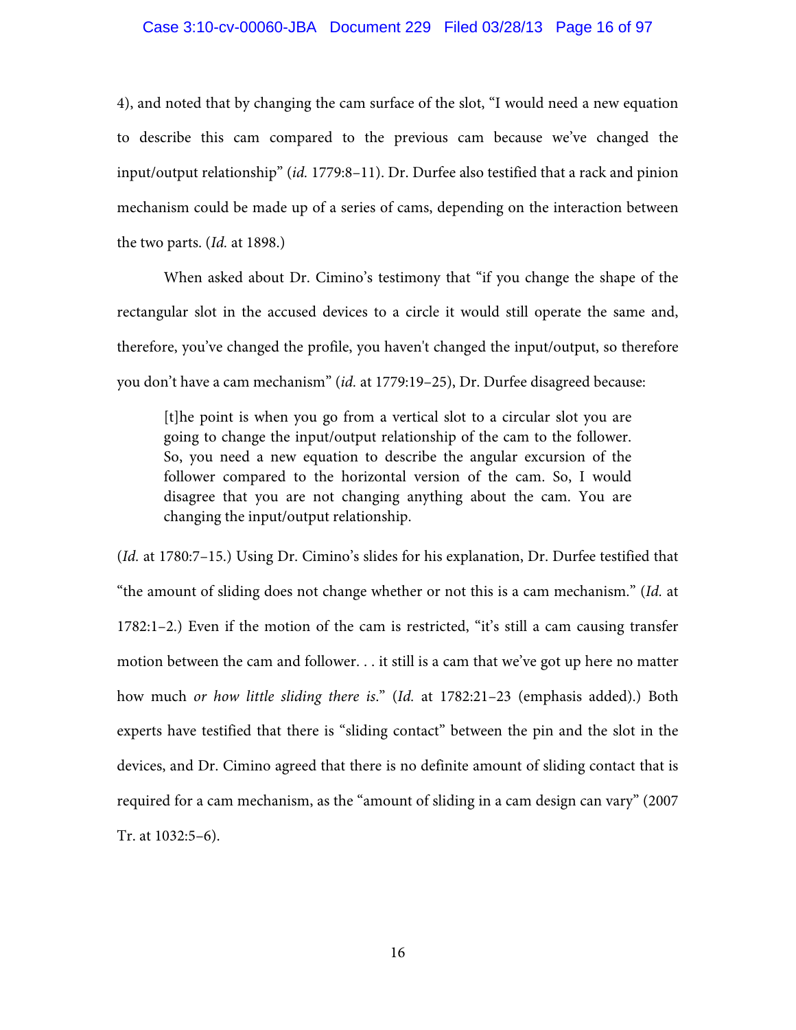### Case 3:10-cv-00060-JBA Document 229 Filed 03/28/13 Page 16 of 97

4), and noted that by changing the cam surface of the slot, "I would need a new equation to describe this cam compared to the previous cam because we've changed the input/output relationship" (*id.* 1779:8–11). Dr. Durfee also testified that a rack and pinion mechanism could be made up of a series of cams, depending on the interaction between the two parts. (*Id.* at 1898.)

When asked about Dr. Cimino's testimony that "if you change the shape of the rectangular slot in the accused devices to a circle it would still operate the same and, therefore, you've changed the profile, you haven't changed the input/output, so therefore you don't have a cam mechanism" (*id.* at 1779:19–25), Dr. Durfee disagreed because:

[t]he point is when you go from a vertical slot to a circular slot you are going to change the input/output relationship of the cam to the follower. So, you need a new equation to describe the angular excursion of the follower compared to the horizontal version of the cam. So, I would disagree that you are not changing anything about the cam. You are changing the input/output relationship.

(*Id.* at 1780:7–15.) Using Dr. Cimino's slides for his explanation, Dr. Durfee testified that "the amount of sliding does not change whether or not this is a cam mechanism." (*Id.* at 1782:1–2.) Even if the motion of the cam is restricted, "it's still a cam causing transfer motion between the cam and follower. . . it still is a cam that we've got up here no matter how much *or how little sliding there is*." (*Id.* at 1782:21–23 (emphasis added).) Both experts have testified that there is "sliding contact" between the pin and the slot in the devices, and Dr. Cimino agreed that there is no definite amount of sliding contact that is required for a cam mechanism, as the "amount of sliding in a cam design can vary" (2007 Tr. at 1032:5–6).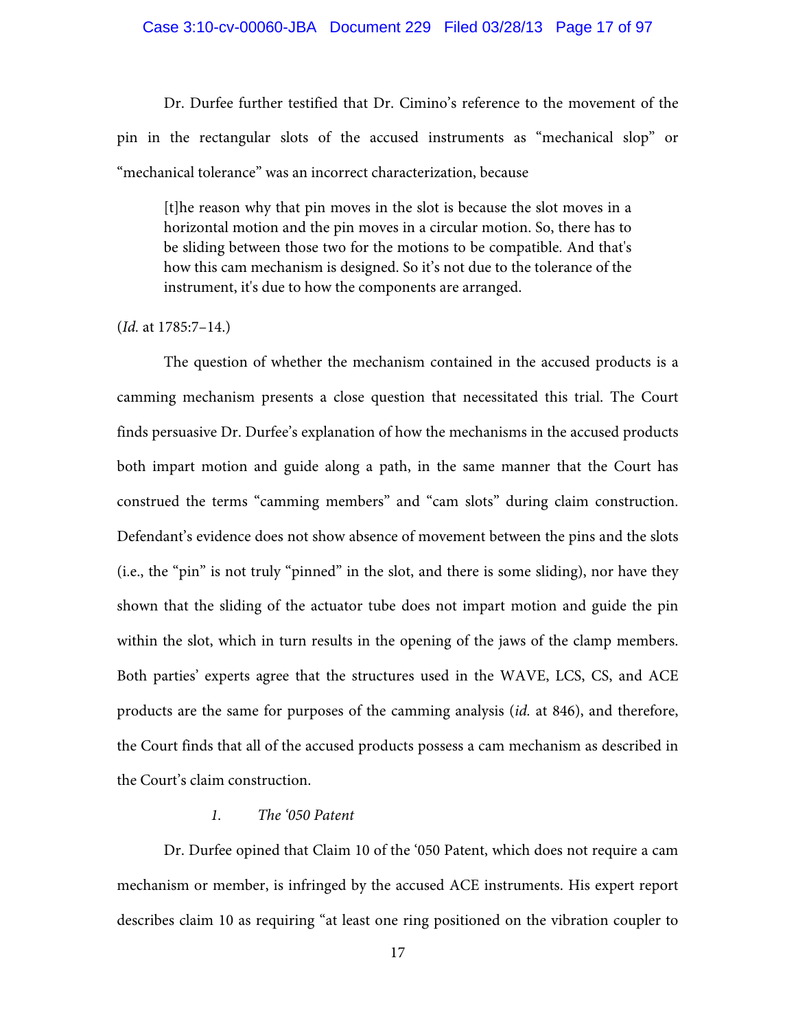#### Case 3:10-cv-00060-JBA Document 229 Filed 03/28/13 Page 17 of 97

Dr. Durfee further testified that Dr. Cimino's reference to the movement of the pin in the rectangular slots of the accused instruments as "mechanical slop" or "mechanical tolerance" was an incorrect characterization, because

[t]he reason why that pin moves in the slot is because the slot moves in a horizontal motion and the pin moves in a circular motion. So, there has to be sliding between those two for the motions to be compatible. And that's how this cam mechanism is designed. So it's not due to the tolerance of the instrument, it's due to how the components are arranged.

#### (*Id.* at 1785:7–14.)

 The question of whether the mechanism contained in the accused products is a camming mechanism presents a close question that necessitated this trial. The Court finds persuasive Dr. Durfee's explanation of how the mechanisms in the accused products both impart motion and guide along a path, in the same manner that the Court has construed the terms "camming members" and "cam slots" during claim construction. Defendant's evidence does not show absence of movement between the pins and the slots (i.e., the "pin" is not truly "pinned" in the slot, and there is some sliding), nor have they shown that the sliding of the actuator tube does not impart motion and guide the pin within the slot, which in turn results in the opening of the jaws of the clamp members. Both parties' experts agree that the structures used in the WAVE, LCS, CS, and ACE products are the same for purposes of the camming analysis (*id.* at 846), and therefore, the Court finds that all of the accused products possess a cam mechanism as described in the Court's claim construction.

## *1. The '050 Patent*

Dr. Durfee opined that Claim 10 of the '050 Patent, which does not require a cam mechanism or member, is infringed by the accused ACE instruments. His expert report describes claim 10 as requiring "at least one ring positioned on the vibration coupler to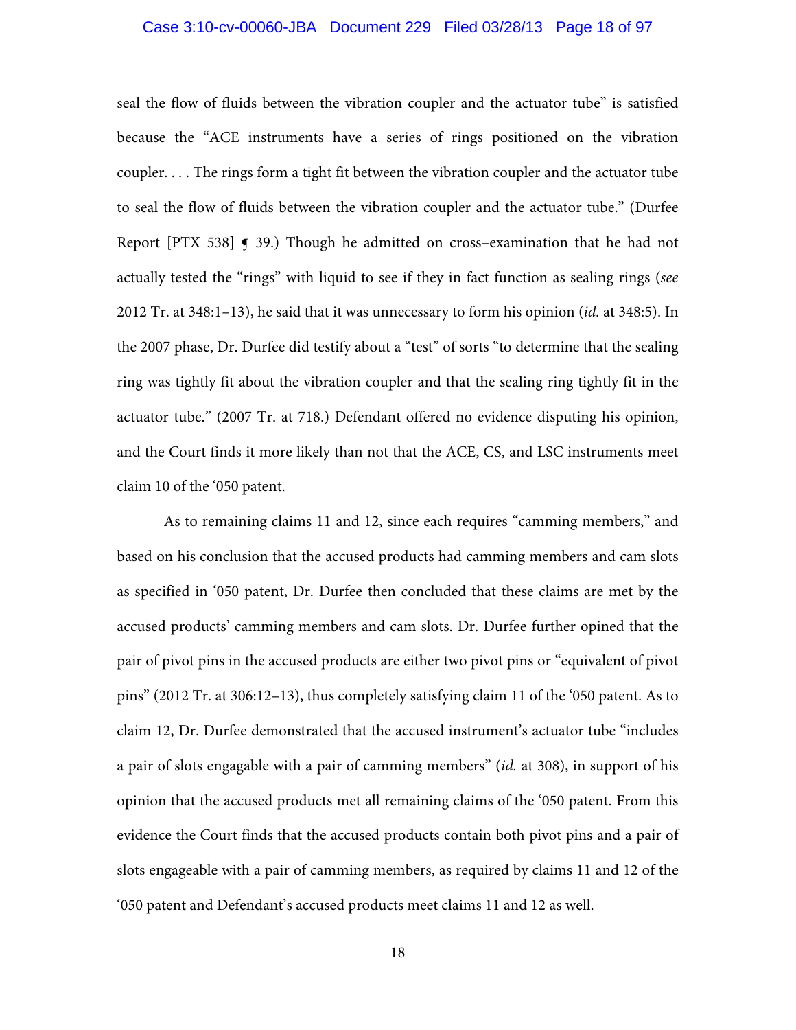## Case 3:10-cv-00060-JBA Document 229 Filed 03/28/13 Page 18 of 97

seal the flow of fluids between the vibration coupler and the actuator tube" is satisfied because the "ACE instruments have a series of rings positioned on the vibration coupler. . . . The rings form a tight fit between the vibration coupler and the actuator tube to seal the flow of fluids between the vibration coupler and the actuator tube." (Durfee Report [PTX 538]  $\bigcirc$  39.) Though he admitted on cross-examination that he had not actually tested the "rings" with liquid to see if they in fact function as sealing rings (*see* 2012 Tr. at 348:1–13), he said that it was unnecessary to form his opinion (*id.* at 348:5). In the 2007 phase, Dr. Durfee did testify about a "test" of sorts "to determine that the sealing ring was tightly fit about the vibration coupler and that the sealing ring tightly fit in the actuator tube." (2007 Tr. at 718.) Defendant offered no evidence disputing his opinion, and the Court finds it more likely than not that the ACE, CS, and LSC instruments meet claim 10 of the '050 patent.

As to remaining claims 11 and 12, since each requires "camming members," and based on his conclusion that the accused products had camming members and cam slots as specified in '050 patent, Dr. Durfee then concluded that these claims are met by the accused products' camming members and cam slots. Dr. Durfee further opined that the pair of pivot pins in the accused products are either two pivot pins or "equivalent of pivot pins" (2012 Tr. at 306:12–13), thus completely satisfying claim 11 of the '050 patent. As to claim 12, Dr. Durfee demonstrated that the accused instrument's actuator tube "includes a pair of slots engagable with a pair of camming members" (*id.* at 308), in support of his opinion that the accused products met all remaining claims of the '050 patent. From this evidence the Court finds that the accused products contain both pivot pins and a pair of slots engageable with a pair of camming members, as required by claims 11 and 12 of the '050 patent and Defendant's accused products meet claims 11 and 12 as well.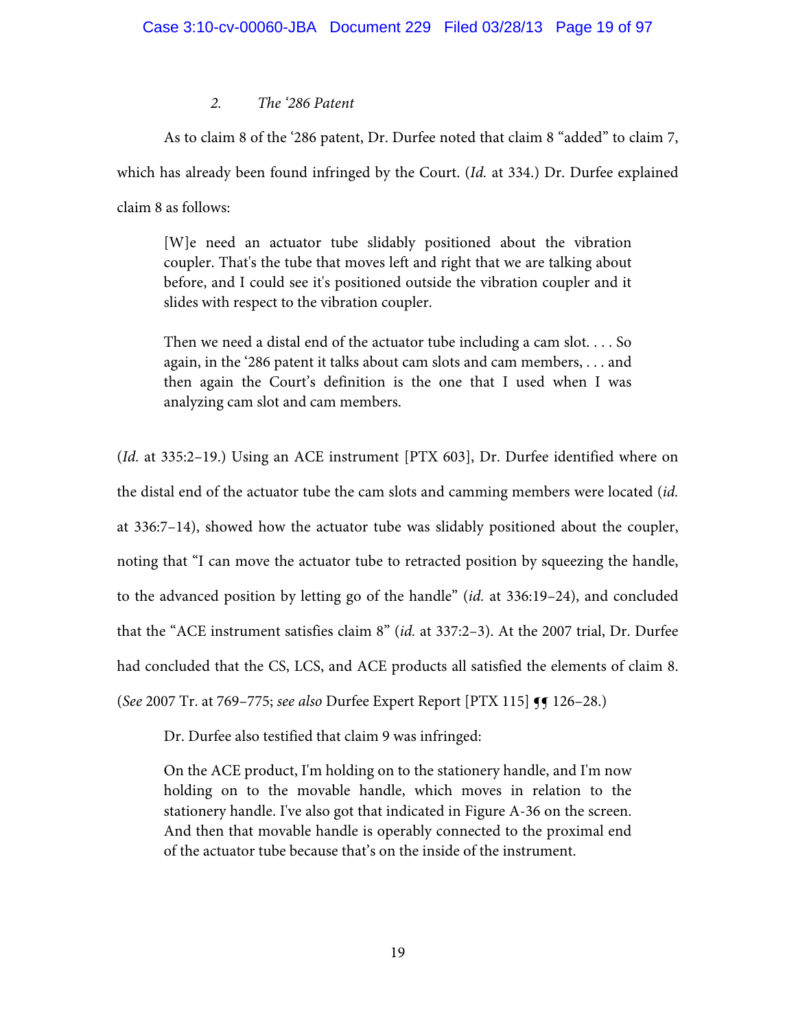## *2. The '286 Patent*

 As to claim 8 of the '286 patent, Dr. Durfee noted that claim 8 "added" to claim 7, which has already been found infringed by the Court. (*Id.* at 334.) Dr. Durfee explained claim 8 as follows:

[W]e need an actuator tube slidably positioned about the vibration coupler. That's the tube that moves left and right that we are talking about before, and I could see it's positioned outside the vibration coupler and it slides with respect to the vibration coupler.

Then we need a distal end of the actuator tube including a cam slot. . . . So again, in the '286 patent it talks about cam slots and cam members, . . . and then again the Court's definition is the one that I used when I was analyzing cam slot and cam members.

(*Id.* at 335:2–19.) Using an ACE instrument [PTX 603], Dr. Durfee identified where on the distal end of the actuator tube the cam slots and camming members were located (*id.* at 336:7–14), showed how the actuator tube was slidably positioned about the coupler, noting that "I can move the actuator tube to retracted position by squeezing the handle, to the advanced position by letting go of the handle" (*id.* at 336:19–24), and concluded that the "ACE instrument satisfies claim 8" (*id.* at 337:2–3). At the 2007 trial, Dr. Durfee had concluded that the CS, LCS, and ACE products all satisfied the elements of claim 8. (*See* 2007 Tr. at 769–775; *see also* Durfee Expert Report [PTX 115] ¶¶ 126–28.)

Dr. Durfee also testified that claim 9 was infringed:

On the ACE product, I'm holding on to the stationery handle, and I'm now holding on to the movable handle, which moves in relation to the stationery handle. I've also got that indicated in Figure A-36 on the screen. And then that movable handle is operably connected to the proximal end of the actuator tube because that's on the inside of the instrument.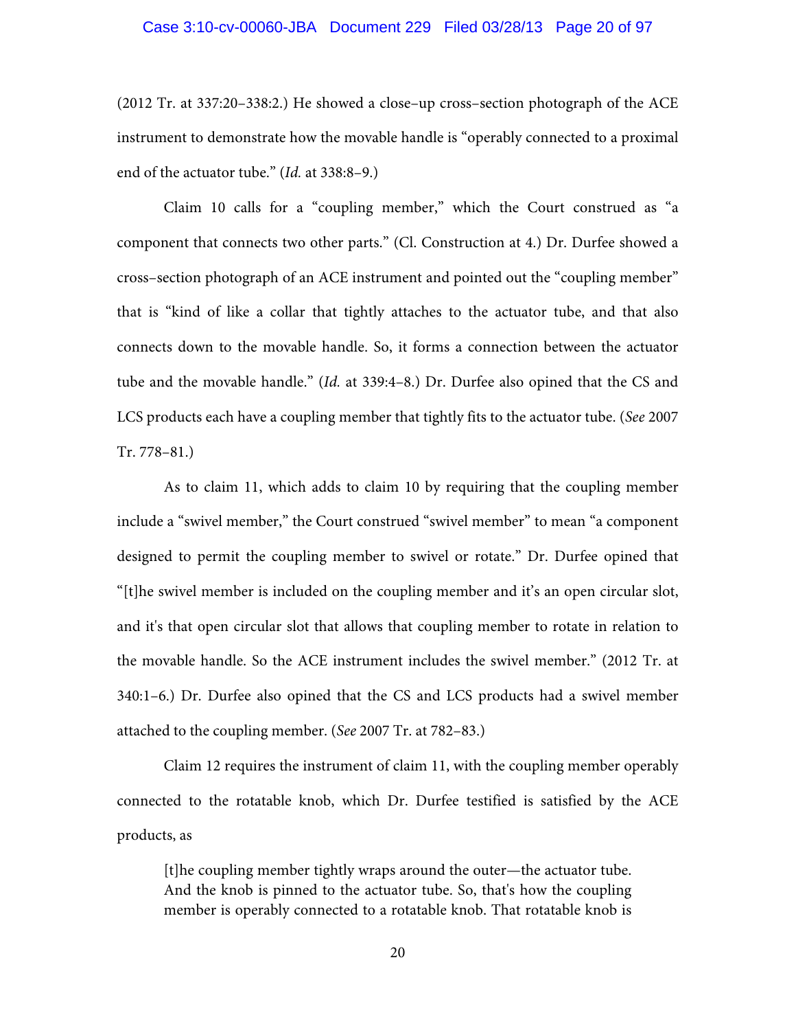#### Case 3:10-cv-00060-JBA Document 229 Filed 03/28/13 Page 20 of 97

(2012 Tr. at 337:20–338:2.) He showed a close–up cross–section photograph of the ACE instrument to demonstrate how the movable handle is "operably connected to a proximal end of the actuator tube." (*Id.* at 338:8–9.)

 Claim 10 calls for a "coupling member," which the Court construed as "a component that connects two other parts." (Cl. Construction at 4.) Dr. Durfee showed a cross–section photograph of an ACE instrument and pointed out the "coupling member" that is "kind of like a collar that tightly attaches to the actuator tube, and that also connects down to the movable handle. So, it forms a connection between the actuator tube and the movable handle." (*Id.* at 339:4–8.) Dr. Durfee also opined that the CS and LCS products each have a coupling member that tightly fits to the actuator tube. (*See* 2007 Tr. 778–81.)

 As to claim 11, which adds to claim 10 by requiring that the coupling member include a "swivel member," the Court construed "swivel member" to mean "a component designed to permit the coupling member to swivel or rotate." Dr. Durfee opined that "[t]he swivel member is included on the coupling member and it's an open circular slot, and it's that open circular slot that allows that coupling member to rotate in relation to the movable handle. So the ACE instrument includes the swivel member." (2012 Tr. at 340:1–6.) Dr. Durfee also opined that the CS and LCS products had a swivel member attached to the coupling member. (*See* 2007 Tr. at 782–83.)

 Claim 12 requires the instrument of claim 11, with the coupling member operably connected to the rotatable knob, which Dr. Durfee testified is satisfied by the ACE products, as

[t]he coupling member tightly wraps around the outer—the actuator tube. And the knob is pinned to the actuator tube. So, that's how the coupling member is operably connected to a rotatable knob. That rotatable knob is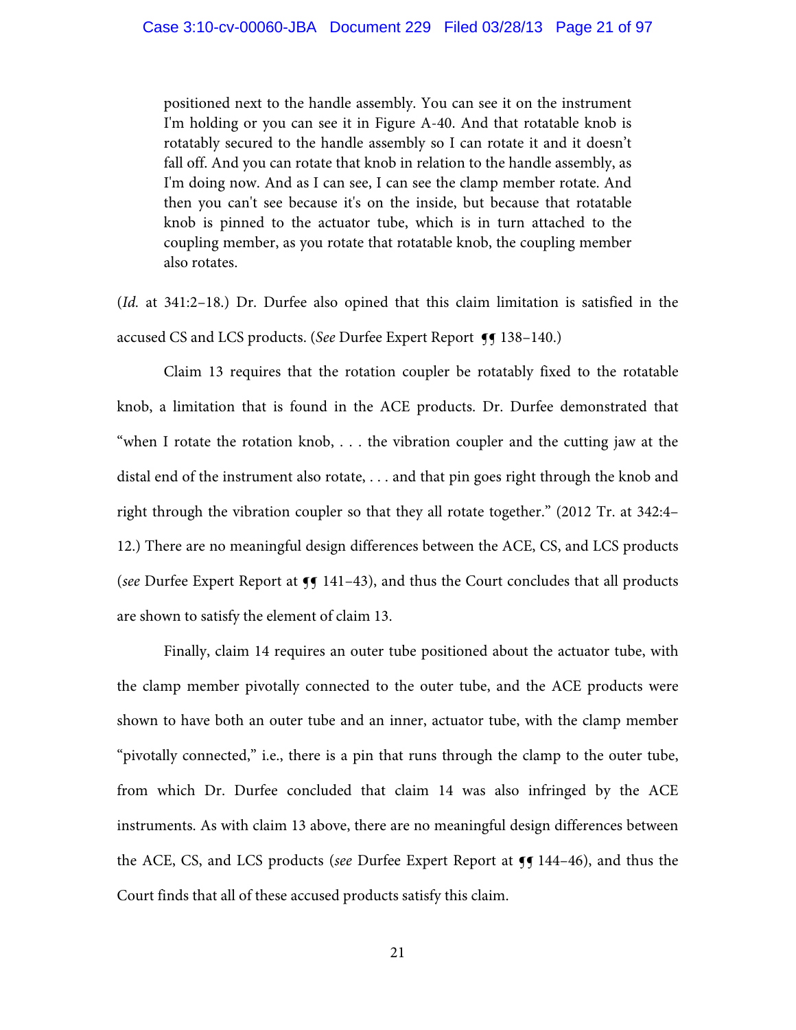positioned next to the handle assembly. You can see it on the instrument I'm holding or you can see it in Figure A-40. And that rotatable knob is rotatably secured to the handle assembly so I can rotate it and it doesn't fall off. And you can rotate that knob in relation to the handle assembly, as I'm doing now. And as I can see, I can see the clamp member rotate. And then you can't see because it's on the inside, but because that rotatable knob is pinned to the actuator tube, which is in turn attached to the coupling member, as you rotate that rotatable knob, the coupling member also rotates.

(*Id.* at 341:2–18.) Dr. Durfee also opined that this claim limitation is satisfied in the accused CS and LCS products. (*See* Durfee Expert Report **[f** 138-140.)

Claim 13 requires that the rotation coupler be rotatably fixed to the rotatable knob, a limitation that is found in the ACE products. Dr. Durfee demonstrated that "when I rotate the rotation knob, . . . the vibration coupler and the cutting jaw at the distal end of the instrument also rotate, . . . and that pin goes right through the knob and right through the vibration coupler so that they all rotate together." (2012 Tr. at 342:4– 12.) There are no meaningful design differences between the ACE, CS, and LCS products (*see* Durfee Expert Report at  $\P$  141–43), and thus the Court concludes that all products are shown to satisfy the element of claim 13.

 Finally, claim 14 requires an outer tube positioned about the actuator tube, with the clamp member pivotally connected to the outer tube, and the ACE products were shown to have both an outer tube and an inner, actuator tube, with the clamp member "pivotally connected," i.e., there is a pin that runs through the clamp to the outer tube, from which Dr. Durfee concluded that claim 14 was also infringed by the ACE instruments. As with claim 13 above, there are no meaningful design differences between the ACE, CS, and LCS products (*see* Durfee Expert Report at  $\P$  144–46), and thus the Court finds that all of these accused products satisfy this claim.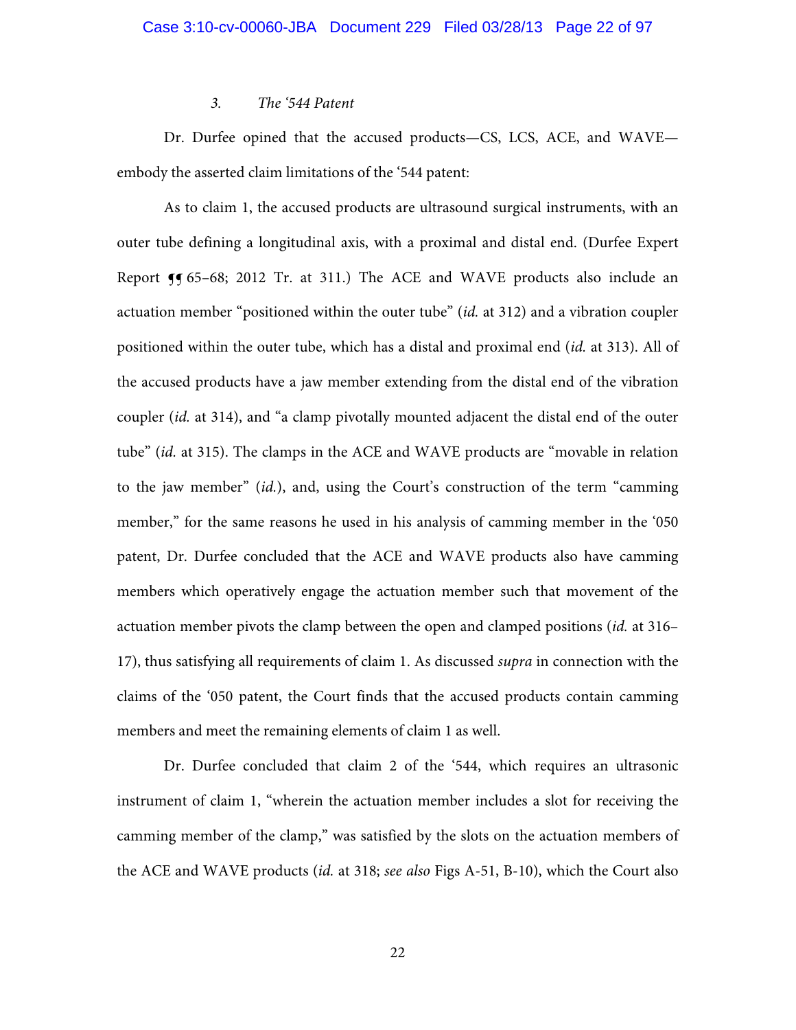### *3. The '544 Patent*

Dr. Durfee opined that the accused products—CS, LCS, ACE, and WAVE embody the asserted claim limitations of the '544 patent:

As to claim 1, the accused products are ultrasound surgical instruments, with an outer tube defining a longitudinal axis, with a proximal and distal end. (Durfee Expert Report **J** 65–68; 2012 Tr. at 311.) The ACE and WAVE products also include an actuation member "positioned within the outer tube" (*id.* at 312) and a vibration coupler positioned within the outer tube, which has a distal and proximal end (*id.* at 313). All of the accused products have a jaw member extending from the distal end of the vibration coupler (*id.* at 314), and "a clamp pivotally mounted adjacent the distal end of the outer tube" (*id.* at 315). The clamps in the ACE and WAVE products are "movable in relation to the jaw member" (*id.*), and, using the Court's construction of the term "camming member," for the same reasons he used in his analysis of camming member in the '050 patent, Dr. Durfee concluded that the ACE and WAVE products also have camming members which operatively engage the actuation member such that movement of the actuation member pivots the clamp between the open and clamped positions (*id.* at 316– 17), thus satisfying all requirements of claim 1. As discussed *supra* in connection with the claims of the '050 patent, the Court finds that the accused products contain camming members and meet the remaining elements of claim 1 as well.

Dr. Durfee concluded that claim 2 of the '544, which requires an ultrasonic instrument of claim 1, "wherein the actuation member includes a slot for receiving the camming member of the clamp," was satisfied by the slots on the actuation members of the ACE and WAVE products (*id.* at 318; *see also* Figs A-51, B-10), which the Court also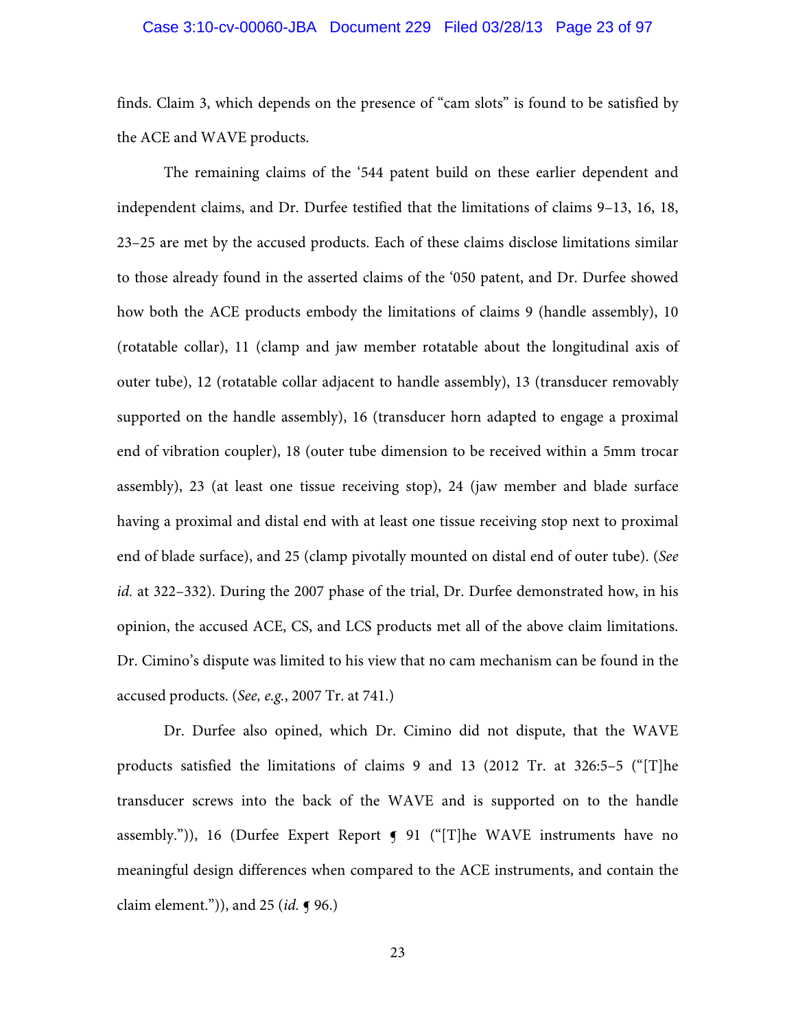# Case 3:10-cv-00060-JBA Document 229 Filed 03/28/13 Page 23 of 97

finds. Claim 3, which depends on the presence of "cam slots" is found to be satisfied by the ACE and WAVE products.

The remaining claims of the '544 patent build on these earlier dependent and independent claims, and Dr. Durfee testified that the limitations of claims 9–13, 16, 18, 23–25 are met by the accused products. Each of these claims disclose limitations similar to those already found in the asserted claims of the '050 patent, and Dr. Durfee showed how both the ACE products embody the limitations of claims 9 (handle assembly), 10 (rotatable collar), 11 (clamp and jaw member rotatable about the longitudinal axis of outer tube), 12 (rotatable collar adjacent to handle assembly), 13 (transducer removably supported on the handle assembly), 16 (transducer horn adapted to engage a proximal end of vibration coupler), 18 (outer tube dimension to be received within a 5mm trocar assembly), 23 (at least one tissue receiving stop), 24 (jaw member and blade surface having a proximal and distal end with at least one tissue receiving stop next to proximal end of blade surface), and 25 (clamp pivotally mounted on distal end of outer tube). (*See id.* at 322–332). During the 2007 phase of the trial, Dr. Durfee demonstrated how, in his opinion, the accused ACE, CS, and LCS products met all of the above claim limitations. Dr. Cimino's dispute was limited to his view that no cam mechanism can be found in the accused products. (*See, e.g.*, 2007 Tr. at 741.)

Dr. Durfee also opined, which Dr. Cimino did not dispute, that the WAVE products satisfied the limitations of claims 9 and 13 (2012 Tr. at 326:5–5 ("[T]he transducer screws into the back of the WAVE and is supported on to the handle assembly.")), 16 (Durfee Expert Report  $\int$  91 ("[T]he WAVE instruments have no meaningful design differences when compared to the ACE instruments, and contain the claim element.")), and 25 (*id.* ¶ 96.)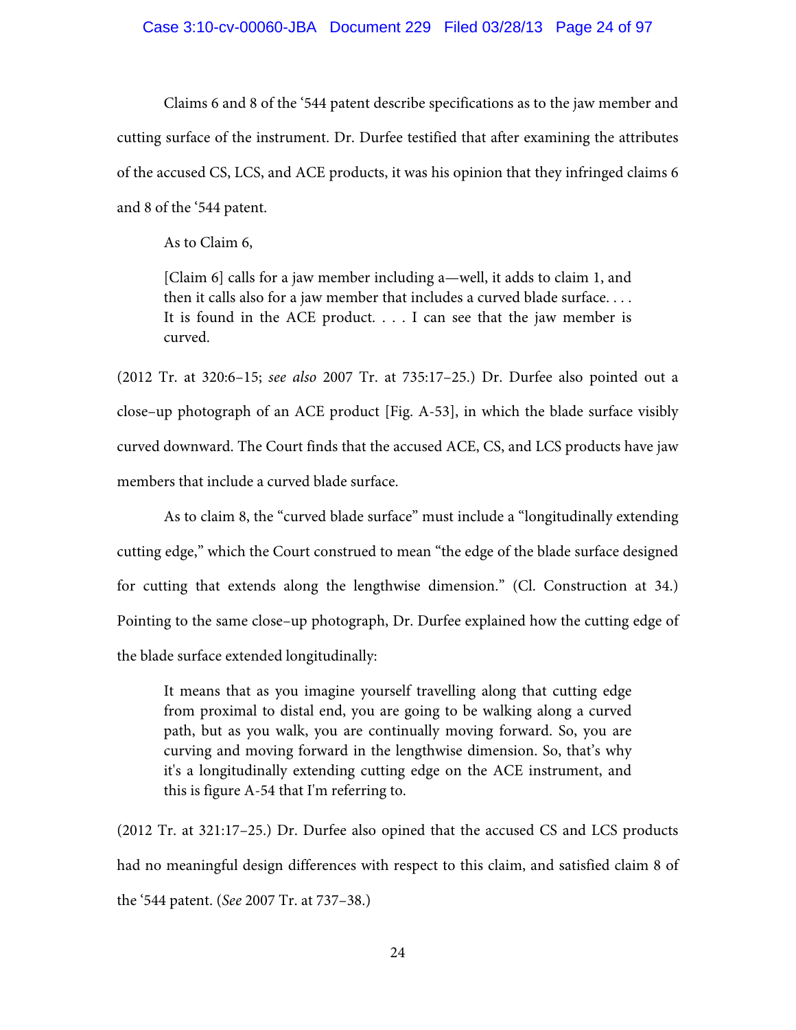### Case 3:10-cv-00060-JBA Document 229 Filed 03/28/13 Page 24 of 97

Claims 6 and 8 of the '544 patent describe specifications as to the jaw member and cutting surface of the instrument. Dr. Durfee testified that after examining the attributes of the accused CS, LCS, and ACE products, it was his opinion that they infringed claims 6 and 8 of the '544 patent.

As to Claim 6,

[Claim 6] calls for a jaw member including a—well, it adds to claim 1, and then it calls also for a jaw member that includes a curved blade surface. . . . It is found in the ACE product. . . . I can see that the jaw member is curved.

(2012 Tr. at 320:6–15; *see also* 2007 Tr. at 735:17–25.) Dr. Durfee also pointed out a close–up photograph of an ACE product [Fig. A-53], in which the blade surface visibly curved downward. The Court finds that the accused ACE, CS, and LCS products have jaw members that include a curved blade surface.

 As to claim 8, the "curved blade surface" must include a "longitudinally extending cutting edge," which the Court construed to mean "the edge of the blade surface designed for cutting that extends along the lengthwise dimension." (Cl. Construction at 34.) Pointing to the same close–up photograph, Dr. Durfee explained how the cutting edge of the blade surface extended longitudinally:

It means that as you imagine yourself travelling along that cutting edge from proximal to distal end, you are going to be walking along a curved path, but as you walk, you are continually moving forward. So, you are curving and moving forward in the lengthwise dimension. So, that's why it's a longitudinally extending cutting edge on the ACE instrument, and this is figure A-54 that I'm referring to.

(2012 Tr. at 321:17–25.) Dr. Durfee also opined that the accused CS and LCS products had no meaningful design differences with respect to this claim, and satisfied claim 8 of the '544 patent. (*See* 2007 Tr. at 737–38.)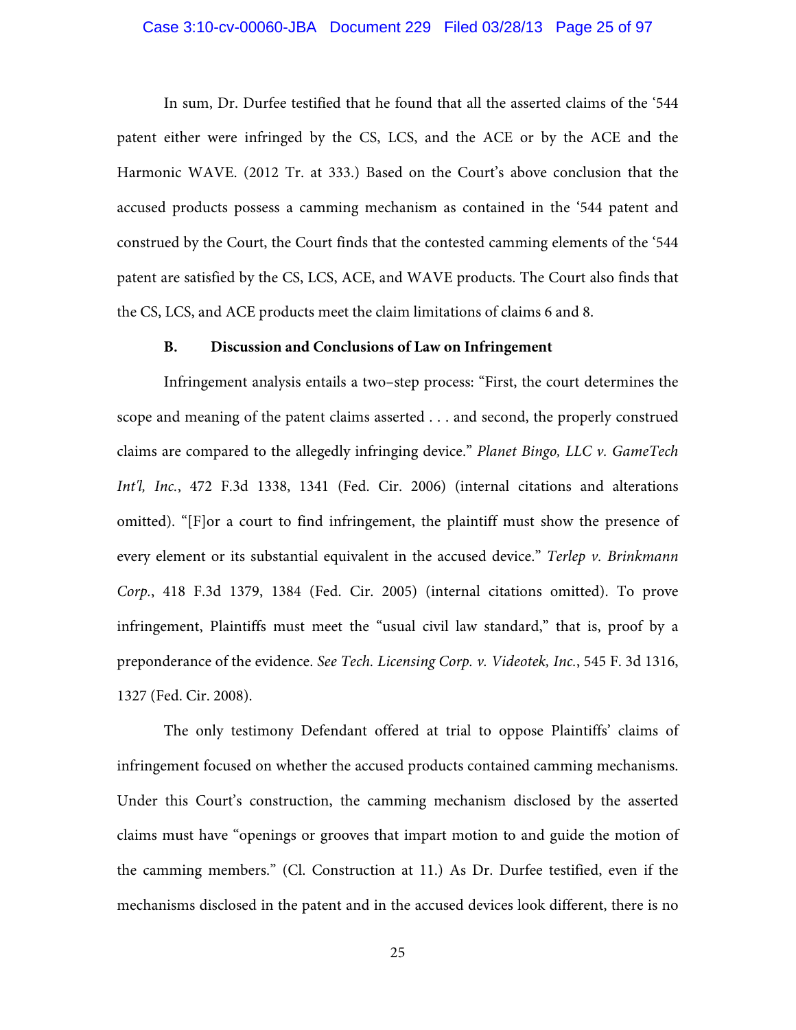### Case 3:10-cv-00060-JBA Document 229 Filed 03/28/13 Page 25 of 97

 In sum, Dr. Durfee testified that he found that all the asserted claims of the '544 patent either were infringed by the CS, LCS, and the ACE or by the ACE and the Harmonic WAVE. (2012 Tr. at 333.) Based on the Court's above conclusion that the accused products possess a camming mechanism as contained in the '544 patent and construed by the Court, the Court finds that the contested camming elements of the '544 patent are satisfied by the CS, LCS, ACE, and WAVE products. The Court also finds that the CS, LCS, and ACE products meet the claim limitations of claims 6 and 8.

#### **B. Discussion and Conclusions of Law on Infringement**

Infringement analysis entails a two–step process: "First, the court determines the scope and meaning of the patent claims asserted . . . and second, the properly construed claims are compared to the allegedly infringing device." *Planet Bingo, LLC v. GameTech Int'l, Inc.*, 472 F.3d 1338, 1341 (Fed. Cir. 2006) (internal citations and alterations omitted). "[F]or a court to find infringement, the plaintiff must show the presence of every element or its substantial equivalent in the accused device." *Terlep v. Brinkmann Corp.*, 418 F.3d 1379, 1384 (Fed. Cir. 2005) (internal citations omitted). To prove infringement, Plaintiffs must meet the "usual civil law standard," that is, proof by a preponderance of the evidence. *See Tech. Licensing Corp. v. Videotek, Inc.*, 545 F. 3d 1316, 1327 (Fed. Cir. 2008).

The only testimony Defendant offered at trial to oppose Plaintiffs' claims of infringement focused on whether the accused products contained camming mechanisms. Under this Court's construction, the camming mechanism disclosed by the asserted claims must have "openings or grooves that impart motion to and guide the motion of the camming members." (Cl. Construction at 11.) As Dr. Durfee testified, even if the mechanisms disclosed in the patent and in the accused devices look different, there is no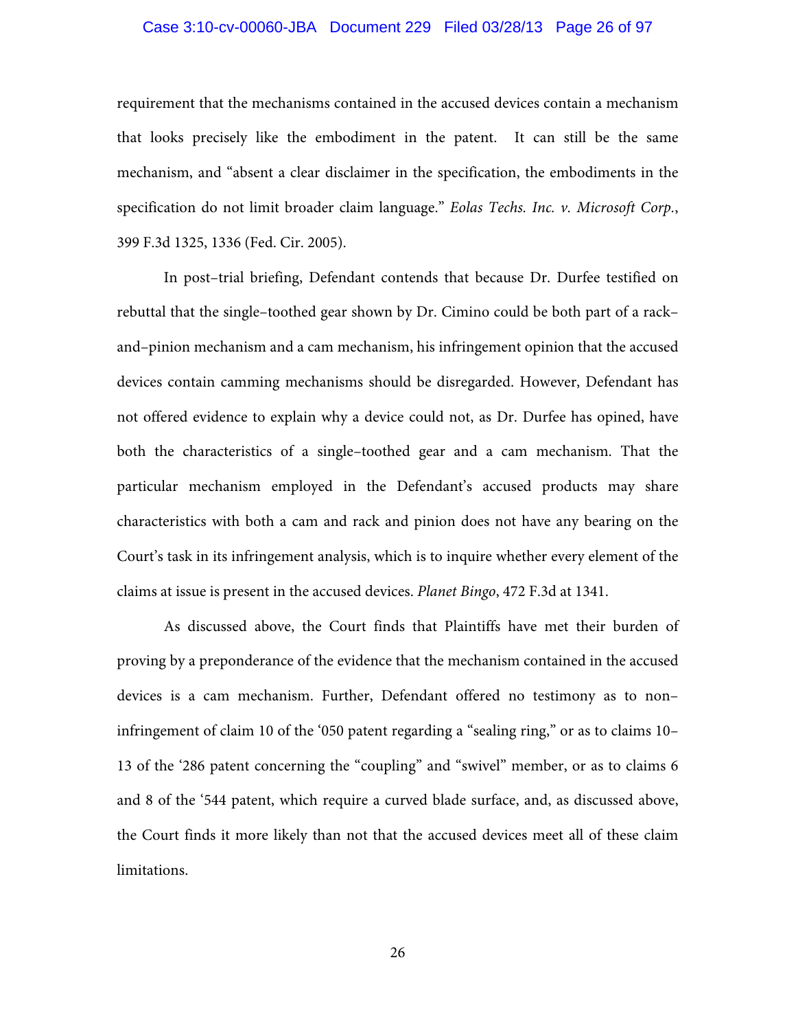# Case 3:10-cv-00060-JBA Document 229 Filed 03/28/13 Page 26 of 97

requirement that the mechanisms contained in the accused devices contain a mechanism that looks precisely like the embodiment in the patent. It can still be the same mechanism, and "absent a clear disclaimer in the specification, the embodiments in the specification do not limit broader claim language." *Eolas Techs. Inc. v. Microsoft Corp.*, 399 F.3d 1325, 1336 (Fed. Cir. 2005).

In post–trial briefing, Defendant contends that because Dr. Durfee testified on rebuttal that the single–toothed gear shown by Dr. Cimino could be both part of a rack– and–pinion mechanism and a cam mechanism, his infringement opinion that the accused devices contain camming mechanisms should be disregarded. However, Defendant has not offered evidence to explain why a device could not, as Dr. Durfee has opined, have both the characteristics of a single–toothed gear and a cam mechanism. That the particular mechanism employed in the Defendant's accused products may share characteristics with both a cam and rack and pinion does not have any bearing on the Court's task in its infringement analysis, which is to inquire whether every element of the claims at issue is present in the accused devices. *Planet Bingo*, 472 F.3d at 1341.

As discussed above, the Court finds that Plaintiffs have met their burden of proving by a preponderance of the evidence that the mechanism contained in the accused devices is a cam mechanism. Further, Defendant offered no testimony as to non– infringement of claim 10 of the '050 patent regarding a "sealing ring," or as to claims 10– 13 of the '286 patent concerning the "coupling" and "swivel" member, or as to claims 6 and 8 of the '544 patent, which require a curved blade surface, and, as discussed above, the Court finds it more likely than not that the accused devices meet all of these claim limitations.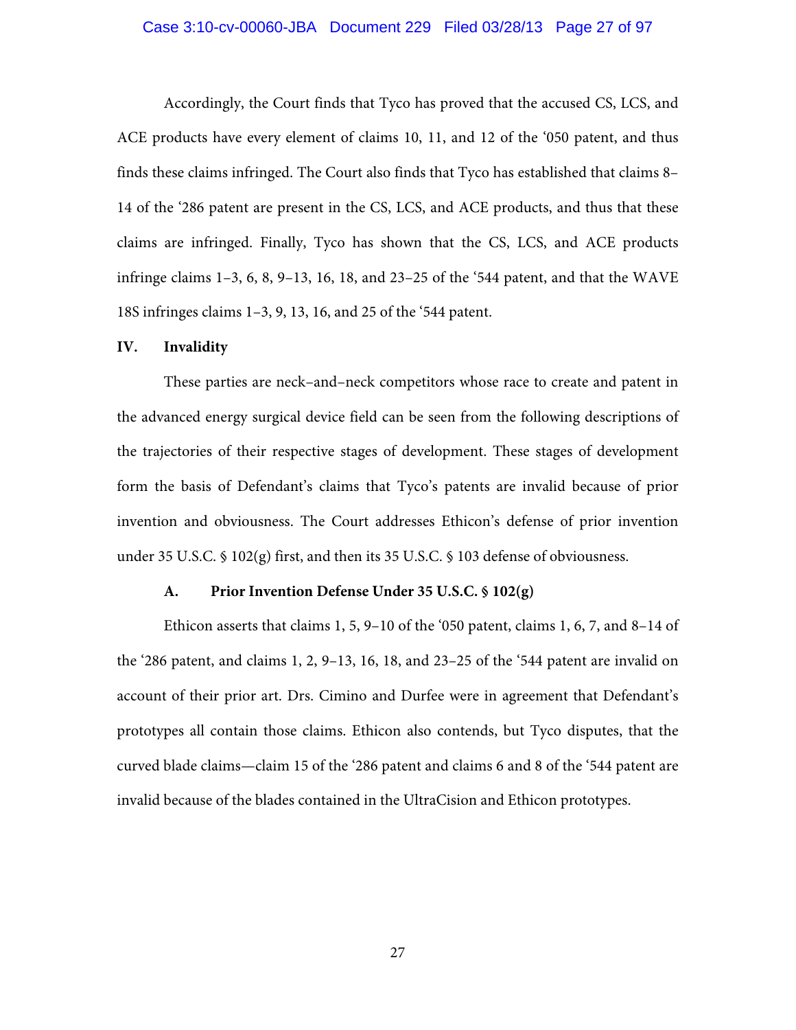#### Case 3:10-cv-00060-JBA Document 229 Filed 03/28/13 Page 27 of 97

Accordingly, the Court finds that Tyco has proved that the accused CS, LCS, and ACE products have every element of claims 10, 11, and 12 of the '050 patent, and thus finds these claims infringed. The Court also finds that Tyco has established that claims 8– 14 of the '286 patent are present in the CS, LCS, and ACE products, and thus that these claims are infringed. Finally, Tyco has shown that the CS, LCS, and ACE products infringe claims 1–3, 6, 8, 9–13, 16, 18, and 23–25 of the '544 patent, and that the WAVE 18S infringes claims 1–3, 9, 13, 16, and 25 of the '544 patent.

### **IV. Invalidity**

These parties are neck–and–neck competitors whose race to create and patent in the advanced energy surgical device field can be seen from the following descriptions of the trajectories of their respective stages of development. These stages of development form the basis of Defendant's claims that Tyco's patents are invalid because of prior invention and obviousness. The Court addresses Ethicon's defense of prior invention under 35 U.S.C. § 102(g) first, and then its 35 U.S.C. § 103 defense of obviousness.

#### **A. Prior Invention Defense Under 35 U.S.C. § 102(g)**

Ethicon asserts that claims 1, 5, 9–10 of the '050 patent, claims 1, 6, 7, and 8–14 of the '286 patent, and claims 1, 2, 9–13, 16, 18, and 23–25 of the '544 patent are invalid on account of their prior art. Drs. Cimino and Durfee were in agreement that Defendant's prototypes all contain those claims. Ethicon also contends, but Tyco disputes, that the curved blade claims—claim 15 of the '286 patent and claims 6 and 8 of the '544 patent are invalid because of the blades contained in the UltraCision and Ethicon prototypes.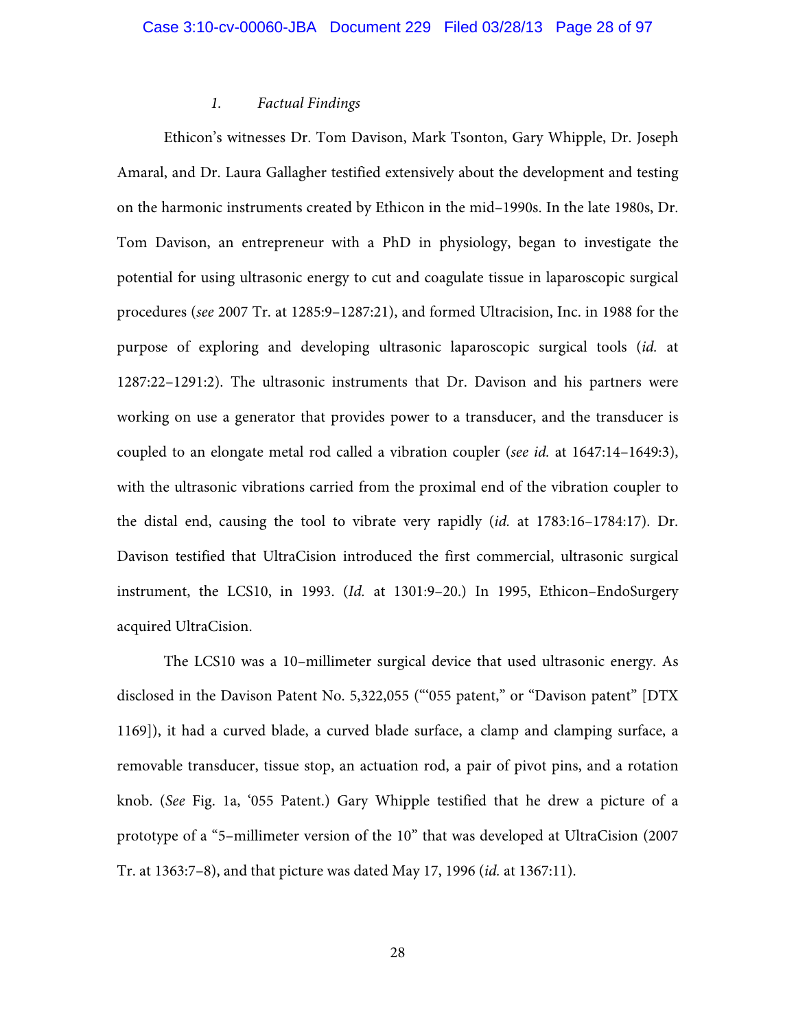## *1. Factual Findings*

Ethicon's witnesses Dr. Tom Davison, Mark Tsonton, Gary Whipple, Dr. Joseph Amaral, and Dr. Laura Gallagher testified extensively about the development and testing on the harmonic instruments created by Ethicon in the mid–1990s. In the late 1980s, Dr. Tom Davison, an entrepreneur with a PhD in physiology, began to investigate the potential for using ultrasonic energy to cut and coagulate tissue in laparoscopic surgical procedures (*see* 2007 Tr. at 1285:9–1287:21), and formed Ultracision, Inc. in 1988 for the purpose of exploring and developing ultrasonic laparoscopic surgical tools (*id.* at 1287:22–1291:2). The ultrasonic instruments that Dr. Davison and his partners were working on use a generator that provides power to a transducer, and the transducer is coupled to an elongate metal rod called a vibration coupler (*see id.* at 1647:14–1649:3), with the ultrasonic vibrations carried from the proximal end of the vibration coupler to the distal end, causing the tool to vibrate very rapidly (*id.* at 1783:16–1784:17). Dr. Davison testified that UltraCision introduced the first commercial, ultrasonic surgical instrument, the LCS10, in 1993. (*Id.* at 1301:9–20.) In 1995, Ethicon–EndoSurgery acquired UltraCision.

The LCS10 was a 10–millimeter surgical device that used ultrasonic energy. As disclosed in the Davison Patent No. 5,322,055 ("'055 patent," or "Davison patent" [DTX 1169]), it had a curved blade, a curved blade surface, a clamp and clamping surface, a removable transducer, tissue stop, an actuation rod, a pair of pivot pins, and a rotation knob. (*See* Fig. 1a, '055 Patent.) Gary Whipple testified that he drew a picture of a prototype of a "5–millimeter version of the 10" that was developed at UltraCision (2007 Tr. at 1363:7–8), and that picture was dated May 17, 1996 (*id.* at 1367:11).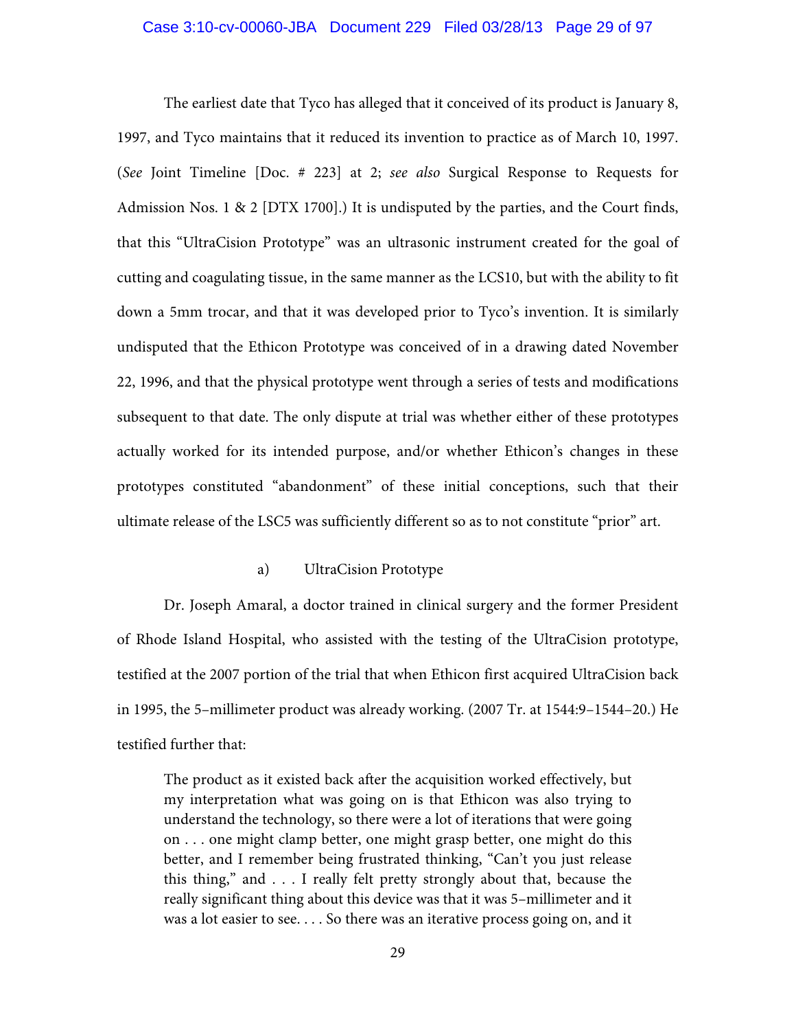#### Case 3:10-cv-00060-JBA Document 229 Filed 03/28/13 Page 29 of 97

The earliest date that Tyco has alleged that it conceived of its product is January 8, 1997, and Tyco maintains that it reduced its invention to practice as of March 10, 1997. (*See* Joint Timeline [Doc. # 223] at 2; *see also* Surgical Response to Requests for Admission Nos. 1 & 2 [DTX 1700].) It is undisputed by the parties, and the Court finds, that this "UltraCision Prototype" was an ultrasonic instrument created for the goal of cutting and coagulating tissue, in the same manner as the LCS10, but with the ability to fit down a 5mm trocar, and that it was developed prior to Tyco's invention. It is similarly undisputed that the Ethicon Prototype was conceived of in a drawing dated November 22, 1996, and that the physical prototype went through a series of tests and modifications subsequent to that date. The only dispute at trial was whether either of these prototypes actually worked for its intended purpose, and/or whether Ethicon's changes in these prototypes constituted "abandonment" of these initial conceptions, such that their ultimate release of the LSC5 was sufficiently different so as to not constitute "prior" art.

### a) UltraCision Prototype

Dr. Joseph Amaral, a doctor trained in clinical surgery and the former President of Rhode Island Hospital, who assisted with the testing of the UltraCision prototype, testified at the 2007 portion of the trial that when Ethicon first acquired UltraCision back in 1995, the 5–millimeter product was already working. (2007 Tr. at 1544:9–1544–20.) He testified further that:

The product as it existed back after the acquisition worked effectively, but my interpretation what was going on is that Ethicon was also trying to understand the technology, so there were a lot of iterations that were going on . . . one might clamp better, one might grasp better, one might do this better, and I remember being frustrated thinking, "Can't you just release this thing," and . . . I really felt pretty strongly about that, because the really significant thing about this device was that it was 5–millimeter and it was a lot easier to see. . . . So there was an iterative process going on, and it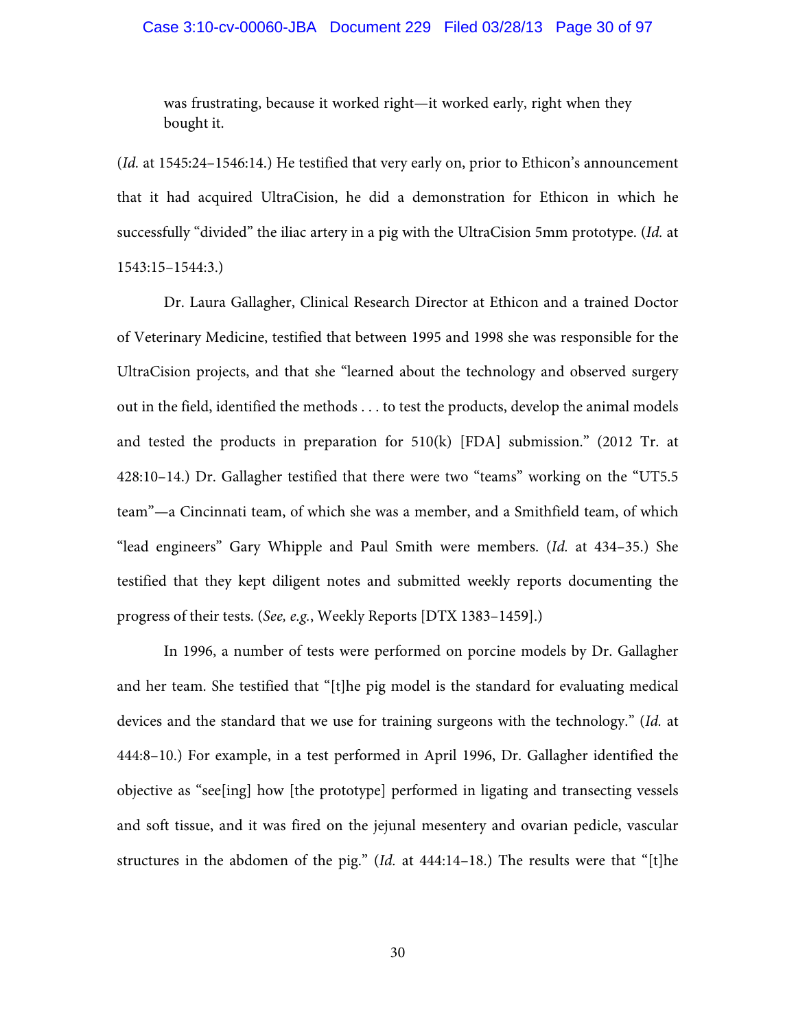### Case 3:10-cv-00060-JBA Document 229 Filed 03/28/13 Page 30 of 97

was frustrating, because it worked right—it worked early, right when they bought it.

(*Id.* at 1545:24–1546:14.) He testified that very early on, prior to Ethicon's announcement that it had acquired UltraCision, he did a demonstration for Ethicon in which he successfully "divided" the iliac artery in a pig with the UltraCision 5mm prototype. (*Id.* at 1543:15–1544:3.)

Dr. Laura Gallagher, Clinical Research Director at Ethicon and a trained Doctor of Veterinary Medicine, testified that between 1995 and 1998 she was responsible for the UltraCision projects, and that she "learned about the technology and observed surgery out in the field, identified the methods . . . to test the products, develop the animal models and tested the products in preparation for 510(k) [FDA] submission." (2012 Tr. at 428:10–14.) Dr. Gallagher testified that there were two "teams" working on the "UT5.5 team"—a Cincinnati team, of which she was a member, and a Smithfield team, of which "lead engineers" Gary Whipple and Paul Smith were members. (*Id.* at 434–35.) She testified that they kept diligent notes and submitted weekly reports documenting the progress of their tests. (*See, e.g.*, Weekly Reports [DTX 1383–1459].)

In 1996, a number of tests were performed on porcine models by Dr. Gallagher and her team. She testified that "[t]he pig model is the standard for evaluating medical devices and the standard that we use for training surgeons with the technology." (*Id.* at 444:8–10.) For example, in a test performed in April 1996, Dr. Gallagher identified the objective as "see[ing] how [the prototype] performed in ligating and transecting vessels and soft tissue, and it was fired on the jejunal mesentery and ovarian pedicle, vascular structures in the abdomen of the pig." (*Id.* at 444:14–18.) The results were that "[t]he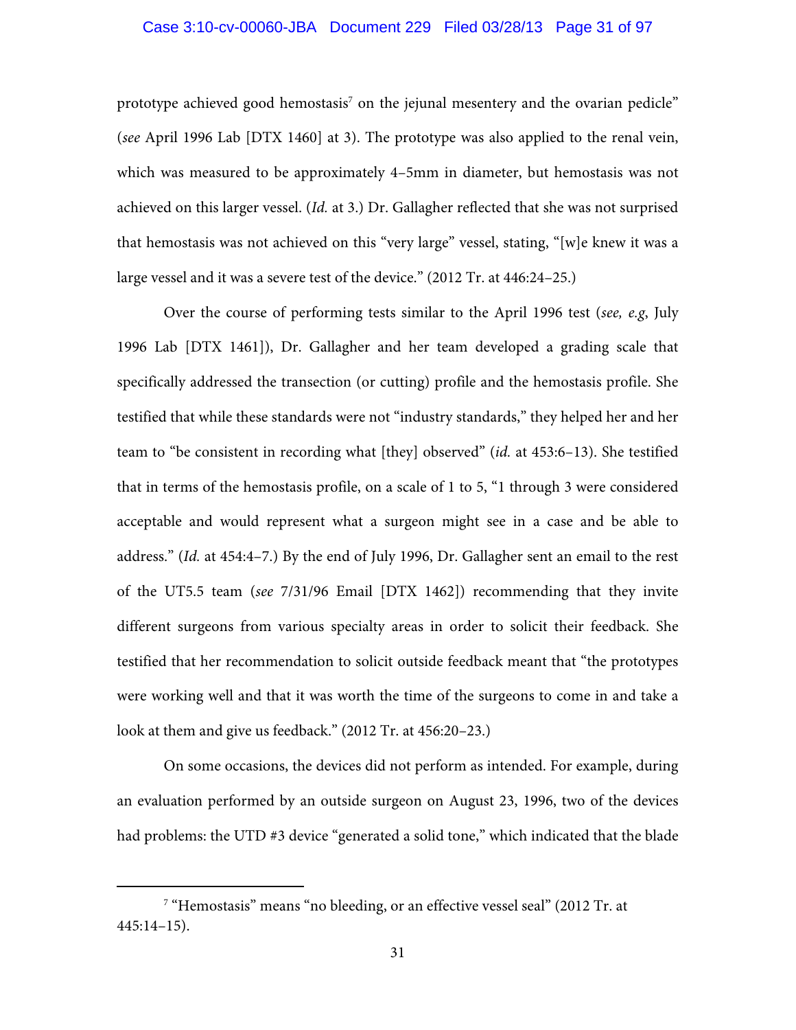## Case 3:10-cv-00060-JBA Document 229 Filed 03/28/13 Page 31 of 97

prototype achieved good hemostasis $^7$  on the jejunal mesentery and the ovarian pedicle" (*see* April 1996 Lab [DTX 1460] at 3). The prototype was also applied to the renal vein, which was measured to be approximately 4–5mm in diameter, but hemostasis was not achieved on this larger vessel. (*Id.* at 3.) Dr. Gallagher reflected that she was not surprised that hemostasis was not achieved on this "very large" vessel, stating, "[w]e knew it was a large vessel and it was a severe test of the device." (2012 Tr. at 446:24–25.)

Over the course of performing tests similar to the April 1996 test (*see, e.g*, July 1996 Lab [DTX 1461]), Dr. Gallagher and her team developed a grading scale that specifically addressed the transection (or cutting) profile and the hemostasis profile. She testified that while these standards were not "industry standards," they helped her and her team to "be consistent in recording what [they] observed" (*id.* at 453:6–13). She testified that in terms of the hemostasis profile, on a scale of 1 to 5, "1 through 3 were considered acceptable and would represent what a surgeon might see in a case and be able to address." (*Id.* at 454:4–7.) By the end of July 1996, Dr. Gallagher sent an email to the rest of the UT5.5 team (*see* 7/31/96 Email [DTX 1462]) recommending that they invite different surgeons from various specialty areas in order to solicit their feedback. She testified that her recommendation to solicit outside feedback meant that "the prototypes were working well and that it was worth the time of the surgeons to come in and take a look at them and give us feedback." (2012 Tr. at 456:20–23.)

On some occasions, the devices did not perform as intended. For example, during an evaluation performed by an outside surgeon on August 23, 1996, two of the devices had problems: the UTD #3 device "generated a solid tone," which indicated that the blade

 $\begin{array}{c|c}\n\hline\n\hline\n\end{array}$ <sup>7</sup> "Hemostasis" means "no bleeding, or an effective vessel seal" (2012 Tr. at 445:14–15).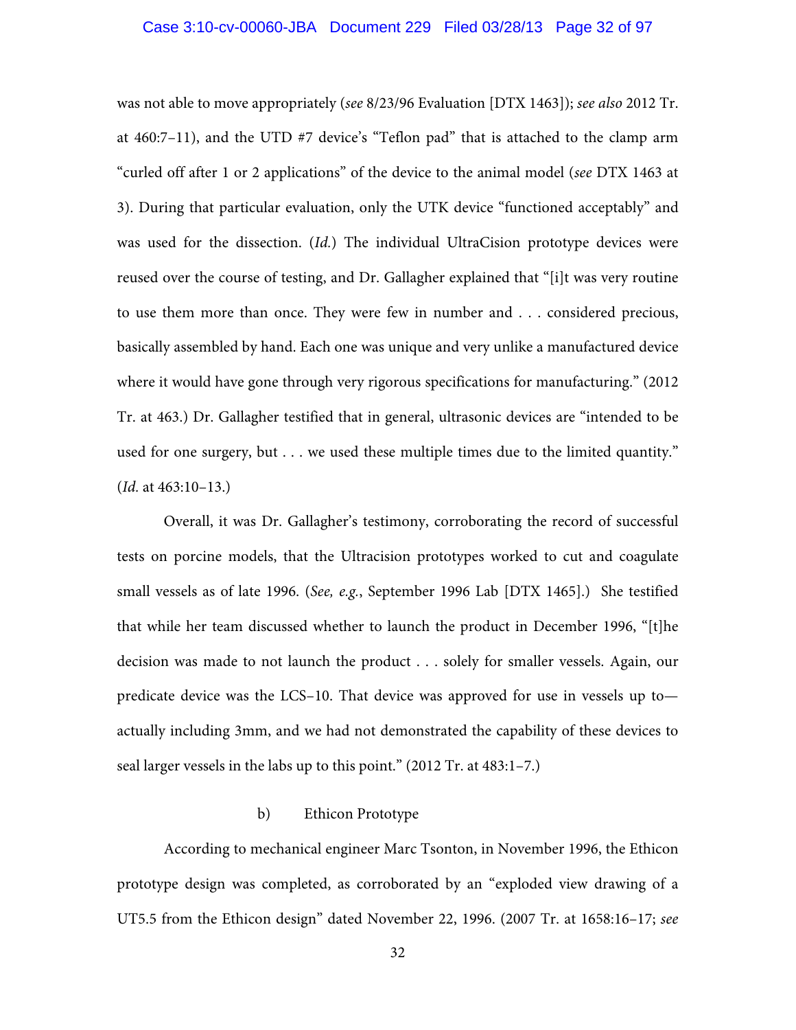### Case 3:10-cv-00060-JBA Document 229 Filed 03/28/13 Page 32 of 97

was not able to move appropriately (*see* 8/23/96 Evaluation [DTX 1463]); *see also* 2012 Tr. at 460:7–11), and the UTD #7 device's "Teflon pad" that is attached to the clamp arm "curled off after 1 or 2 applications" of the device to the animal model (*see* DTX 1463 at 3). During that particular evaluation, only the UTK device "functioned acceptably" and was used for the dissection. (*Id.*) The individual UltraCision prototype devices were reused over the course of testing, and Dr. Gallagher explained that "[i]t was very routine to use them more than once. They were few in number and . . . considered precious, basically assembled by hand. Each one was unique and very unlike a manufactured device where it would have gone through very rigorous specifications for manufacturing." (2012 Tr. at 463.) Dr. Gallagher testified that in general, ultrasonic devices are "intended to be used for one surgery, but . . . we used these multiple times due to the limited quantity." (*Id.* at 463:10–13.)

Overall, it was Dr. Gallagher's testimony, corroborating the record of successful tests on porcine models, that the Ultracision prototypes worked to cut and coagulate small vessels as of late 1996. (*See, e.g.*, September 1996 Lab [DTX 1465].) She testified that while her team discussed whether to launch the product in December 1996, "[t]he decision was made to not launch the product . . . solely for smaller vessels. Again, our predicate device was the LCS–10. That device was approved for use in vessels up to actually including 3mm, and we had not demonstrated the capability of these devices to seal larger vessels in the labs up to this point." (2012 Tr. at 483:1–7.)

### b) Ethicon Prototype

According to mechanical engineer Marc Tsonton, in November 1996, the Ethicon prototype design was completed, as corroborated by an "exploded view drawing of a UT5.5 from the Ethicon design" dated November 22, 1996. (2007 Tr. at 1658:16–17; *see*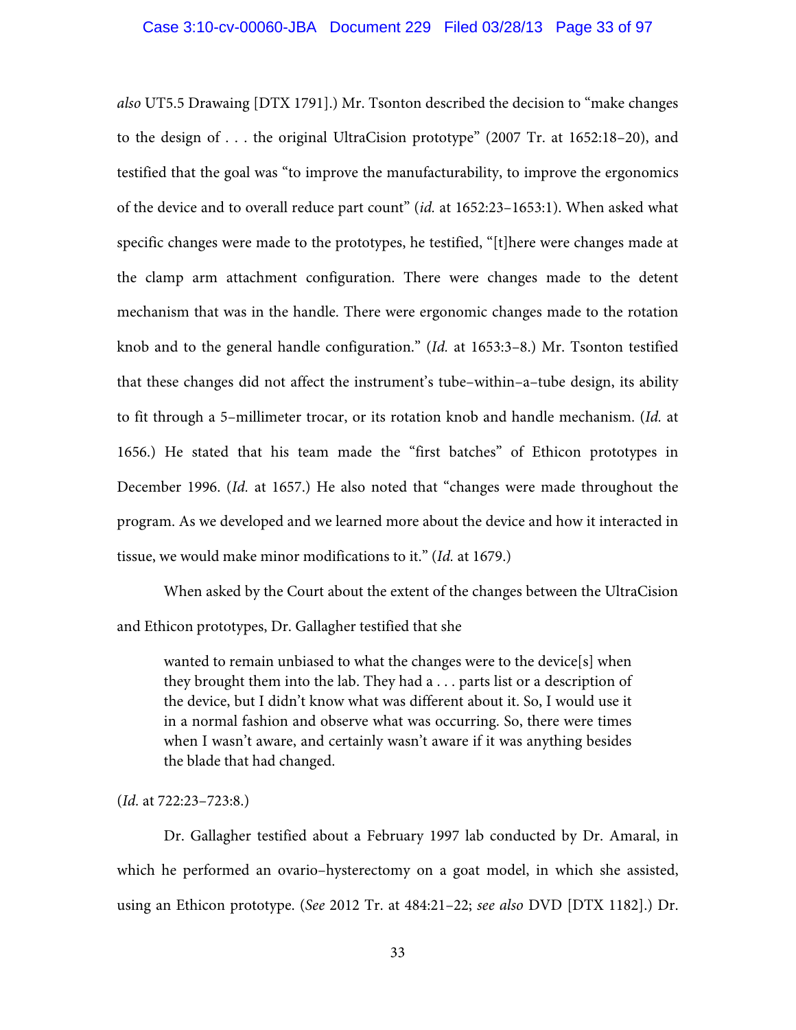*also* UT5.5 Drawaing [DTX 1791].) Mr. Tsonton described the decision to "make changes to the design of . . . the original UltraCision prototype" (2007 Tr. at 1652:18–20), and testified that the goal was "to improve the manufacturability, to improve the ergonomics of the device and to overall reduce part count" (*id.* at 1652:23–1653:1). When asked what specific changes were made to the prototypes, he testified, "[t]here were changes made at the clamp arm attachment configuration. There were changes made to the detent mechanism that was in the handle. There were ergonomic changes made to the rotation knob and to the general handle configuration." (*Id.* at 1653:3–8.) Mr. Tsonton testified that these changes did not affect the instrument's tube–within–a–tube design, its ability to fit through a 5–millimeter trocar, or its rotation knob and handle mechanism. (*Id.* at 1656.) He stated that his team made the "first batches" of Ethicon prototypes in December 1996. (*Id.* at 1657.) He also noted that "changes were made throughout the program. As we developed and we learned more about the device and how it interacted in tissue, we would make minor modifications to it." (*Id.* at 1679.)

When asked by the Court about the extent of the changes between the UltraCision and Ethicon prototypes, Dr. Gallagher testified that she

wanted to remain unbiased to what the changes were to the device[s] when they brought them into the lab. They had a . . . parts list or a description of the device, but I didn't know what was different about it. So, I would use it in a normal fashion and observe what was occurring. So, there were times when I wasn't aware, and certainly wasn't aware if it was anything besides the blade that had changed.

## (*Id.* at 722:23–723:8.)

Dr. Gallagher testified about a February 1997 lab conducted by Dr. Amaral, in which he performed an ovario–hysterectomy on a goat model, in which she assisted, using an Ethicon prototype. (*See* 2012 Tr. at 484:21–22; *see also* DVD [DTX 1182].) Dr.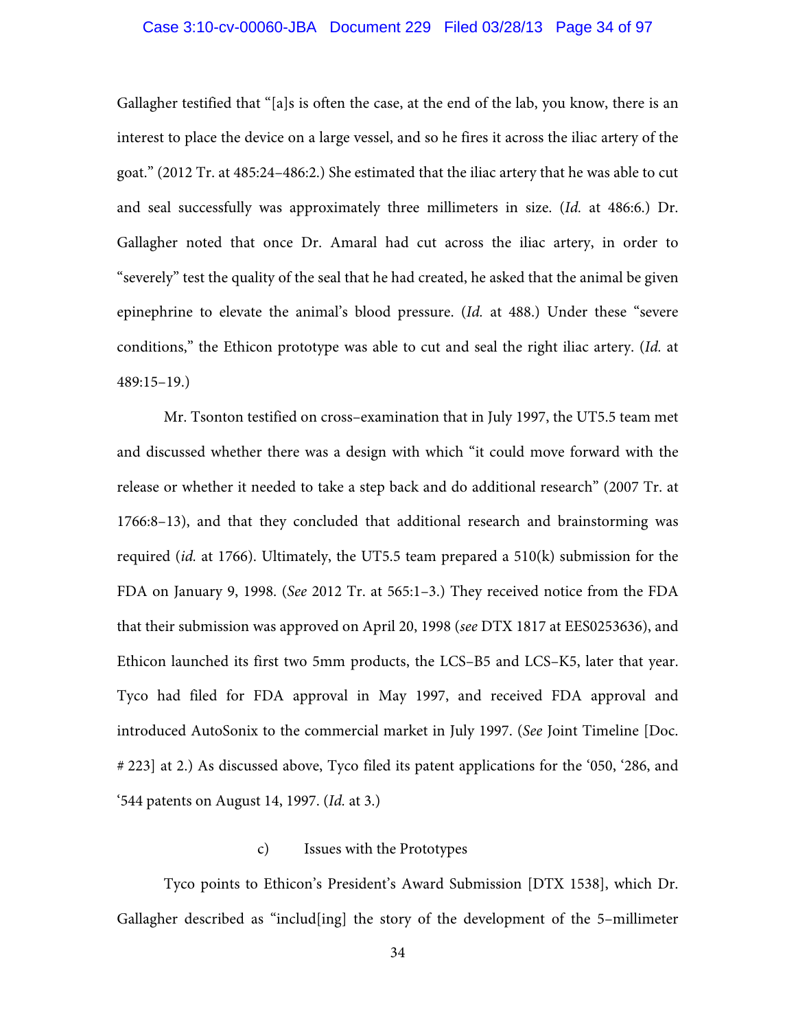### Case 3:10-cv-00060-JBA Document 229 Filed 03/28/13 Page 34 of 97

Gallagher testified that "[a]s is often the case, at the end of the lab, you know, there is an interest to place the device on a large vessel, and so he fires it across the iliac artery of the goat." (2012 Tr. at 485:24–486:2.) She estimated that the iliac artery that he was able to cut and seal successfully was approximately three millimeters in size. (*Id.* at 486:6.) Dr. Gallagher noted that once Dr. Amaral had cut across the iliac artery, in order to "severely" test the quality of the seal that he had created, he asked that the animal be given epinephrine to elevate the animal's blood pressure. (*Id.* at 488.) Under these "severe conditions," the Ethicon prototype was able to cut and seal the right iliac artery. (*Id.* at 489:15–19.)

Mr. Tsonton testified on cross–examination that in July 1997, the UT5.5 team met and discussed whether there was a design with which "it could move forward with the release or whether it needed to take a step back and do additional research" (2007 Tr. at 1766:8–13), and that they concluded that additional research and brainstorming was required (*id.* at 1766). Ultimately, the UT5.5 team prepared a 510(k) submission for the FDA on January 9, 1998. (*See* 2012 Tr. at 565:1–3.) They received notice from the FDA that their submission was approved on April 20, 1998 (*see* DTX 1817 at EES0253636), and Ethicon launched its first two 5mm products, the LCS–B5 and LCS–K5, later that year. Tyco had filed for FDA approval in May 1997, and received FDA approval and introduced AutoSonix to the commercial market in July 1997. (*See* Joint Timeline [Doc. # 223] at 2.) As discussed above, Tyco filed its patent applications for the '050, '286, and '544 patents on August 14, 1997. (*Id.* at 3.)

#### c) Issues with the Prototypes

Tyco points to Ethicon's President's Award Submission [DTX 1538], which Dr. Gallagher described as "includ[ing] the story of the development of the 5–millimeter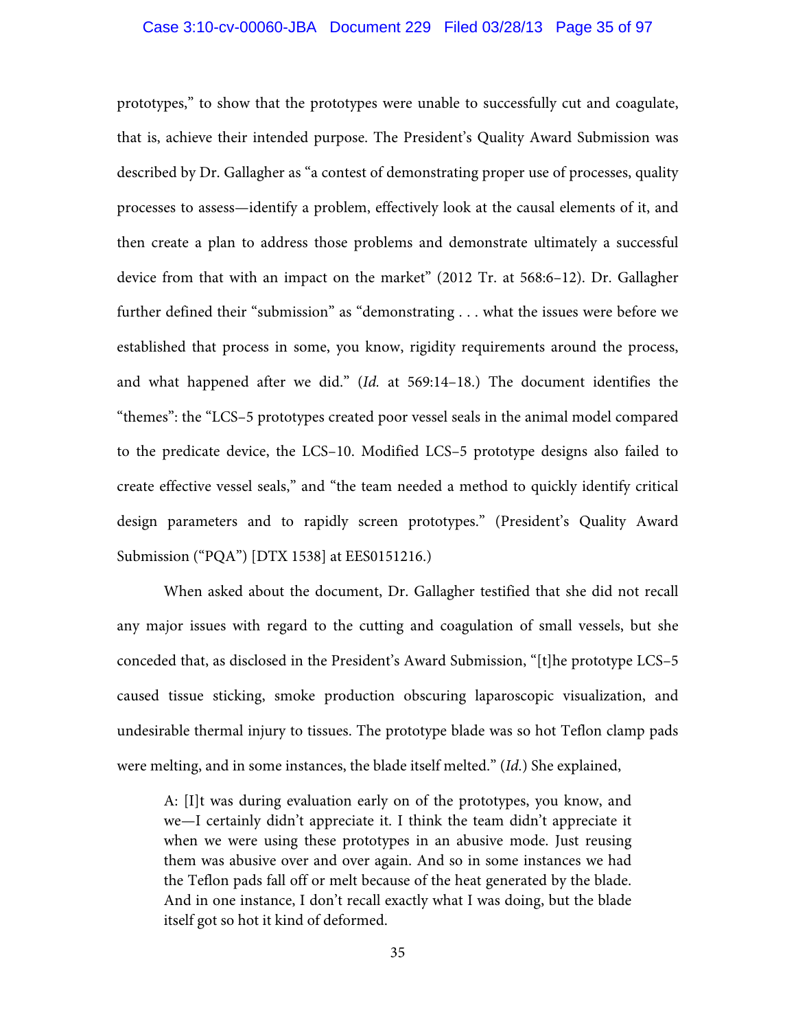#### Case 3:10-cv-00060-JBA Document 229 Filed 03/28/13 Page 35 of 97

prototypes," to show that the prototypes were unable to successfully cut and coagulate, that is, achieve their intended purpose. The President's Quality Award Submission was described by Dr. Gallagher as "a contest of demonstrating proper use of processes, quality processes to assess—identify a problem, effectively look at the causal elements of it, and then create a plan to address those problems and demonstrate ultimately a successful device from that with an impact on the market" (2012 Tr. at 568:6–12). Dr. Gallagher further defined their "submission" as "demonstrating . . . what the issues were before we established that process in some, you know, rigidity requirements around the process, and what happened after we did." (*Id.* at 569:14–18.) The document identifies the "themes": the "LCS–5 prototypes created poor vessel seals in the animal model compared to the predicate device, the LCS–10. Modified LCS–5 prototype designs also failed to create effective vessel seals," and "the team needed a method to quickly identify critical design parameters and to rapidly screen prototypes." (President's Quality Award Submission ("PQA") [DTX 1538] at EES0151216.)

When asked about the document, Dr. Gallagher testified that she did not recall any major issues with regard to the cutting and coagulation of small vessels, but she conceded that, as disclosed in the President's Award Submission, "[t]he prototype LCS–5 caused tissue sticking, smoke production obscuring laparoscopic visualization, and undesirable thermal injury to tissues. The prototype blade was so hot Teflon clamp pads were melting, and in some instances, the blade itself melted." (*Id.*) She explained,

A: [I]t was during evaluation early on of the prototypes, you know, and we—I certainly didn't appreciate it. I think the team didn't appreciate it when we were using these prototypes in an abusive mode. Just reusing them was abusive over and over again. And so in some instances we had the Teflon pads fall off or melt because of the heat generated by the blade. And in one instance, I don't recall exactly what I was doing, but the blade itself got so hot it kind of deformed.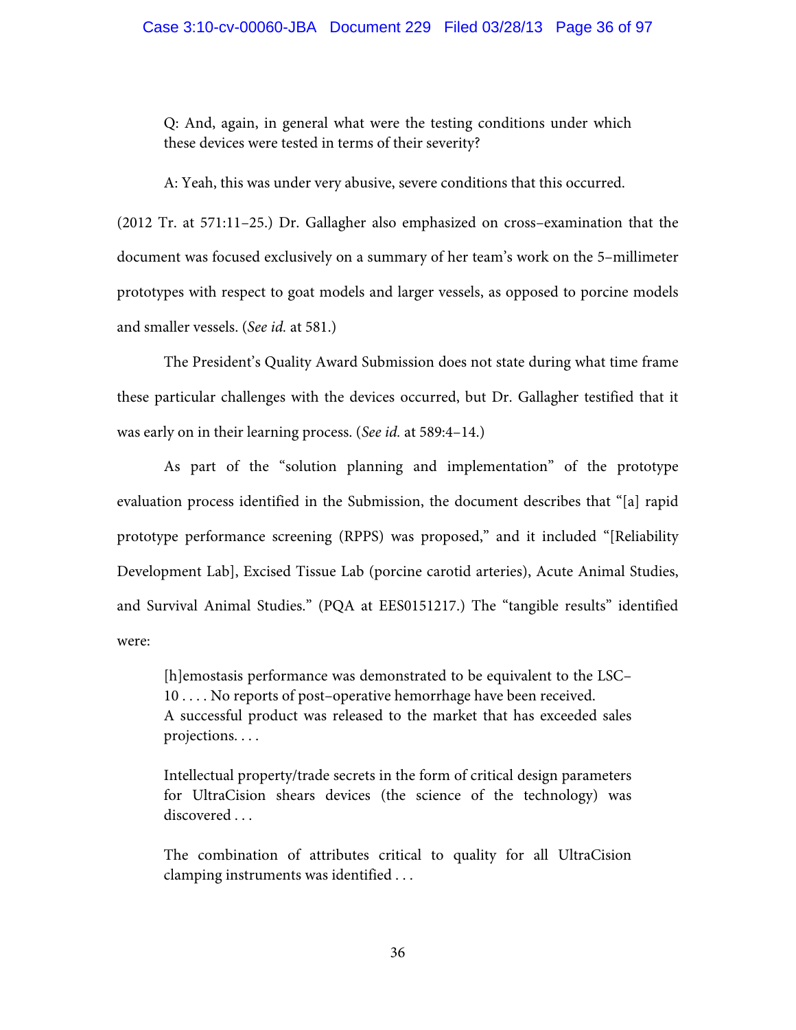Q: And, again, in general what were the testing conditions under which these devices were tested in terms of their severity?

A: Yeah, this was under very abusive, severe conditions that this occurred.

(2012 Tr. at 571:11–25.) Dr. Gallagher also emphasized on cross–examination that the document was focused exclusively on a summary of her team's work on the 5–millimeter prototypes with respect to goat models and larger vessels, as opposed to porcine models and smaller vessels. (*See id.* at 581.)

 The President's Quality Award Submission does not state during what time frame these particular challenges with the devices occurred, but Dr. Gallagher testified that it was early on in their learning process. (*See id.* at 589:4–14.)

 As part of the "solution planning and implementation" of the prototype evaluation process identified in the Submission, the document describes that "[a] rapid prototype performance screening (RPPS) was proposed," and it included "[Reliability Development Lab], Excised Tissue Lab (porcine carotid arteries), Acute Animal Studies, and Survival Animal Studies." (PQA at EES0151217.) The "tangible results" identified were:

[h]emostasis performance was demonstrated to be equivalent to the LSC– 10 . . . . No reports of post–operative hemorrhage have been received. A successful product was released to the market that has exceeded sales projections. . . .

Intellectual property/trade secrets in the form of critical design parameters for UltraCision shears devices (the science of the technology) was discovered ...

The combination of attributes critical to quality for all UltraCision clamping instruments was identified . . .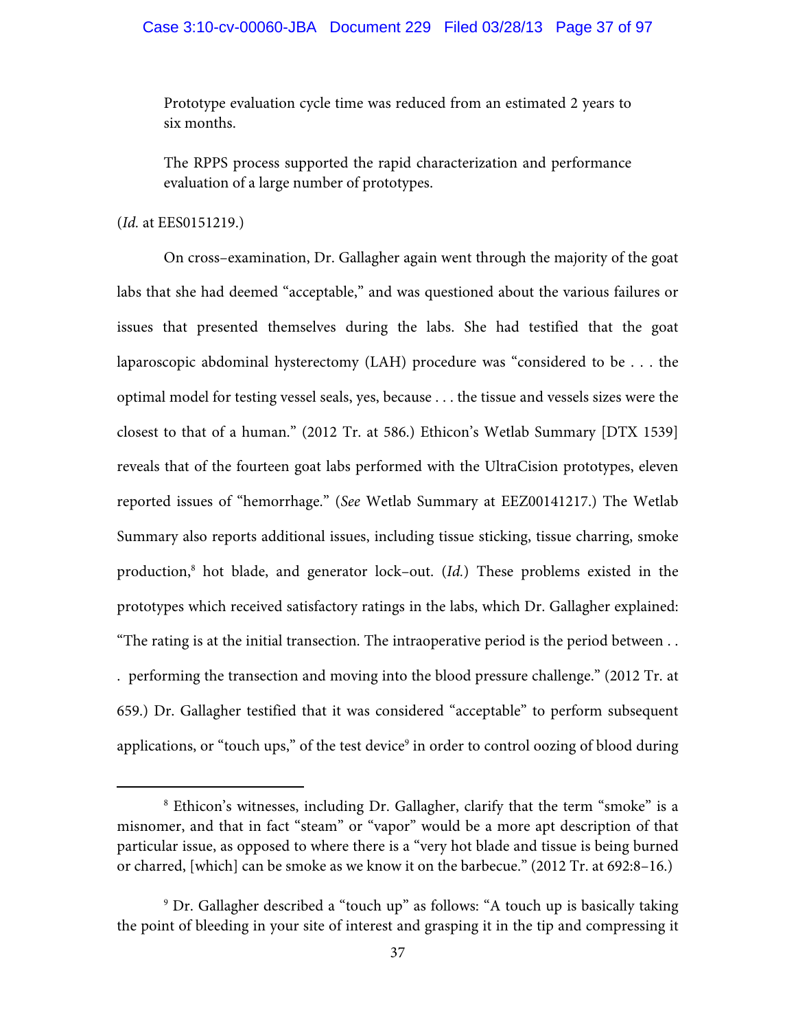# Case 3:10-cv-00060-JBA Document 229 Filed 03/28/13 Page 37 of 97

Prototype evaluation cycle time was reduced from an estimated 2 years to six months.

The RPPS process supported the rapid characterization and performance evaluation of a large number of prototypes.

## (*Id.* at EES0151219.)

 On cross–examination, Dr. Gallagher again went through the majority of the goat labs that she had deemed "acceptable," and was questioned about the various failures or issues that presented themselves during the labs. She had testified that the goat laparoscopic abdominal hysterectomy (LAH) procedure was "considered to be . . . the optimal model for testing vessel seals, yes, because . . . the tissue and vessels sizes were the closest to that of a human." (2012 Tr. at 586.) Ethicon's Wetlab Summary [DTX 1539] reveals that of the fourteen goat labs performed with the UltraCision prototypes, eleven reported issues of "hemorrhage." (*See* Wetlab Summary at EEZ00141217.) The Wetlab Summary also reports additional issues, including tissue sticking, tissue charring, smoke production,8 hot blade, and generator lock–out. (*Id.*) These problems existed in the prototypes which received satisfactory ratings in the labs, which Dr. Gallagher explained: "The rating is at the initial transection. The intraoperative period is the period between . . . performing the transection and moving into the blood pressure challenge." (2012 Tr. at 659.) Dr. Gallagher testified that it was considered "acceptable" to perform subsequent applications, or "touch ups," of the test device<sup>9</sup> in order to control oozing of blood during

 <sup>8</sup> Ethicon's witnesses, including Dr. Gallagher, clarify that the term "smoke" is a misnomer, and that in fact "steam" or "vapor" would be a more apt description of that particular issue, as opposed to where there is a "very hot blade and tissue is being burned or charred, [which] can be smoke as we know it on the barbecue." (2012 Tr. at 692:8–16.)

<sup>9</sup> Dr. Gallagher described a "touch up" as follows: "A touch up is basically taking the point of bleeding in your site of interest and grasping it in the tip and compressing it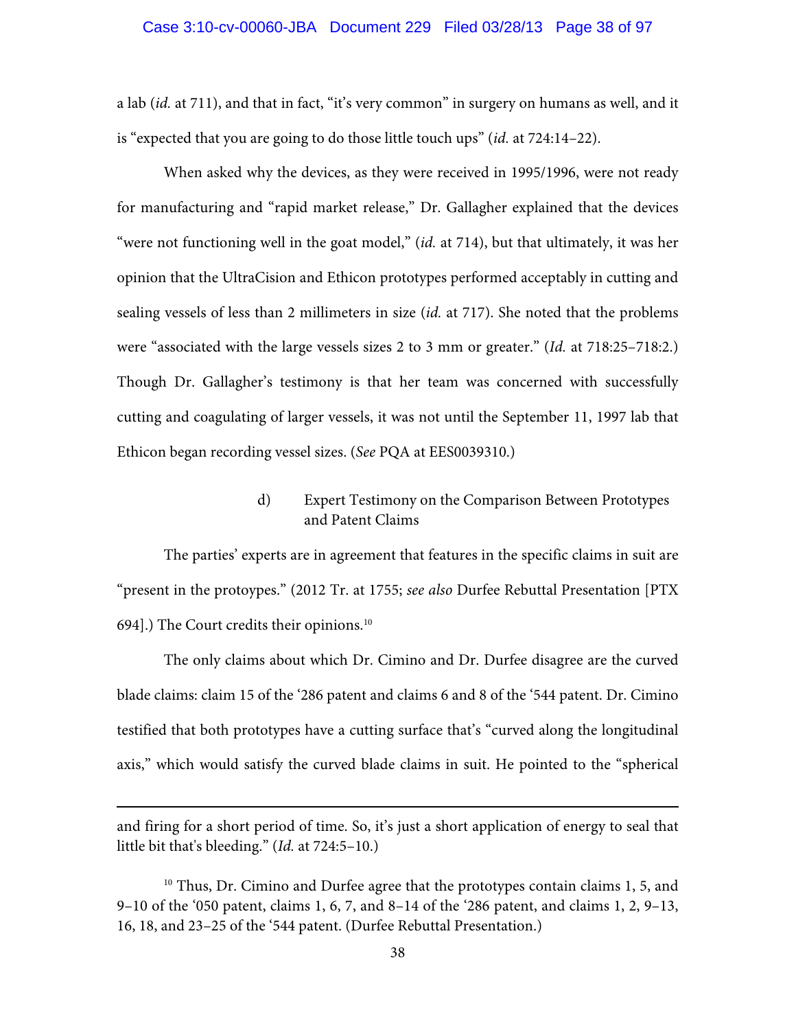### Case 3:10-cv-00060-JBA Document 229 Filed 03/28/13 Page 38 of 97

a lab (*id.* at 711), and that in fact, "it's very common" in surgery on humans as well, and it is "expected that you are going to do those little touch ups" (*id.* at 724:14–22).

 When asked why the devices, as they were received in 1995/1996, were not ready for manufacturing and "rapid market release," Dr. Gallagher explained that the devices "were not functioning well in the goat model," (*id.* at 714), but that ultimately, it was her opinion that the UltraCision and Ethicon prototypes performed acceptably in cutting and sealing vessels of less than 2 millimeters in size (*id.* at 717). She noted that the problems were "associated with the large vessels sizes 2 to 3 mm or greater." (*Id.* at 718:25–718:2.) Though Dr. Gallagher's testimony is that her team was concerned with successfully cutting and coagulating of larger vessels, it was not until the September 11, 1997 lab that Ethicon began recording vessel sizes. (*See* PQA at EES0039310.)

# d) Expert Testimony on the Comparison Between Prototypes and Patent Claims

 The parties' experts are in agreement that features in the specific claims in suit are "present in the protoypes." (2012 Tr. at 1755; *see also* Durfee Rebuttal Presentation [PTX 694].) The Court credits their opinions.<sup>10</sup>

The only claims about which Dr. Cimino and Dr. Durfee disagree are the curved blade claims: claim 15 of the '286 patent and claims 6 and 8 of the '544 patent. Dr. Cimino testified that both prototypes have a cutting surface that's "curved along the longitudinal axis," which would satisfy the curved blade claims in suit. He pointed to the "spherical

and firing for a short period of time. So, it's just a short application of energy to seal that little bit that's bleeding." (*Id.* at 724:5–10.)

 $\overline{a}$ 

<sup>10</sup> Thus, Dr. Cimino and Durfee agree that the prototypes contain claims 1, 5, and 9–10 of the '050 patent, claims 1, 6, 7, and 8–14 of the '286 patent, and claims 1, 2, 9–13, 16, 18, and 23–25 of the '544 patent. (Durfee Rebuttal Presentation.)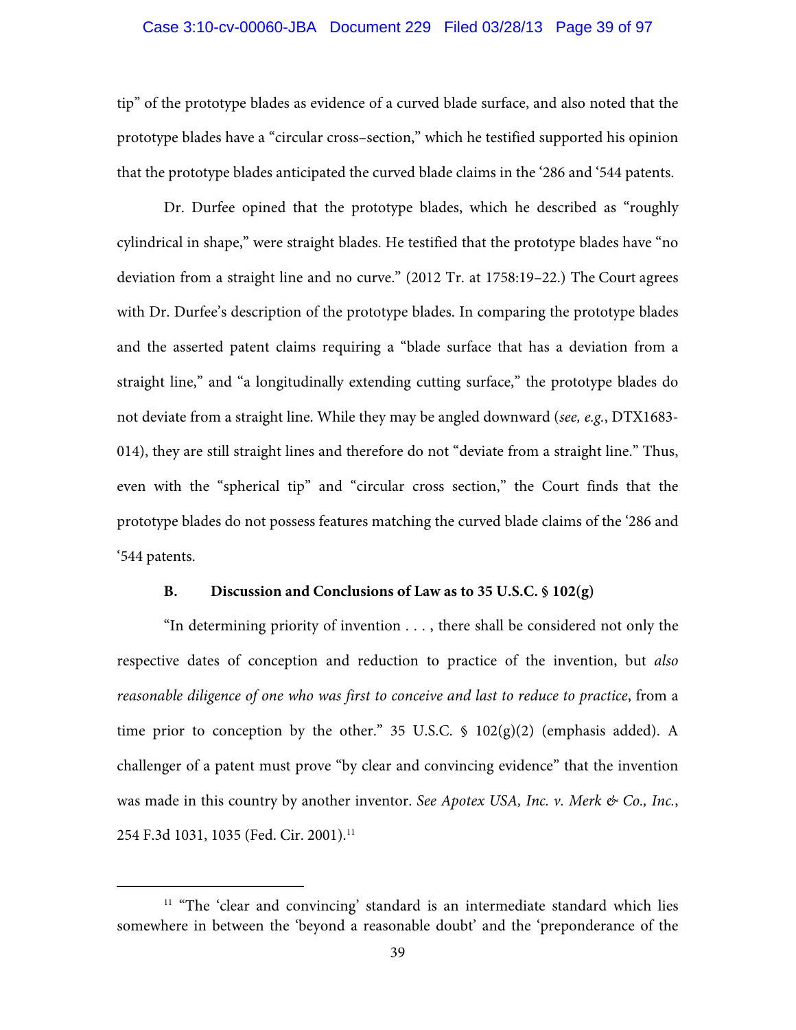# Case 3:10-cv-00060-JBA Document 229 Filed 03/28/13 Page 39 of 97

tip" of the prototype blades as evidence of a curved blade surface, and also noted that the prototype blades have a "circular cross–section," which he testified supported his opinion that the prototype blades anticipated the curved blade claims in the '286 and '544 patents.

Dr. Durfee opined that the prototype blades, which he described as "roughly cylindrical in shape," were straight blades. He testified that the prototype blades have "no deviation from a straight line and no curve." (2012 Tr. at 1758:19–22.) The Court agrees with Dr. Durfee's description of the prototype blades. In comparing the prototype blades and the asserted patent claims requiring a "blade surface that has a deviation from a straight line," and "a longitudinally extending cutting surface," the prototype blades do not deviate from a straight line. While they may be angled downward (*see, e.g.*, DTX1683- 014), they are still straight lines and therefore do not "deviate from a straight line." Thus, even with the "spherical tip" and "circular cross section," the Court finds that the prototype blades do not possess features matching the curved blade claims of the '286 and '544 patents.

## **B. Discussion and Conclusions of Law as to 35 U.S.C. § 102(g)**

"In determining priority of invention . . . , there shall be considered not only the respective dates of conception and reduction to practice of the invention, but *also reasonable diligence of one who was first to conceive and last to reduce to practice*, from a time prior to conception by the other." 35 U.S.C.  $\frac{102(g)(2)}{2}$  (emphasis added). A challenger of a patent must prove "by clear and convincing evidence" that the invention was made in this country by another inventor. *See Apotex USA, Inc. v. Merk & Co., Inc.*, 254 F.3d 1031, 1035 (Fed. Cir. 2001).11

<sup>&</sup>lt;sup>11</sup> "The 'clear and convincing' standard is an intermediate standard which lies somewhere in between the 'beyond a reasonable doubt' and the 'preponderance of the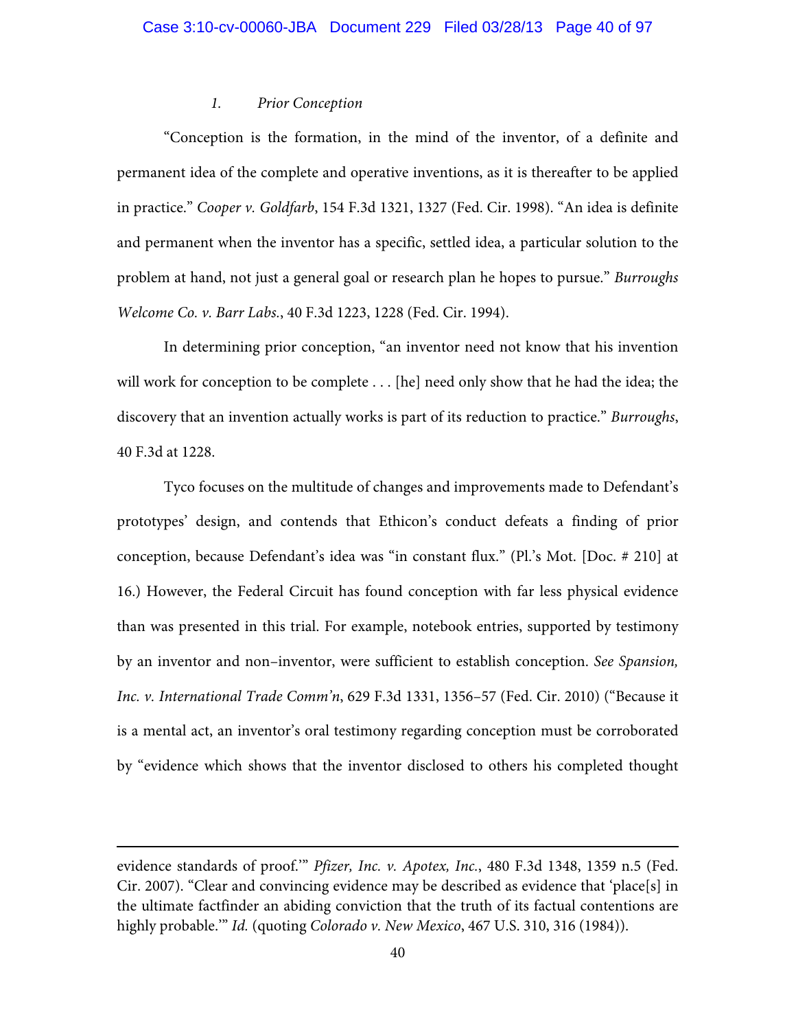## *1. Prior Conception*

"Conception is the formation, in the mind of the inventor, of a definite and permanent idea of the complete and operative inventions, as it is thereafter to be applied in practice." *Cooper v. Goldfarb*, 154 F.3d 1321, 1327 (Fed. Cir. 1998). "An idea is definite and permanent when the inventor has a specific, settled idea, a particular solution to the problem at hand, not just a general goal or research plan he hopes to pursue." *Burroughs Welcome Co. v. Barr Labs.*, 40 F.3d 1223, 1228 (Fed. Cir. 1994).

In determining prior conception, "an inventor need not know that his invention will work for conception to be complete . . . [he] need only show that he had the idea; the discovery that an invention actually works is part of its reduction to practice." *Burroughs*, 40 F.3d at 1228.

Tyco focuses on the multitude of changes and improvements made to Defendant's prototypes' design, and contends that Ethicon's conduct defeats a finding of prior conception, because Defendant's idea was "in constant flux." (Pl.'s Mot. [Doc. # 210] at 16.) However, the Federal Circuit has found conception with far less physical evidence than was presented in this trial. For example, notebook entries, supported by testimony by an inventor and non–inventor, were sufficient to establish conception. *See Spansion, Inc. v. International Trade Comm'n*, 629 F.3d 1331, 1356–57 (Fed. Cir. 2010) ("Because it is a mental act, an inventor's oral testimony regarding conception must be corroborated by "evidence which shows that the inventor disclosed to others his completed thought

 $\overline{a}$ 

evidence standards of proof.'" *Pfizer, Inc. v. Apotex, Inc.*, 480 F.3d 1348, 1359 n.5 (Fed. Cir. 2007). "Clear and convincing evidence may be described as evidence that 'place[s] in the ultimate factfinder an abiding conviction that the truth of its factual contentions are highly probable.'" *Id.* (quoting *Colorado v. New Mexico*, 467 U.S. 310, 316 (1984)).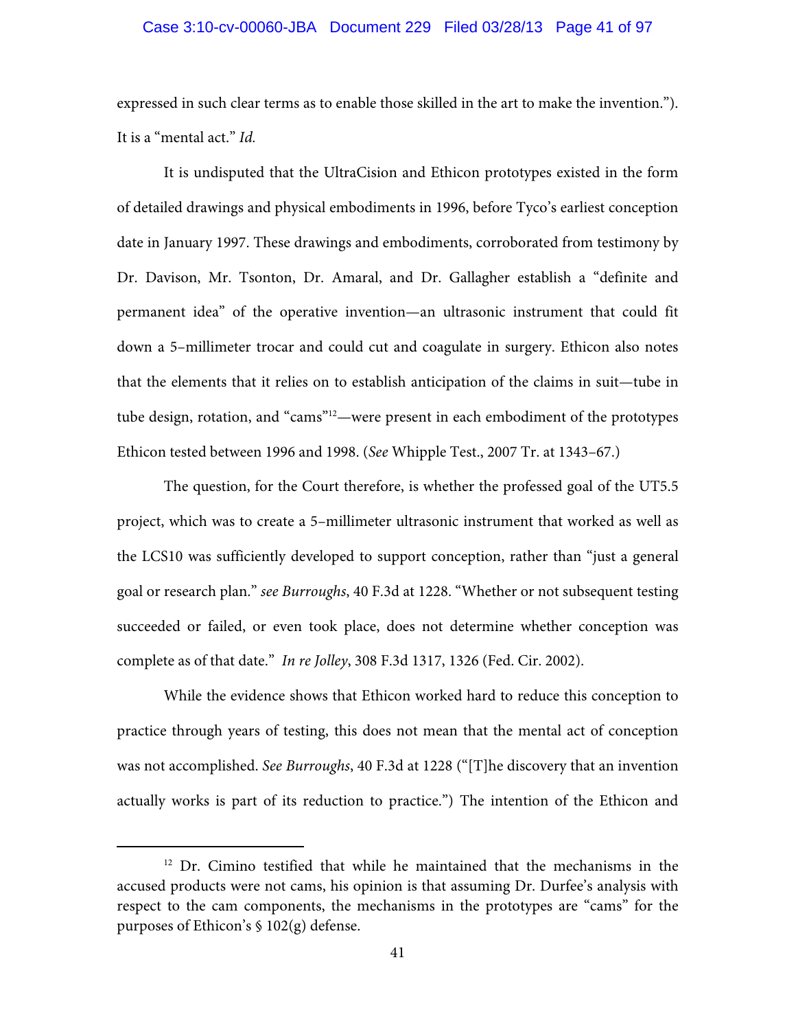### Case 3:10-cv-00060-JBA Document 229 Filed 03/28/13 Page 41 of 97

expressed in such clear terms as to enable those skilled in the art to make the invention."). It is a "mental act." *Id.*

It is undisputed that the UltraCision and Ethicon prototypes existed in the form of detailed drawings and physical embodiments in 1996, before Tyco's earliest conception date in January 1997. These drawings and embodiments, corroborated from testimony by Dr. Davison, Mr. Tsonton, Dr. Amaral, and Dr. Gallagher establish a "definite and permanent idea" of the operative invention—an ultrasonic instrument that could fit down a 5–millimeter trocar and could cut and coagulate in surgery. Ethicon also notes that the elements that it relies on to establish anticipation of the claims in suit—tube in tube design, rotation, and "cams"12—were present in each embodiment of the prototypes Ethicon tested between 1996 and 1998. (*See* Whipple Test., 2007 Tr. at 1343–67.)

The question, for the Court therefore, is whether the professed goal of the UT5.5 project, which was to create a 5–millimeter ultrasonic instrument that worked as well as the LCS10 was sufficiently developed to support conception, rather than "just a general goal or research plan." *see Burroughs*, 40 F.3d at 1228. "Whether or not subsequent testing succeeded or failed, or even took place, does not determine whether conception was complete as of that date." *In re Jolley*, 308 F.3d 1317, 1326 (Fed. Cir. 2002).

While the evidence shows that Ethicon worked hard to reduce this conception to practice through years of testing, this does not mean that the mental act of conception was not accomplished. *See Burroughs*, 40 F.3d at 1228 ("[T]he discovery that an invention actually works is part of its reduction to practice.") The intention of the Ethicon and

<sup>&</sup>lt;sup>12</sup> Dr. Cimino testified that while he maintained that the mechanisms in the accused products were not cams, his opinion is that assuming Dr. Durfee's analysis with respect to the cam components, the mechanisms in the prototypes are "cams" for the purposes of Ethicon's § 102(g) defense.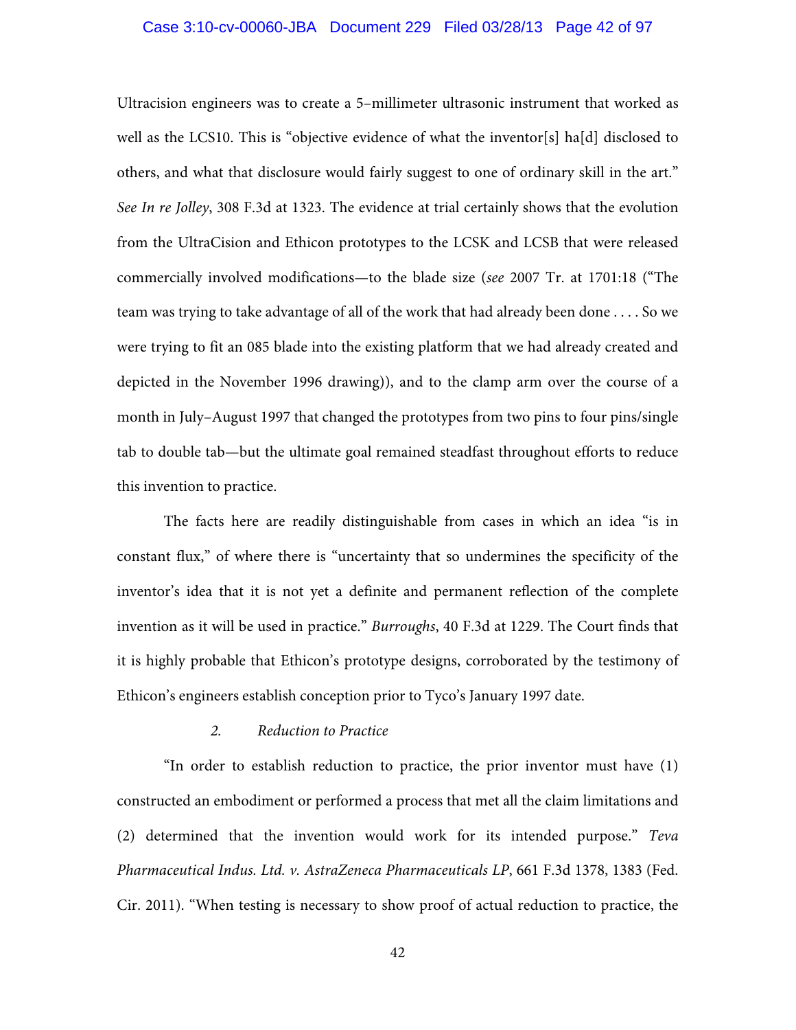## Case 3:10-cv-00060-JBA Document 229 Filed 03/28/13 Page 42 of 97

Ultracision engineers was to create a 5–millimeter ultrasonic instrument that worked as well as the LCS10. This is "objective evidence of what the inventor[s] ha[d] disclosed to others, and what that disclosure would fairly suggest to one of ordinary skill in the art." *See In re Jolley*, 308 F.3d at 1323. The evidence at trial certainly shows that the evolution from the UltraCision and Ethicon prototypes to the LCSK and LCSB that were released commercially involved modifications—to the blade size (*see* 2007 Tr. at 1701:18 ("The team was trying to take advantage of all of the work that had already been done . . . . So we were trying to fit an 085 blade into the existing platform that we had already created and depicted in the November 1996 drawing)), and to the clamp arm over the course of a month in July–August 1997 that changed the prototypes from two pins to four pins/single tab to double tab—but the ultimate goal remained steadfast throughout efforts to reduce this invention to practice.

The facts here are readily distinguishable from cases in which an idea "is in constant flux," of where there is "uncertainty that so undermines the specificity of the inventor's idea that it is not yet a definite and permanent reflection of the complete invention as it will be used in practice." *Burroughs*, 40 F.3d at 1229. The Court finds that it is highly probable that Ethicon's prototype designs, corroborated by the testimony of Ethicon's engineers establish conception prior to Tyco's January 1997 date.

## *2. Reduction to Practice*

"In order to establish reduction to practice, the prior inventor must have (1) constructed an embodiment or performed a process that met all the claim limitations and (2) determined that the invention would work for its intended purpose." *Teva Pharmaceutical Indus. Ltd. v. AstraZeneca Pharmaceuticals LP*, 661 F.3d 1378, 1383 (Fed. Cir. 2011). "When testing is necessary to show proof of actual reduction to practice, the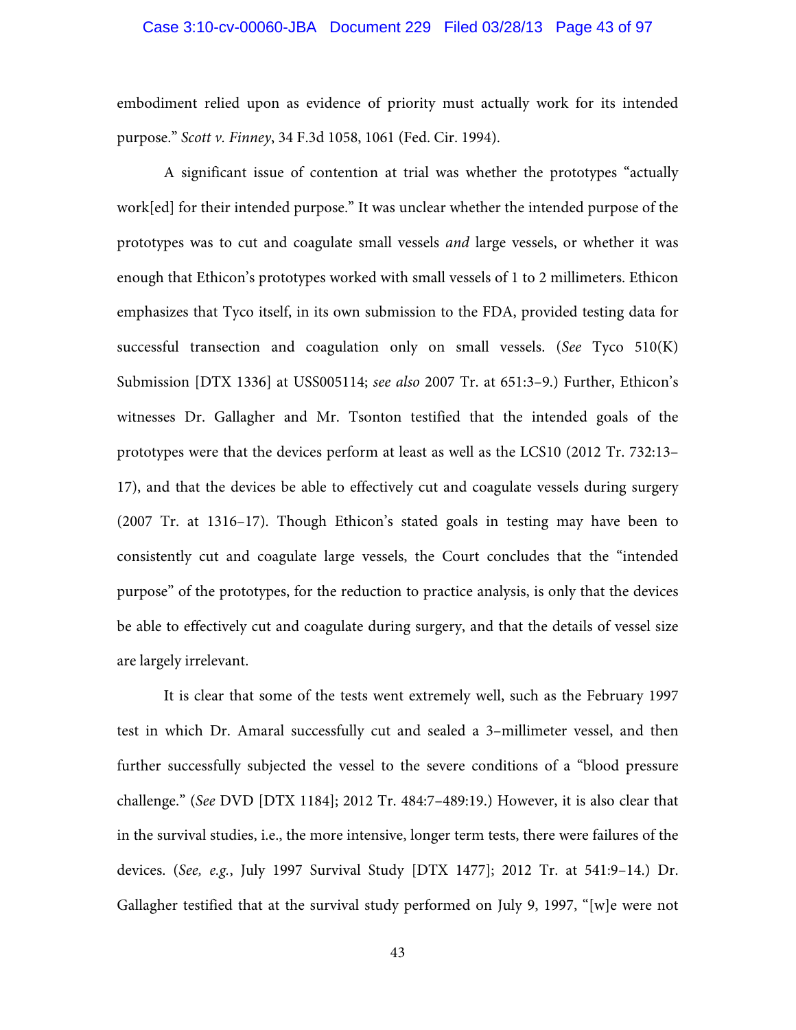## Case 3:10-cv-00060-JBA Document 229 Filed 03/28/13 Page 43 of 97

embodiment relied upon as evidence of priority must actually work for its intended purpose." *Scott v. Finney*, 34 F.3d 1058, 1061 (Fed. Cir. 1994).

A significant issue of contention at trial was whether the prototypes "actually work[ed] for their intended purpose." It was unclear whether the intended purpose of the prototypes was to cut and coagulate small vessels *and* large vessels, or whether it was enough that Ethicon's prototypes worked with small vessels of 1 to 2 millimeters. Ethicon emphasizes that Tyco itself, in its own submission to the FDA, provided testing data for successful transection and coagulation only on small vessels. (*See* Tyco 510(K) Submission [DTX 1336] at USS005114; *see also* 2007 Tr. at 651:3–9.) Further, Ethicon's witnesses Dr. Gallagher and Mr. Tsonton testified that the intended goals of the prototypes were that the devices perform at least as well as the LCS10 (2012 Tr. 732:13– 17), and that the devices be able to effectively cut and coagulate vessels during surgery (2007 Tr. at 1316–17). Though Ethicon's stated goals in testing may have been to consistently cut and coagulate large vessels, the Court concludes that the "intended purpose" of the prototypes, for the reduction to practice analysis, is only that the devices be able to effectively cut and coagulate during surgery, and that the details of vessel size are largely irrelevant.

It is clear that some of the tests went extremely well, such as the February 1997 test in which Dr. Amaral successfully cut and sealed a 3–millimeter vessel, and then further successfully subjected the vessel to the severe conditions of a "blood pressure challenge." (*See* DVD [DTX 1184]; 2012 Tr. 484:7–489:19.) However, it is also clear that in the survival studies, i.e., the more intensive, longer term tests, there were failures of the devices. (*See, e.g.*, July 1997 Survival Study [DTX 1477]; 2012 Tr. at 541:9–14.) Dr. Gallagher testified that at the survival study performed on July 9, 1997, "[w]e were not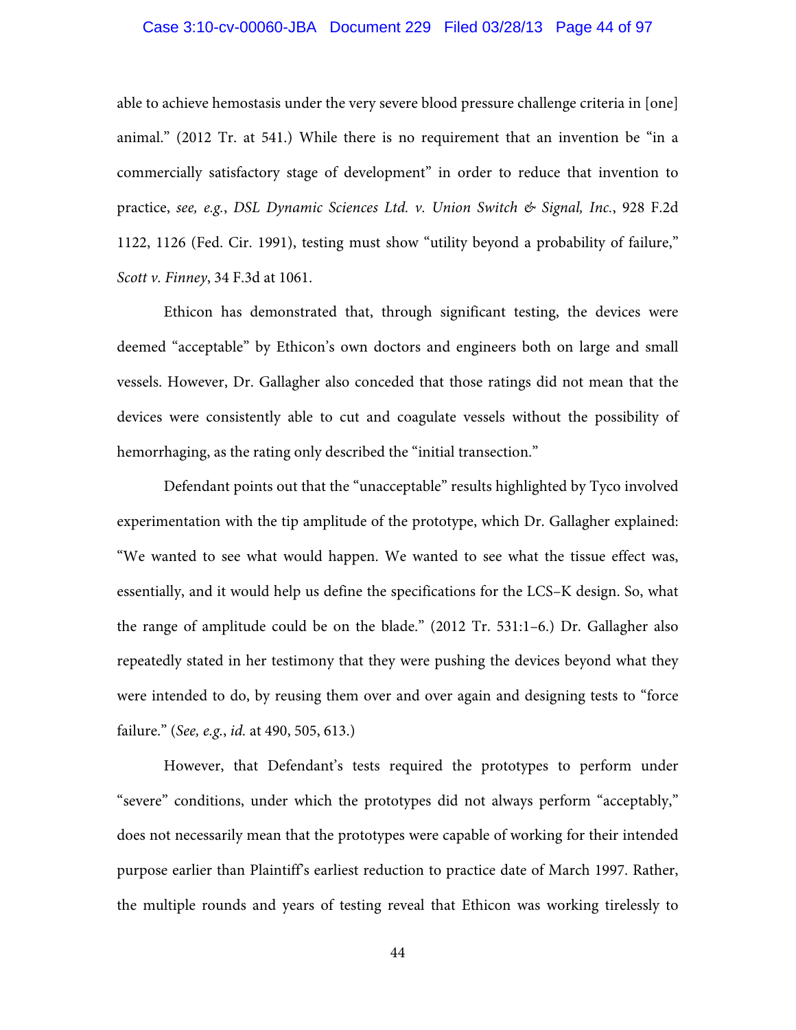## Case 3:10-cv-00060-JBA Document 229 Filed 03/28/13 Page 44 of 97

able to achieve hemostasis under the very severe blood pressure challenge criteria in [one] animal." (2012 Tr. at 541.) While there is no requirement that an invention be "in a commercially satisfactory stage of development" in order to reduce that invention to practice, *see, e.g.*, *DSL Dynamic Sciences Ltd. v. Union Switch & Signal, Inc.*, 928 F.2d 1122, 1126 (Fed. Cir. 1991), testing must show "utility beyond a probability of failure," *Scott v. Finney*, 34 F.3d at 1061.

Ethicon has demonstrated that, through significant testing, the devices were deemed "acceptable" by Ethicon's own doctors and engineers both on large and small vessels. However, Dr. Gallagher also conceded that those ratings did not mean that the devices were consistently able to cut and coagulate vessels without the possibility of hemorrhaging, as the rating only described the "initial transection."

Defendant points out that the "unacceptable" results highlighted by Tyco involved experimentation with the tip amplitude of the prototype, which Dr. Gallagher explained: "We wanted to see what would happen. We wanted to see what the tissue effect was, essentially, and it would help us define the specifications for the LCS–K design. So, what the range of amplitude could be on the blade." (2012 Tr. 531:1–6.) Dr. Gallagher also repeatedly stated in her testimony that they were pushing the devices beyond what they were intended to do, by reusing them over and over again and designing tests to "force failure." (*See, e.g.*, *id.* at 490, 505, 613.)

However, that Defendant's tests required the prototypes to perform under "severe" conditions, under which the prototypes did not always perform "acceptably," does not necessarily mean that the prototypes were capable of working for their intended purpose earlier than Plaintiff's earliest reduction to practice date of March 1997. Rather, the multiple rounds and years of testing reveal that Ethicon was working tirelessly to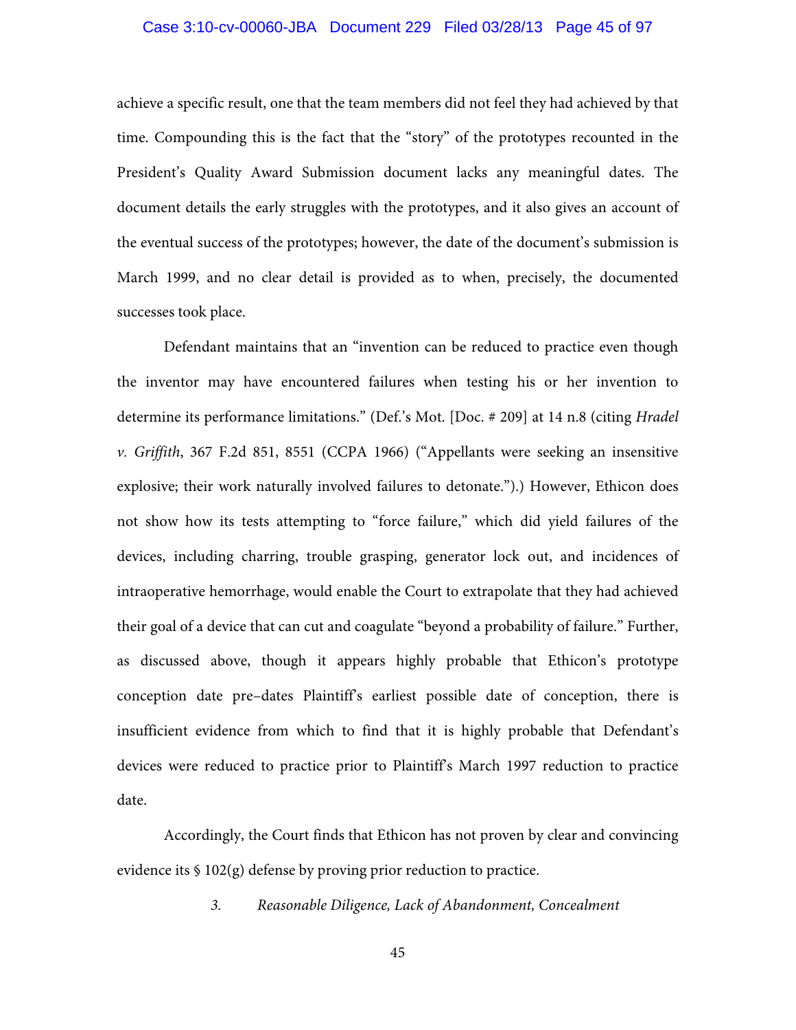## Case 3:10-cv-00060-JBA Document 229 Filed 03/28/13 Page 45 of 97

achieve a specific result, one that the team members did not feel they had achieved by that time. Compounding this is the fact that the "story" of the prototypes recounted in the President's Quality Award Submission document lacks any meaningful dates. The document details the early struggles with the prototypes, and it also gives an account of the eventual success of the prototypes; however, the date of the document's submission is March 1999, and no clear detail is provided as to when, precisely, the documented successes took place.

 Defendant maintains that an "invention can be reduced to practice even though the inventor may have encountered failures when testing his or her invention to determine its performance limitations." (Def.'s Mot. [Doc. # 209] at 14 n.8 (citing *Hradel v. Griffith*, 367 F.2d 851, 8551 (CCPA 1966) ("Appellants were seeking an insensitive explosive; their work naturally involved failures to detonate.").) However, Ethicon does not show how its tests attempting to "force failure," which did yield failures of the devices, including charring, trouble grasping, generator lock out, and incidences of intraoperative hemorrhage, would enable the Court to extrapolate that they had achieved their goal of a device that can cut and coagulate "beyond a probability of failure." Further, as discussed above, though it appears highly probable that Ethicon's prototype conception date pre–dates Plaintiff's earliest possible date of conception, there is insufficient evidence from which to find that it is highly probable that Defendant's devices were reduced to practice prior to Plaintiff's March 1997 reduction to practice date.

 Accordingly, the Court finds that Ethicon has not proven by clear and convincing evidence its § 102(g) defense by proving prior reduction to practice.

*3. Reasonable Diligence, Lack of Abandonment, Concealment*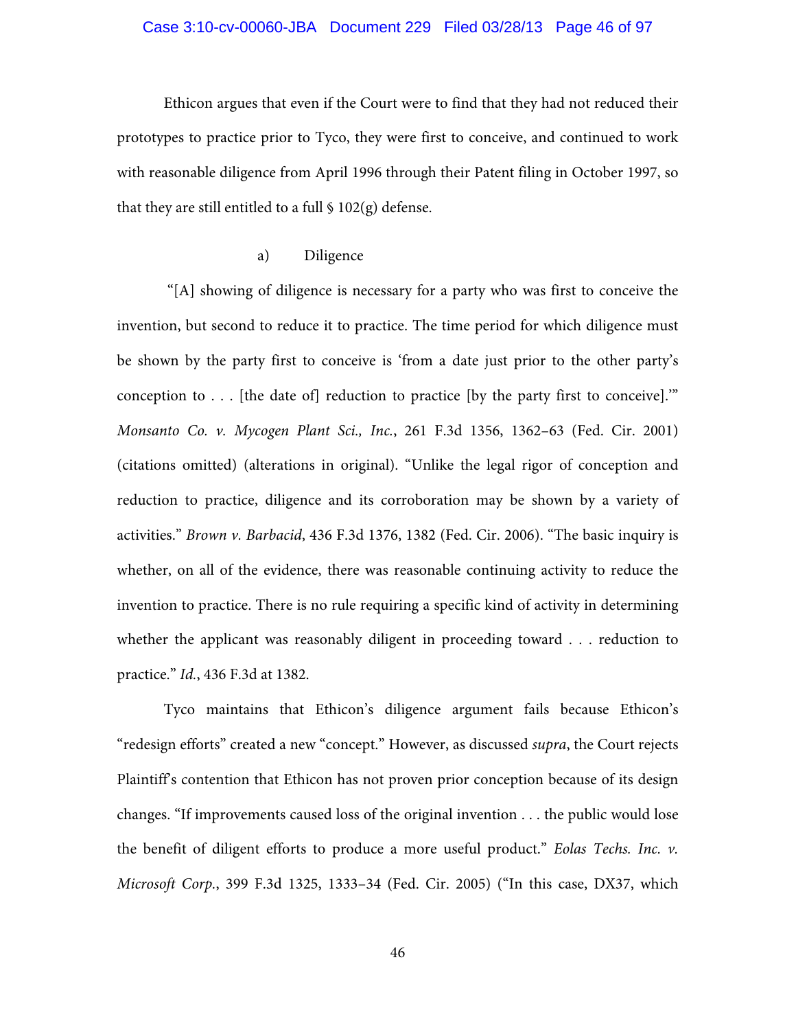## Case 3:10-cv-00060-JBA Document 229 Filed 03/28/13 Page 46 of 97

Ethicon argues that even if the Court were to find that they had not reduced their prototypes to practice prior to Tyco, they were first to conceive, and continued to work with reasonable diligence from April 1996 through their Patent filing in October 1997, so that they are still entitled to a full  $\frac{102(g)}{g}$  defense.

## a) Diligence

 "[A] showing of diligence is necessary for a party who was first to conceive the invention, but second to reduce it to practice. The time period for which diligence must be shown by the party first to conceive is 'from a date just prior to the other party's conception to  $\ldots$  [the date of] reduction to practice [by the party first to conceive]." *Monsanto Co. v. Mycogen Plant Sci., Inc.*, 261 F.3d 1356, 1362–63 (Fed. Cir. 2001) (citations omitted) (alterations in original). "Unlike the legal rigor of conception and reduction to practice, diligence and its corroboration may be shown by a variety of activities." *Brown v. Barbacid*, 436 F.3d 1376, 1382 (Fed. Cir. 2006). "The basic inquiry is whether, on all of the evidence, there was reasonable continuing activity to reduce the invention to practice. There is no rule requiring a specific kind of activity in determining whether the applicant was reasonably diligent in proceeding toward . . . reduction to practice." *Id.*, 436 F.3d at 1382.

Tyco maintains that Ethicon's diligence argument fails because Ethicon's "redesign efforts" created a new "concept." However, as discussed *supra*, the Court rejects Plaintiff's contention that Ethicon has not proven prior conception because of its design changes. "If improvements caused loss of the original invention . . . the public would lose the benefit of diligent efforts to produce a more useful product." *Eolas Techs. Inc. v. Microsoft Corp.*, 399 F.3d 1325, 1333–34 (Fed. Cir. 2005) ("In this case, DX37, which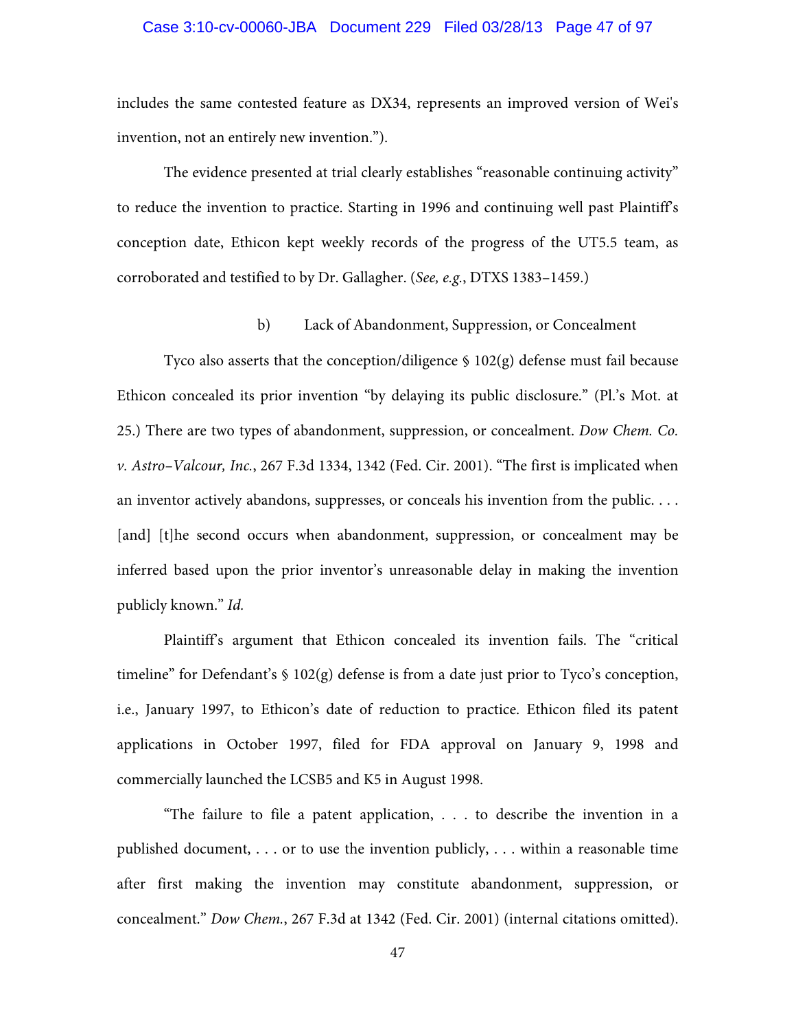## Case 3:10-cv-00060-JBA Document 229 Filed 03/28/13 Page 47 of 97

includes the same contested feature as DX34, represents an improved version of Wei's invention, not an entirely new invention.").

The evidence presented at trial clearly establishes "reasonable continuing activity" to reduce the invention to practice. Starting in 1996 and continuing well past Plaintiff's conception date, Ethicon kept weekly records of the progress of the UT5.5 team, as corroborated and testified to by Dr. Gallagher. (*See, e.g.*, DTXS 1383–1459.)

## b) Lack of Abandonment, Suppression, or Concealment

Tyco also asserts that the conception/diligence § 102(g) defense must fail because Ethicon concealed its prior invention "by delaying its public disclosure." (Pl.'s Mot. at 25.) There are two types of abandonment, suppression, or concealment. *Dow Chem. Co. v. Astro–Valcour, Inc.*, 267 F.3d 1334, 1342 (Fed. Cir. 2001). "The first is implicated when an inventor actively abandons, suppresses, or conceals his invention from the public. . . . [and] [t]he second occurs when abandonment, suppression, or concealment may be inferred based upon the prior inventor's unreasonable delay in making the invention publicly known." *Id.*

Plaintiff's argument that Ethicon concealed its invention fails. The "critical timeline" for Defendant's § 102(g) defense is from a date just prior to Tyco's conception, i.e., January 1997, to Ethicon's date of reduction to practice. Ethicon filed its patent applications in October 1997, filed for FDA approval on January 9, 1998 and commercially launched the LCSB5 and K5 in August 1998.

"The failure to file a patent application, . . . to describe the invention in a published document, . . . or to use the invention publicly, . . . within a reasonable time after first making the invention may constitute abandonment, suppression, or concealment." *Dow Chem.*, 267 F.3d at 1342 (Fed. Cir. 2001) (internal citations omitted).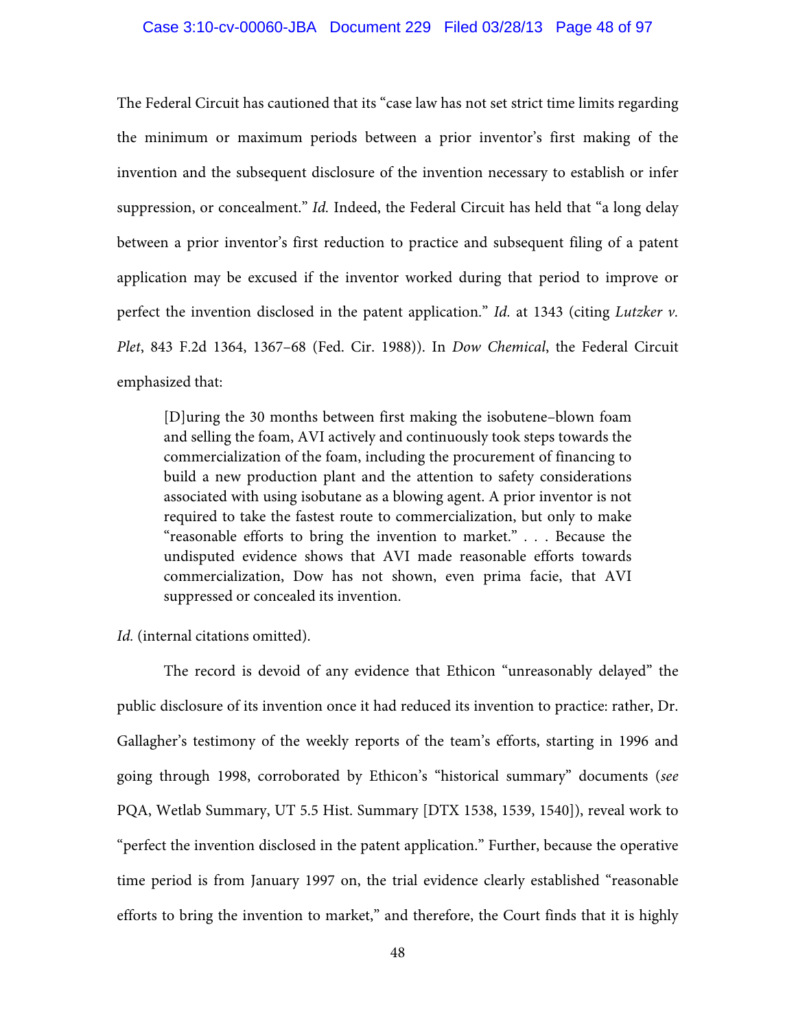### Case 3:10-cv-00060-JBA Document 229 Filed 03/28/13 Page 48 of 97

The Federal Circuit has cautioned that its "case law has not set strict time limits regarding the minimum or maximum periods between a prior inventor's first making of the invention and the subsequent disclosure of the invention necessary to establish or infer suppression, or concealment." *Id.* Indeed, the Federal Circuit has held that "a long delay between a prior inventor's first reduction to practice and subsequent filing of a patent application may be excused if the inventor worked during that period to improve or perfect the invention disclosed in the patent application." *Id.* at 1343 (citing *Lutzker v. Plet*, 843 F.2d 1364, 1367–68 (Fed. Cir. 1988)). In *Dow Chemical*, the Federal Circuit emphasized that:

[D]uring the 30 months between first making the isobutene–blown foam and selling the foam, AVI actively and continuously took steps towards the commercialization of the foam, including the procurement of financing to build a new production plant and the attention to safety considerations associated with using isobutane as a blowing agent. A prior inventor is not required to take the fastest route to commercialization, but only to make "reasonable efforts to bring the invention to market." *. .* . Because the undisputed evidence shows that AVI made reasonable efforts towards commercialization, Dow has not shown, even prima facie, that AVI suppressed or concealed its invention.

*Id.* (internal citations omitted).

The record is devoid of any evidence that Ethicon "unreasonably delayed" the public disclosure of its invention once it had reduced its invention to practice: rather, Dr. Gallagher's testimony of the weekly reports of the team's efforts, starting in 1996 and going through 1998, corroborated by Ethicon's "historical summary" documents (*see* PQA, Wetlab Summary, UT 5.5 Hist. Summary [DTX 1538, 1539, 1540]), reveal work to "perfect the invention disclosed in the patent application." Further, because the operative time period is from January 1997 on, the trial evidence clearly established "reasonable efforts to bring the invention to market," and therefore, the Court finds that it is highly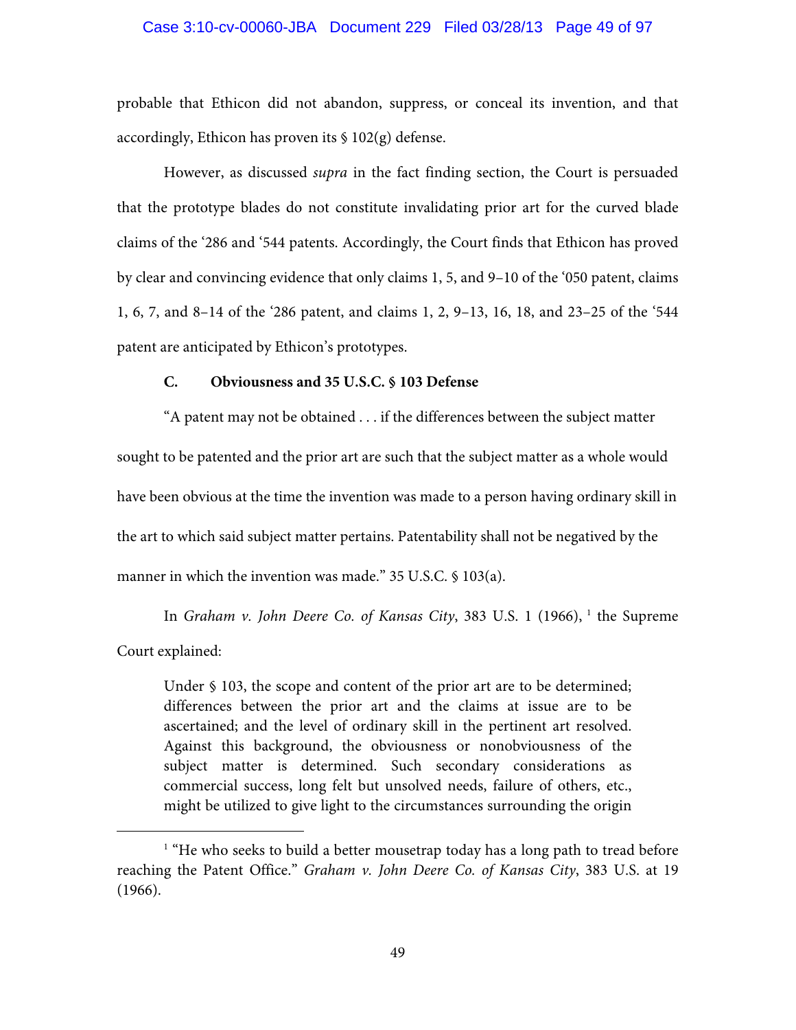### Case 3:10-cv-00060-JBA Document 229 Filed 03/28/13 Page 49 of 97

probable that Ethicon did not abandon, suppress, or conceal its invention, and that accordingly, Ethicon has proven its  $\S 102(g)$  defense.

However, as discussed *supra* in the fact finding section, the Court is persuaded that the prototype blades do not constitute invalidating prior art for the curved blade claims of the '286 and '544 patents. Accordingly, the Court finds that Ethicon has proved by clear and convincing evidence that only claims 1, 5, and 9–10 of the '050 patent, claims 1, 6, 7, and 8–14 of the '286 patent, and claims 1, 2, 9–13, 16, 18, and 23–25 of the '544 patent are anticipated by Ethicon's prototypes.

## **C. Obviousness and 35 U.S.C. § 103 Defense**

"A patent may not be obtained . . . if the differences between the subject matter sought to be patented and the prior art are such that the subject matter as a whole would have been obvious at the time the invention was made to a person having ordinary skill in the art to which said subject matter pertains. Patentability shall not be negatived by the manner in which the invention was made." 35 U.S.C. § 103(a).

In *Graham v. John Deere Co. of Kansas City*, 383 U.S. 1 (1966), <sup>1</sup> the Supreme Court explained:

Under § 103, the scope and content of the prior art are to be determined; differences between the prior art and the claims at issue are to be ascertained; and the level of ordinary skill in the pertinent art resolved. Against this background, the obviousness or nonobviousness of the subject matter is determined. Such secondary considerations as commercial success, long felt but unsolved needs, failure of others, etc., might be utilized to give light to the circumstances surrounding the origin

<sup>&</sup>lt;u>1</u> <sup>1</sup> "He who seeks to build a better mousetrap today has a long path to tread before reaching the Patent Office." *Graham v. John Deere Co. of Kansas City*, 383 U.S. at 19 (1966).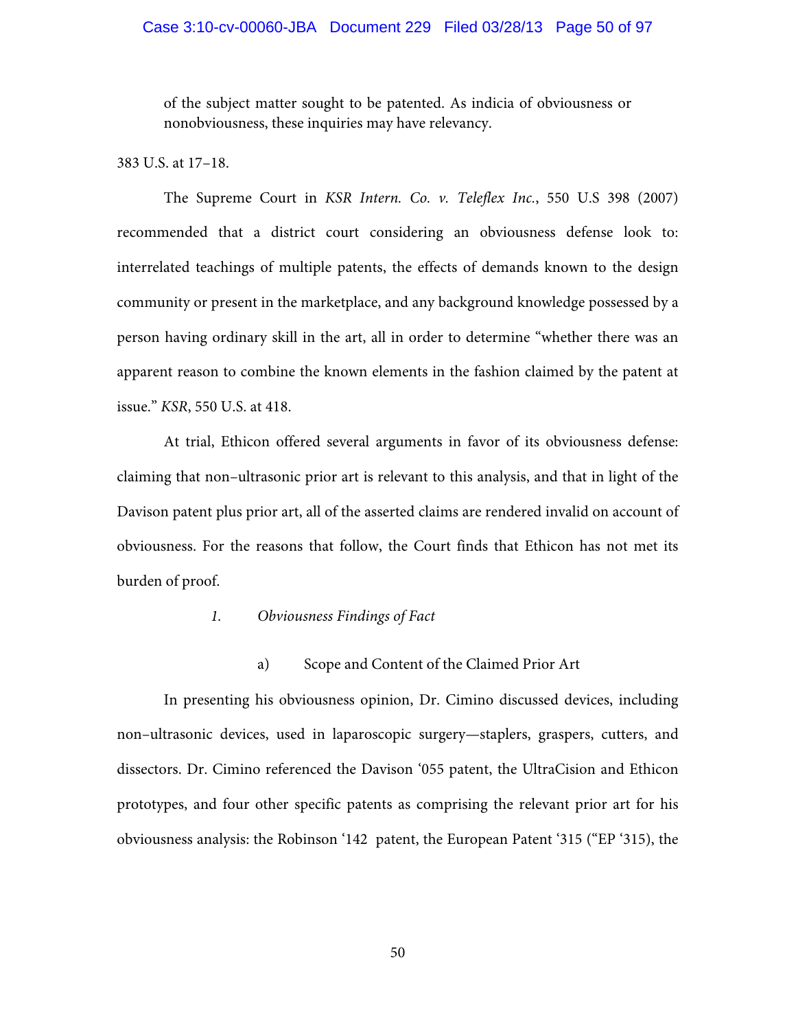## Case 3:10-cv-00060-JBA Document 229 Filed 03/28/13 Page 50 of 97

of the subject matter sought to be patented. As indicia of obviousness or nonobviousness, these inquiries may have relevancy.

## 383 U.S. at 17–18.

The Supreme Court in *KSR Intern. Co. v. Teleflex Inc.*, 550 U.S 398 (2007) recommended that a district court considering an obviousness defense look to: interrelated teachings of multiple patents, the effects of demands known to the design community or present in the marketplace, and any background knowledge possessed by a person having ordinary skill in the art, all in order to determine "whether there was an apparent reason to combine the known elements in the fashion claimed by the patent at issue." *KSR*, 550 U.S. at 418.

At trial, Ethicon offered several arguments in favor of its obviousness defense: claiming that non–ultrasonic prior art is relevant to this analysis, and that in light of the Davison patent plus prior art, all of the asserted claims are rendered invalid on account of obviousness. For the reasons that follow, the Court finds that Ethicon has not met its burden of proof.

## *1. Obviousness Findings of Fact*

## a) Scope and Content of the Claimed Prior Art

In presenting his obviousness opinion, Dr. Cimino discussed devices, including non–ultrasonic devices, used in laparoscopic surgery—staplers, graspers, cutters, and dissectors. Dr. Cimino referenced the Davison '055 patent, the UltraCision and Ethicon prototypes, and four other specific patents as comprising the relevant prior art for his obviousness analysis: the Robinson '142 patent, the European Patent '315 ("EP '315), the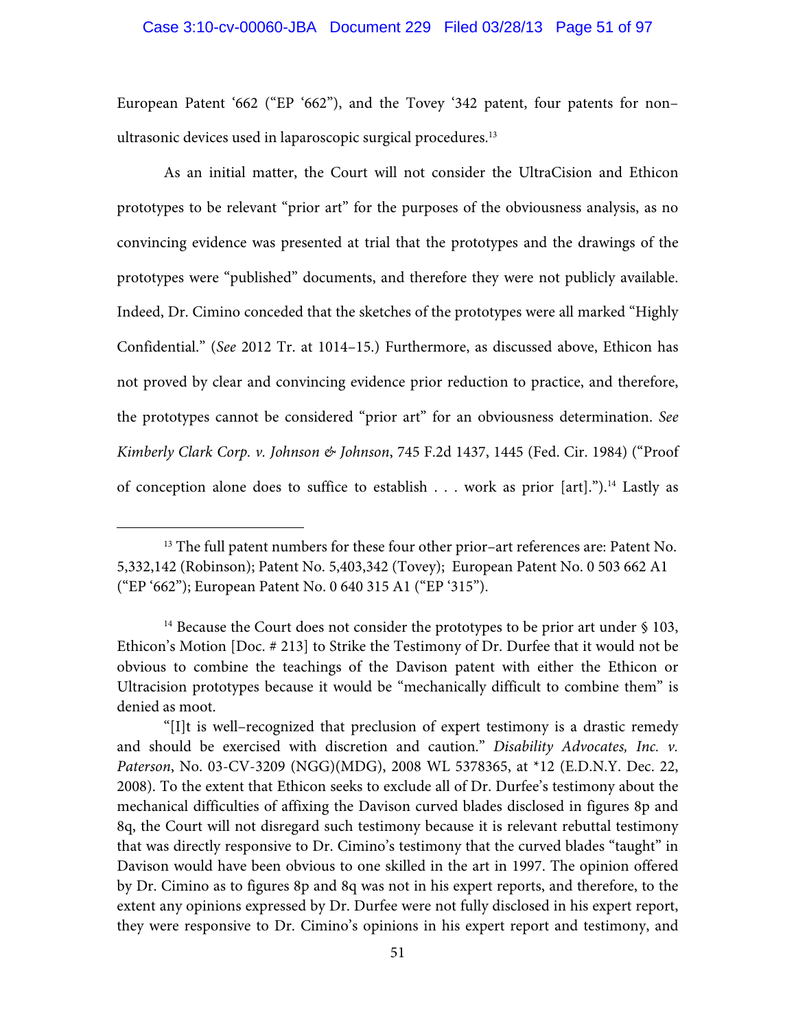### Case 3:10-cv-00060-JBA Document 229 Filed 03/28/13 Page 51 of 97

European Patent '662 ("EP '662"), and the Tovey '342 patent, four patents for non– ultrasonic devices used in laparoscopic surgical procedures.<sup>13</sup>

As an initial matter, the Court will not consider the UltraCision and Ethicon prototypes to be relevant "prior art" for the purposes of the obviousness analysis, as no convincing evidence was presented at trial that the prototypes and the drawings of the prototypes were "published" documents, and therefore they were not publicly available. Indeed, Dr. Cimino conceded that the sketches of the prototypes were all marked "Highly Confidential." (*See* 2012 Tr. at 1014–15.) Furthermore, as discussed above, Ethicon has not proved by clear and convincing evidence prior reduction to practice, and therefore, the prototypes cannot be considered "prior art" for an obviousness determination. *See Kimberly Clark Corp. v. Johnson & Johnson*, 745 F.2d 1437, 1445 (Fed. Cir. 1984) ("Proof of conception alone does to suffice to establish . . . work as prior [art].").14 Lastly as

<sup>&</sup>lt;sup>13</sup> The full patent numbers for these four other prior–art references are: Patent No. 5,332,142 (Robinson); Patent No. 5,403,342 (Tovey); European Patent No. 0 503 662 A1 ("EP '662"); European Patent No. 0 640 315 A1 ("EP '315").

 $14$  Because the Court does not consider the prototypes to be prior art under § 103, Ethicon's Motion [Doc. # 213] to Strike the Testimony of Dr. Durfee that it would not be obvious to combine the teachings of the Davison patent with either the Ethicon or Ultracision prototypes because it would be "mechanically difficult to combine them" is denied as moot.

<sup>&</sup>quot;[I]t is well–recognized that preclusion of expert testimony is a drastic remedy and should be exercised with discretion and caution." *Disability Advocates, Inc. v. Paterson*, No. 03-CV-3209 (NGG)(MDG), 2008 WL 5378365, at \*12 (E.D.N.Y. Dec. 22, 2008). To the extent that Ethicon seeks to exclude all of Dr. Durfee's testimony about the mechanical difficulties of affixing the Davison curved blades disclosed in figures 8p and 8q, the Court will not disregard such testimony because it is relevant rebuttal testimony that was directly responsive to Dr. Cimino's testimony that the curved blades "taught" in Davison would have been obvious to one skilled in the art in 1997. The opinion offered by Dr. Cimino as to figures 8p and 8q was not in his expert reports, and therefore, to the extent any opinions expressed by Dr. Durfee were not fully disclosed in his expert report, they were responsive to Dr. Cimino's opinions in his expert report and testimony, and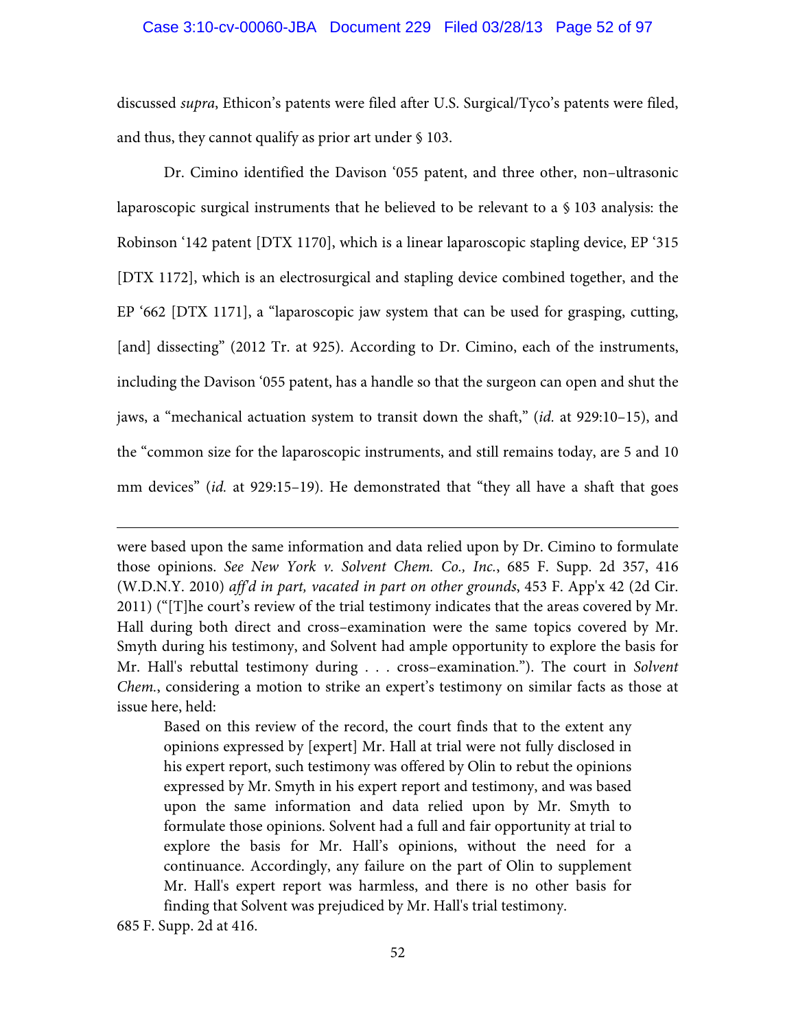### Case 3:10-cv-00060-JBA Document 229 Filed 03/28/13 Page 52 of 97

discussed *supra*, Ethicon's patents were filed after U.S. Surgical/Tyco's patents were filed, and thus, they cannot qualify as prior art under § 103.

Dr. Cimino identified the Davison '055 patent, and three other, non–ultrasonic laparoscopic surgical instruments that he believed to be relevant to a § 103 analysis: the Robinson '142 patent [DTX 1170], which is a linear laparoscopic stapling device, EP '315 [DTX 1172], which is an electrosurgical and stapling device combined together, and the EP '662 [DTX 1171], a "laparoscopic jaw system that can be used for grasping, cutting, [and] dissecting" (2012 Tr. at 925). According to Dr. Cimino, each of the instruments, including the Davison '055 patent, has a handle so that the surgeon can open and shut the jaws, a "mechanical actuation system to transit down the shaft," (*id.* at 929:10–15), and the "common size for the laparoscopic instruments, and still remains today, are 5 and 10 mm devices" (*id.* at 929:15–19). He demonstrated that "they all have a shaft that goes

were based upon the same information and data relied upon by Dr. Cimino to formulate those opinions. *See New York v. Solvent Chem. Co., Inc.*, 685 F. Supp. 2d 357, 416 (W.D.N.Y. 2010) *aff'd in part, vacated in part on other grounds*, 453 F. App'x 42 (2d Cir. 2011) ("[T]he court's review of the trial testimony indicates that the areas covered by Mr. Hall during both direct and cross–examination were the same topics covered by Mr. Smyth during his testimony, and Solvent had ample opportunity to explore the basis for Mr. Hall's rebuttal testimony during . . . cross–examination."). The court in *Solvent Chem.*, considering a motion to strike an expert's testimony on similar facts as those at issue here, held:

Based on this review of the record, the court finds that to the extent any opinions expressed by [expert] Mr. Hall at trial were not fully disclosed in his expert report, such testimony was offered by Olin to rebut the opinions expressed by Mr. Smyth in his expert report and testimony, and was based upon the same information and data relied upon by Mr. Smyth to formulate those opinions. Solvent had a full and fair opportunity at trial to explore the basis for Mr. Hall's opinions, without the need for a continuance. Accordingly, any failure on the part of Olin to supplement Mr. Hall's expert report was harmless, and there is no other basis for finding that Solvent was prejudiced by Mr. Hall's trial testimony.

685 F. Supp. 2d at 416.

 $\overline{a}$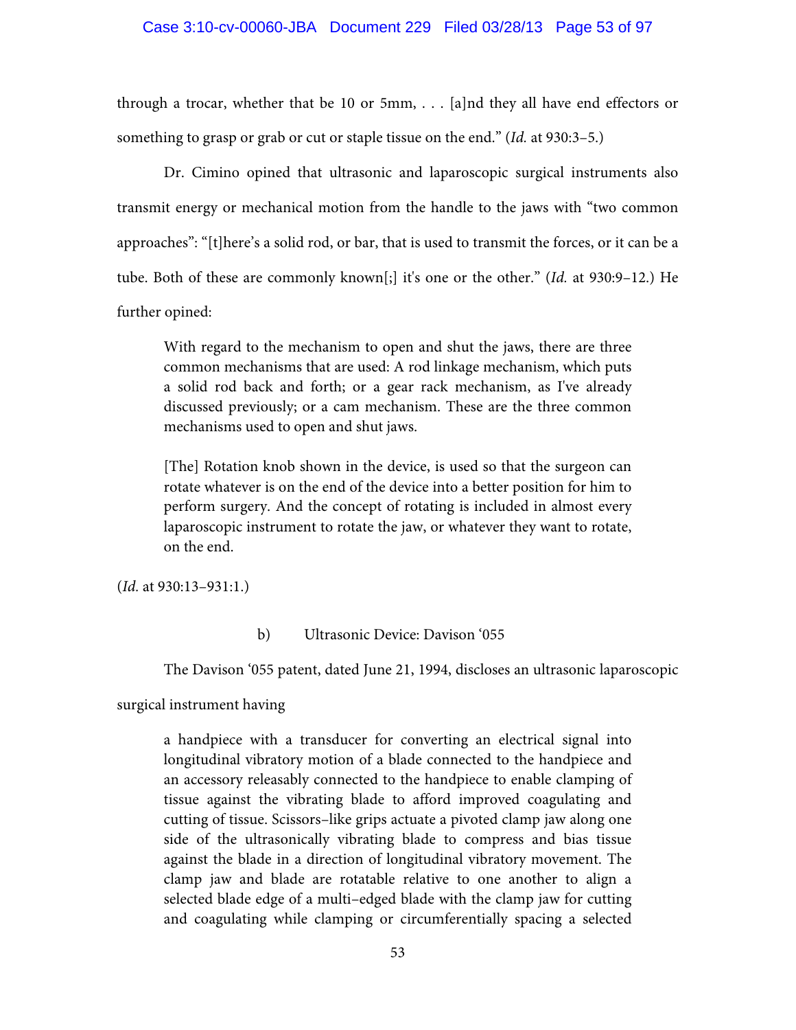## Case 3:10-cv-00060-JBA Document 229 Filed 03/28/13 Page 53 of 97

through a trocar, whether that be 10 or 5mm, . . . [a]nd they all have end effectors or something to grasp or grab or cut or staple tissue on the end." (*Id.* at 930:3–5.)

Dr. Cimino opined that ultrasonic and laparoscopic surgical instruments also transmit energy or mechanical motion from the handle to the jaws with "two common approaches": "[t]here's a solid rod, or bar, that is used to transmit the forces, or it can be a tube. Both of these are commonly known[;] it's one or the other." (*Id.* at 930:9–12.) He further opined:

With regard to the mechanism to open and shut the jaws, there are three common mechanisms that are used: A rod linkage mechanism, which puts a solid rod back and forth; or a gear rack mechanism, as I've already discussed previously; or a cam mechanism. These are the three common mechanisms used to open and shut jaws.

[The] Rotation knob shown in the device, is used so that the surgeon can rotate whatever is on the end of the device into a better position for him to perform surgery. And the concept of rotating is included in almost every laparoscopic instrument to rotate the jaw, or whatever they want to rotate, on the end.

(*Id.* at 930:13–931:1.)

### b) Ultrasonic Device: Davison '055

The Davison '055 patent, dated June 21, 1994, discloses an ultrasonic laparoscopic

surgical instrument having

a handpiece with a transducer for converting an electrical signal into longitudinal vibratory motion of a blade connected to the handpiece and an accessory releasably connected to the handpiece to enable clamping of tissue against the vibrating blade to afford improved coagulating and cutting of tissue. Scissors–like grips actuate a pivoted clamp jaw along one side of the ultrasonically vibrating blade to compress and bias tissue against the blade in a direction of longitudinal vibratory movement. The clamp jaw and blade are rotatable relative to one another to align a selected blade edge of a multi–edged blade with the clamp jaw for cutting and coagulating while clamping or circumferentially spacing a selected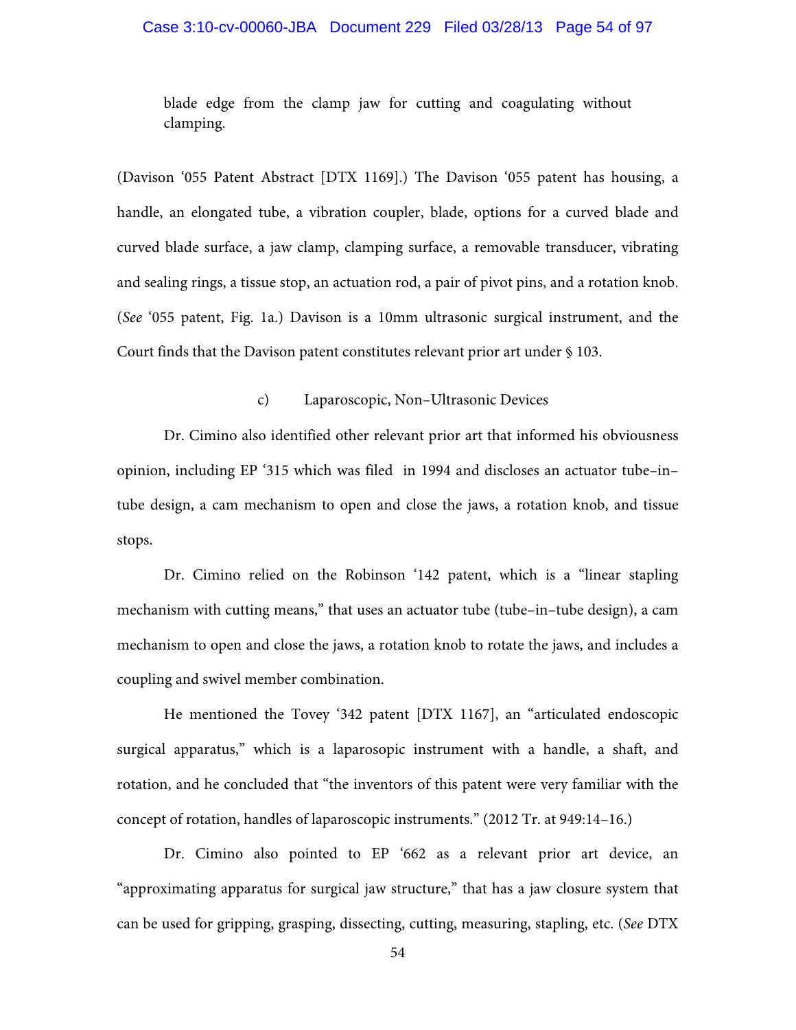## Case 3:10-cv-00060-JBA Document 229 Filed 03/28/13 Page 54 of 97

blade edge from the clamp jaw for cutting and coagulating without clamping.

(Davison '055 Patent Abstract [DTX 1169].) The Davison '055 patent has housing, a handle, an elongated tube, a vibration coupler, blade, options for a curved blade and curved blade surface, a jaw clamp, clamping surface, a removable transducer, vibrating and sealing rings, a tissue stop, an actuation rod, a pair of pivot pins, and a rotation knob. (*See* '055 patent, Fig. 1a.) Davison is a 10mm ultrasonic surgical instrument, and the Court finds that the Davison patent constitutes relevant prior art under § 103.

## c) Laparoscopic, Non–Ultrasonic Devices

Dr. Cimino also identified other relevant prior art that informed his obviousness opinion, including EP '315 which was filed in 1994 and discloses an actuator tube–in– tube design, a cam mechanism to open and close the jaws, a rotation knob, and tissue stops.

Dr. Cimino relied on the Robinson '142 patent, which is a "linear stapling mechanism with cutting means," that uses an actuator tube (tube–in–tube design), a cam mechanism to open and close the jaws, a rotation knob to rotate the jaws, and includes a coupling and swivel member combination.

He mentioned the Tovey '342 patent [DTX 1167], an "articulated endoscopic surgical apparatus," which is a laparosopic instrument with a handle, a shaft, and rotation, and he concluded that "the inventors of this patent were very familiar with the concept of rotation, handles of laparoscopic instruments." (2012 Tr. at 949:14–16.)

Dr. Cimino also pointed to EP '662 as a relevant prior art device, an "approximating apparatus for surgical jaw structure," that has a jaw closure system that can be used for gripping, grasping, dissecting, cutting, measuring, stapling, etc. (*See* DTX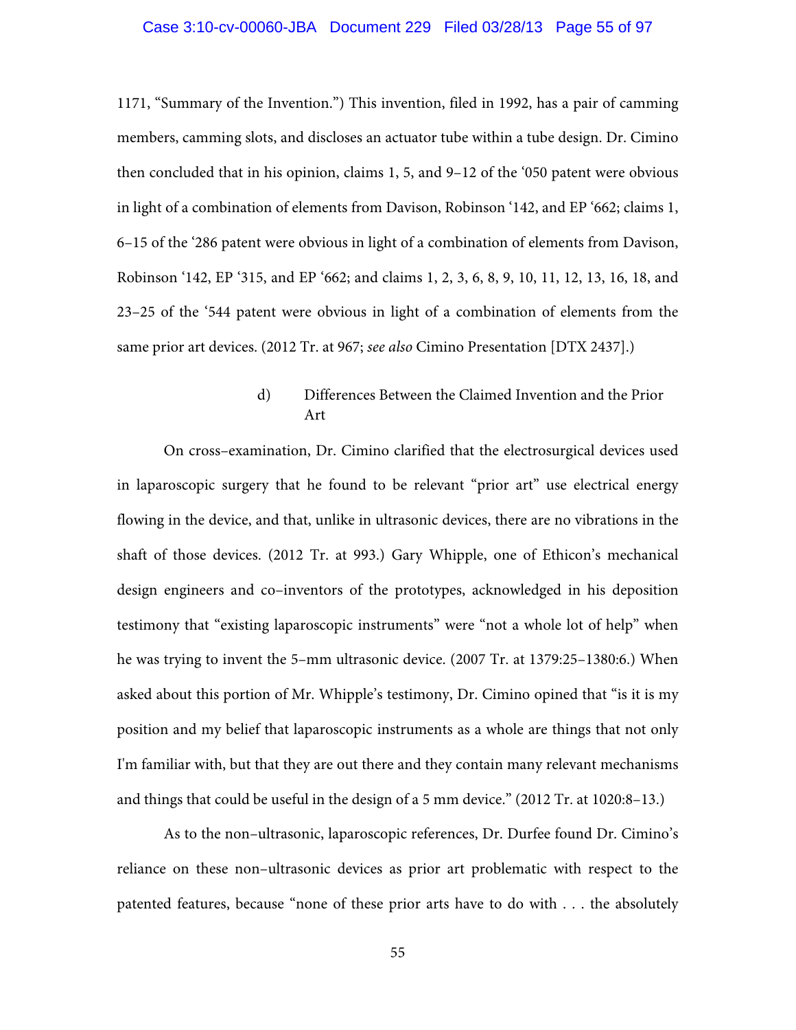#### Case 3:10-cv-00060-JBA Document 229 Filed 03/28/13 Page 55 of 97

1171, "Summary of the Invention.") This invention, filed in 1992, has a pair of camming members, camming slots, and discloses an actuator tube within a tube design. Dr. Cimino then concluded that in his opinion, claims 1, 5, and 9–12 of the '050 patent were obvious in light of a combination of elements from Davison, Robinson '142, and EP '662; claims 1, 6–15 of the '286 patent were obvious in light of a combination of elements from Davison, Robinson '142, EP '315, and EP '662; and claims 1, 2, 3, 6, 8, 9, 10, 11, 12, 13, 16, 18, and 23–25 of the '544 patent were obvious in light of a combination of elements from the same prior art devices. (2012 Tr. at 967; *see also* Cimino Presentation [DTX 2437].)

# d) Differences Between the Claimed Invention and the Prior Art

On cross–examination, Dr. Cimino clarified that the electrosurgical devices used in laparoscopic surgery that he found to be relevant "prior art" use electrical energy flowing in the device, and that, unlike in ultrasonic devices, there are no vibrations in the shaft of those devices. (2012 Tr. at 993.) Gary Whipple, one of Ethicon's mechanical design engineers and co–inventors of the prototypes, acknowledged in his deposition testimony that "existing laparoscopic instruments" were "not a whole lot of help" when he was trying to invent the 5–mm ultrasonic device. (2007 Tr. at 1379:25–1380:6.) When asked about this portion of Mr. Whipple's testimony, Dr. Cimino opined that "is it is my position and my belief that laparoscopic instruments as a whole are things that not only I'm familiar with, but that they are out there and they contain many relevant mechanisms and things that could be useful in the design of a 5 mm device." (2012 Tr. at 1020:8–13.)

As to the non–ultrasonic, laparoscopic references, Dr. Durfee found Dr. Cimino's reliance on these non–ultrasonic devices as prior art problematic with respect to the patented features, because "none of these prior arts have to do with . . . the absolutely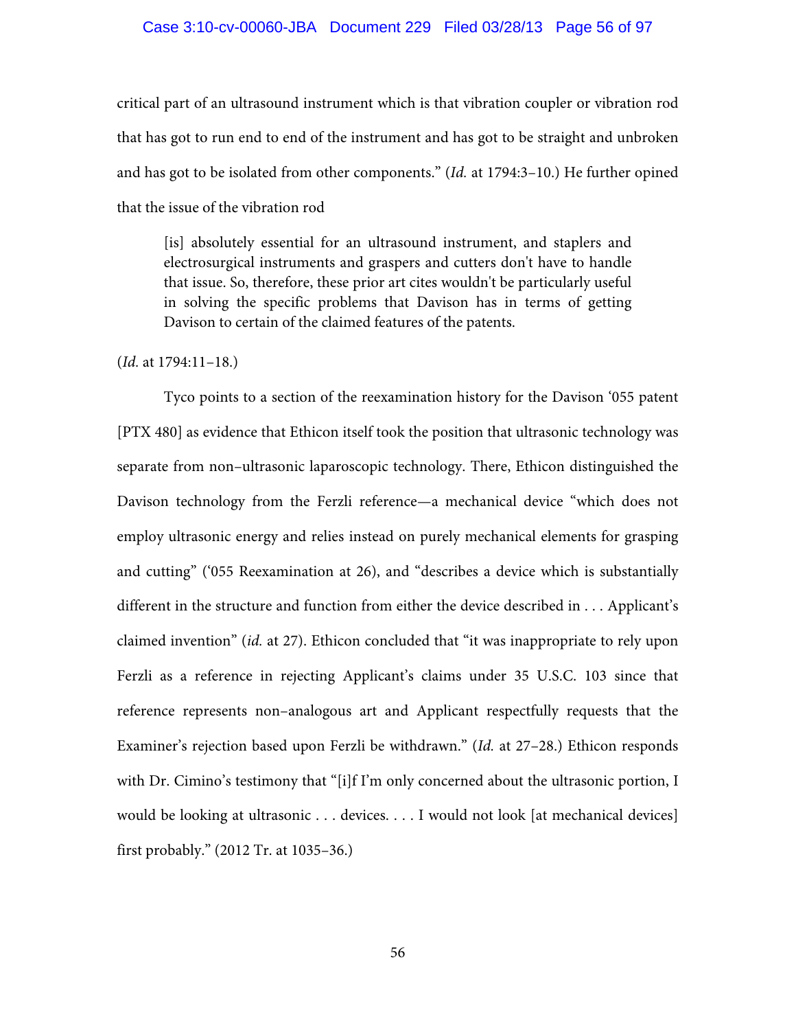### Case 3:10-cv-00060-JBA Document 229 Filed 03/28/13 Page 56 of 97

critical part of an ultrasound instrument which is that vibration coupler or vibration rod that has got to run end to end of the instrument and has got to be straight and unbroken and has got to be isolated from other components." (*Id.* at 1794:3–10.) He further opined that the issue of the vibration rod

[is] absolutely essential for an ultrasound instrument, and staplers and electrosurgical instruments and graspers and cutters don't have to handle that issue. So, therefore, these prior art cites wouldn't be particularly useful in solving the specific problems that Davison has in terms of getting Davison to certain of the claimed features of the patents.

(*Id.* at 1794:11–18.)

Tyco points to a section of the reexamination history for the Davison '055 patent [PTX 480] as evidence that Ethicon itself took the position that ultrasonic technology was separate from non–ultrasonic laparoscopic technology. There, Ethicon distinguished the Davison technology from the Ferzli reference—a mechanical device "which does not employ ultrasonic energy and relies instead on purely mechanical elements for grasping and cutting" ('055 Reexamination at 26), and "describes a device which is substantially different in the structure and function from either the device described in . . . Applicant's claimed invention" (*id.* at 27). Ethicon concluded that "it was inappropriate to rely upon Ferzli as a reference in rejecting Applicant's claims under 35 U.S.C. 103 since that reference represents non–analogous art and Applicant respectfully requests that the Examiner's rejection based upon Ferzli be withdrawn." (*Id.* at 27–28.) Ethicon responds with Dr. Cimino's testimony that "[i]f I'm only concerned about the ultrasonic portion, I would be looking at ultrasonic . . . devices. . . . I would not look [at mechanical devices] first probably." (2012 Tr. at 1035–36.)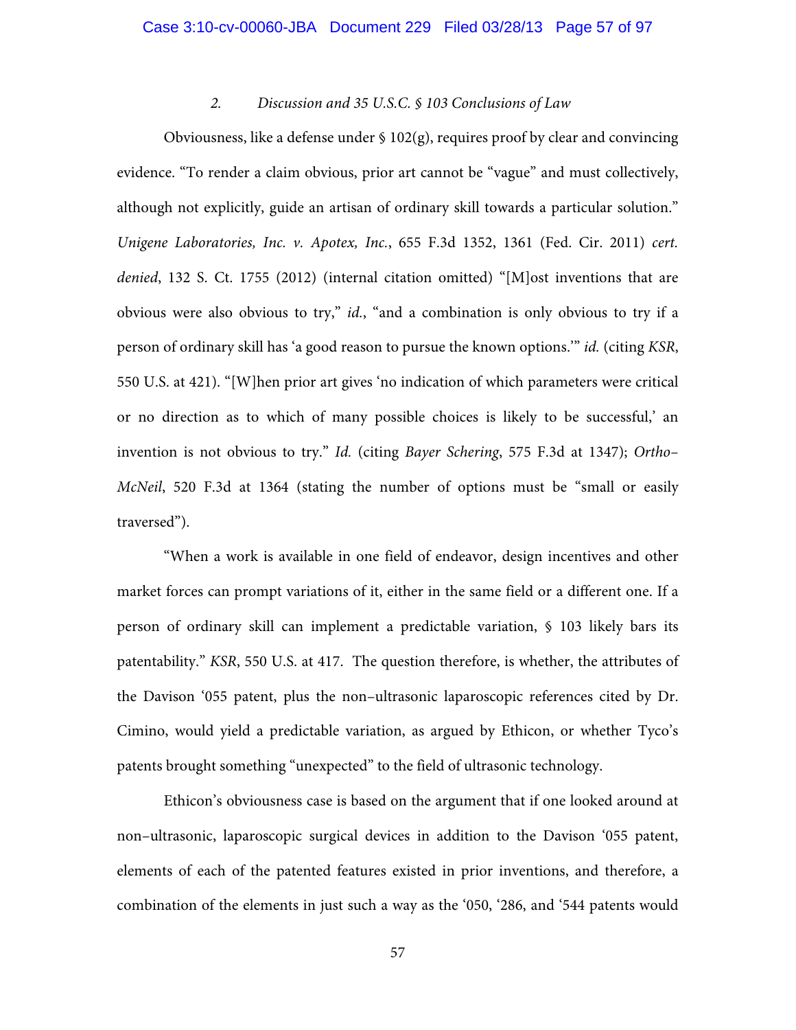## *2. Discussion and 35 U.S.C. § 103 Conclusions of Law*

Obviousness, like a defense under  $\S 102(g)$ , requires proof by clear and convincing evidence. "To render a claim obvious, prior art cannot be "vague" and must collectively, although not explicitly, guide an artisan of ordinary skill towards a particular solution." *Unigene Laboratories, Inc. v. Apotex, Inc.*, 655 F.3d 1352, 1361 (Fed. Cir. 2011) *cert. denied*, 132 S. Ct. 1755 (2012) (internal citation omitted) "[M]ost inventions that are obvious were also obvious to try," *id.*, "and a combination is only obvious to try if a person of ordinary skill has 'a good reason to pursue the known options.'" *id.* (citing *KSR*, 550 U.S. at 421). "[W]hen prior art gives 'no indication of which parameters were critical or no direction as to which of many possible choices is likely to be successful,' an invention is not obvious to try." *Id.* (citing *Bayer Schering*, 575 F.3d at 1347); *Ortho– McNeil*, 520 F.3d at 1364 (stating the number of options must be "small or easily traversed").

"When a work is available in one field of endeavor, design incentives and other market forces can prompt variations of it, either in the same field or a different one. If a person of ordinary skill can implement a predictable variation, § 103 likely bars its patentability." *KSR*, 550 U.S. at 417. The question therefore, is whether, the attributes of the Davison '055 patent, plus the non–ultrasonic laparoscopic references cited by Dr. Cimino, would yield a predictable variation, as argued by Ethicon, or whether Tyco's patents brought something "unexpected" to the field of ultrasonic technology.

Ethicon's obviousness case is based on the argument that if one looked around at non–ultrasonic, laparoscopic surgical devices in addition to the Davison '055 patent, elements of each of the patented features existed in prior inventions, and therefore, a combination of the elements in just such a way as the '050, '286, and '544 patents would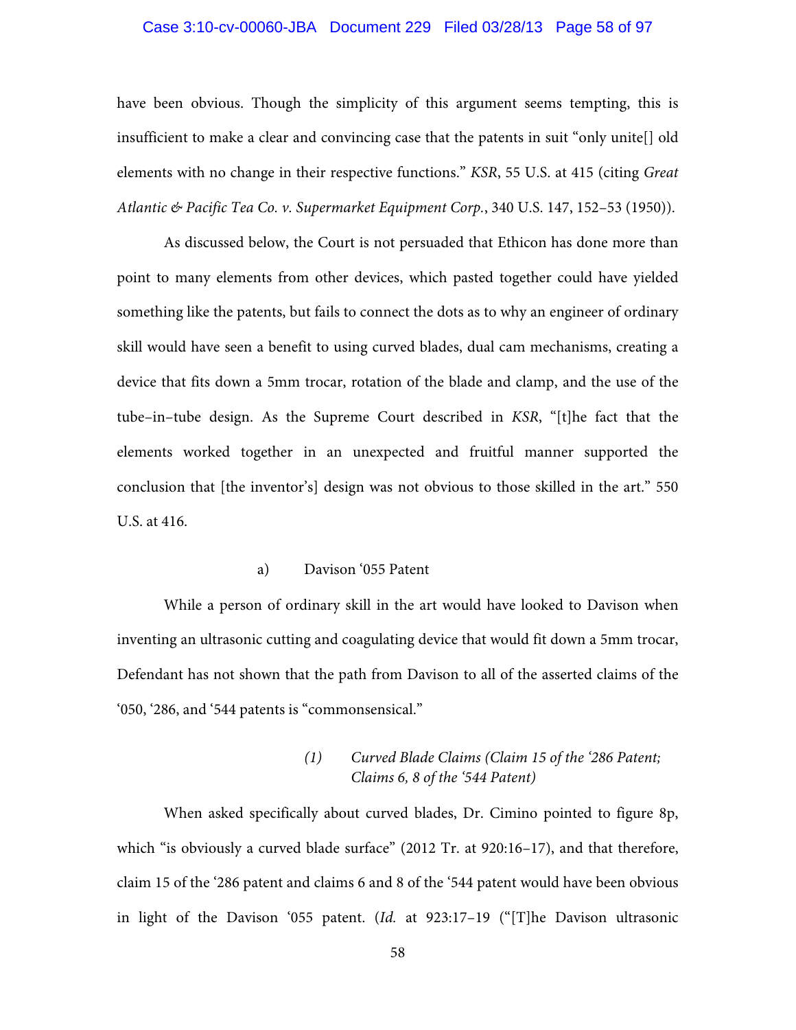## Case 3:10-cv-00060-JBA Document 229 Filed 03/28/13 Page 58 of 97

have been obvious. Though the simplicity of this argument seems tempting, this is insufficient to make a clear and convincing case that the patents in suit "only unite[] old elements with no change in their respective functions." *KSR*, 55 U.S. at 415 (citing *Great Atlantic & Pacific Tea Co. v. Supermarket Equipment Corp.*, 340 U.S. 147, 152–53 (1950)).

As discussed below, the Court is not persuaded that Ethicon has done more than point to many elements from other devices, which pasted together could have yielded something like the patents, but fails to connect the dots as to why an engineer of ordinary skill would have seen a benefit to using curved blades, dual cam mechanisms, creating a device that fits down a 5mm trocar, rotation of the blade and clamp, and the use of the tube–in–tube design. As the Supreme Court described in *KSR*, "[t]he fact that the elements worked together in an unexpected and fruitful manner supported the conclusion that [the inventor's] design was not obvious to those skilled in the art." 550 U.S. at 416.

## a) Davison '055 Patent

While a person of ordinary skill in the art would have looked to Davison when inventing an ultrasonic cutting and coagulating device that would fit down a 5mm trocar, Defendant has not shown that the path from Davison to all of the asserted claims of the '050, '286, and '544 patents is "commonsensical."

# *(1) Curved Blade Claims (Claim 15 of the '286 Patent; Claims 6, 8 of the '544 Patent)*

When asked specifically about curved blades, Dr. Cimino pointed to figure 8p, which "is obviously a curved blade surface" (2012 Tr. at 920:16–17), and that therefore, claim 15 of the '286 patent and claims 6 and 8 of the '544 patent would have been obvious in light of the Davison '055 patent. (*Id.* at 923:17–19 ("[T]he Davison ultrasonic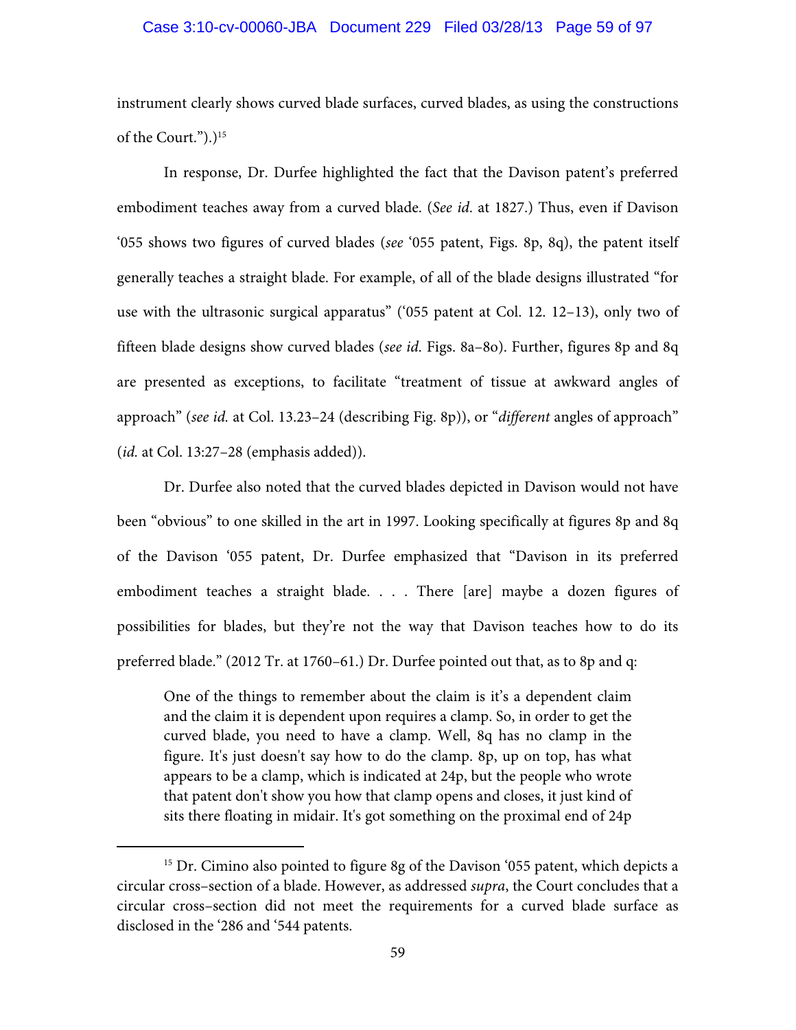### Case 3:10-cv-00060-JBA Document 229 Filed 03/28/13 Page 59 of 97

instrument clearly shows curved blade surfaces, curved blades, as using the constructions of the Court.").)<sup>15</sup>

In response, Dr. Durfee highlighted the fact that the Davison patent's preferred embodiment teaches away from a curved blade. (*See id*. at 1827.) Thus, even if Davison '055 shows two figures of curved blades (*see* '055 patent, Figs. 8p, 8q), the patent itself generally teaches a straight blade. For example, of all of the blade designs illustrated "for use with the ultrasonic surgical apparatus" ('055 patent at Col. 12. 12–13), only two of fifteen blade designs show curved blades (*see id.* Figs. 8a–8o). Further, figures 8p and 8q are presented as exceptions, to facilitate "treatment of tissue at awkward angles of approach" (*see id.* at Col. 13.23–24 (describing Fig. 8p)), or "*different* angles of approach" (*id.* at Col. 13:27–28 (emphasis added)).

Dr. Durfee also noted that the curved blades depicted in Davison would not have been "obvious" to one skilled in the art in 1997. Looking specifically at figures 8p and 8q of the Davison '055 patent, Dr. Durfee emphasized that "Davison in its preferred embodiment teaches a straight blade. . . . There [are] maybe a dozen figures of possibilities for blades, but they're not the way that Davison teaches how to do its preferred blade." (2012 Tr. at 1760–61.) Dr. Durfee pointed out that, as to 8p and q:

One of the things to remember about the claim is it's a dependent claim and the claim it is dependent upon requires a clamp. So, in order to get the curved blade, you need to have a clamp. Well, 8q has no clamp in the figure. It's just doesn't say how to do the clamp. 8p, up on top, has what appears to be a clamp, which is indicated at 24p, but the people who wrote that patent don't show you how that clamp opens and closes, it just kind of sits there floating in midair. It's got something on the proximal end of 24p

<sup>&</sup>lt;sup>15</sup> Dr. Cimino also pointed to figure 8g of the Davison '055 patent, which depicts a circular cross–section of a blade. However, as addressed *supra*, the Court concludes that a circular cross–section did not meet the requirements for a curved blade surface as disclosed in the '286 and '544 patents.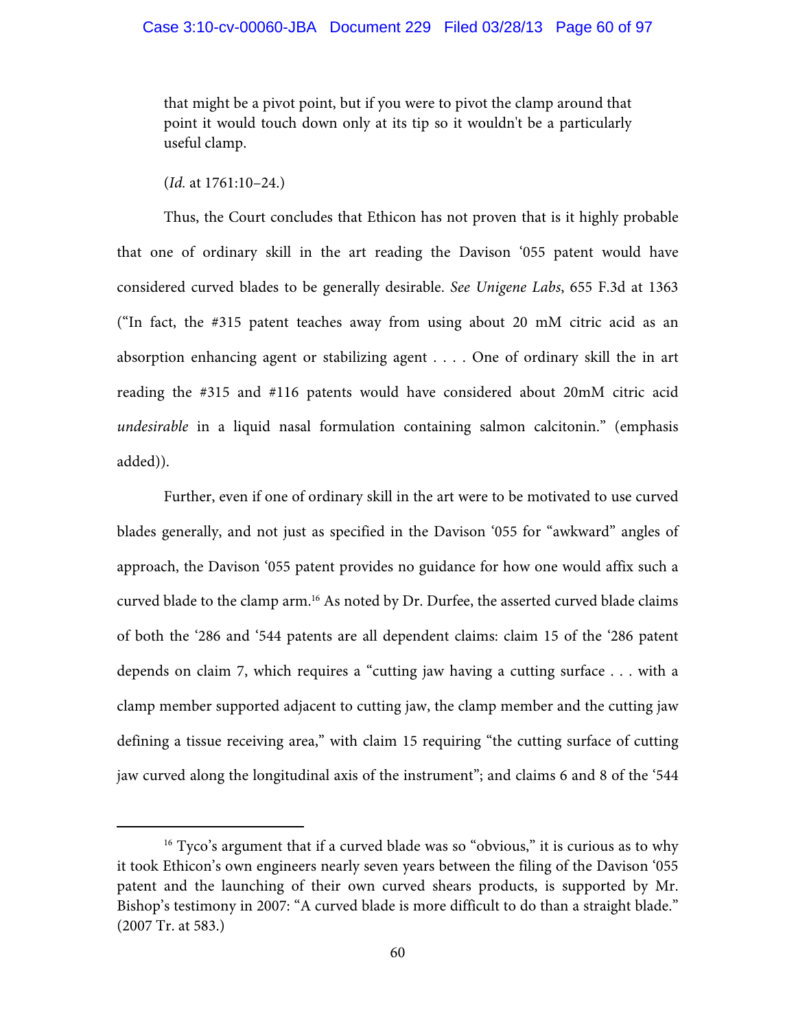that might be a pivot point, but if you were to pivot the clamp around that point it would touch down only at its tip so it wouldn't be a particularly useful clamp.

(*Id.* at 1761:10–24.)

Thus, the Court concludes that Ethicon has not proven that is it highly probable that one of ordinary skill in the art reading the Davison '055 patent would have considered curved blades to be generally desirable. *See Unigene Labs*, 655 F.3d at 1363 ("In fact, the #315 patent teaches away from using about 20 mM citric acid as an absorption enhancing agent or stabilizing agent . . . . One of ordinary skill the in art reading the #315 and #116 patents would have considered about 20mM citric acid *undesirable* in a liquid nasal formulation containing salmon calcitonin." (emphasis added)).

Further, even if one of ordinary skill in the art were to be motivated to use curved blades generally, and not just as specified in the Davison '055 for "awkward" angles of approach, the Davison '055 patent provides no guidance for how one would affix such a curved blade to the clamp arm.16 As noted by Dr. Durfee, the asserted curved blade claims of both the '286 and '544 patents are all dependent claims: claim 15 of the '286 patent depends on claim 7, which requires a "cutting jaw having a cutting surface . . . with a clamp member supported adjacent to cutting jaw, the clamp member and the cutting jaw defining a tissue receiving area," with claim 15 requiring "the cutting surface of cutting jaw curved along the longitudinal axis of the instrument"; and claims 6 and 8 of the '544

<sup>&</sup>lt;sup>16</sup> Tyco's argument that if a curved blade was so "obvious," it is curious as to why it took Ethicon's own engineers nearly seven years between the filing of the Davison '055 patent and the launching of their own curved shears products, is supported by Mr. Bishop's testimony in 2007: "A curved blade is more difficult to do than a straight blade." (2007 Tr. at 583.)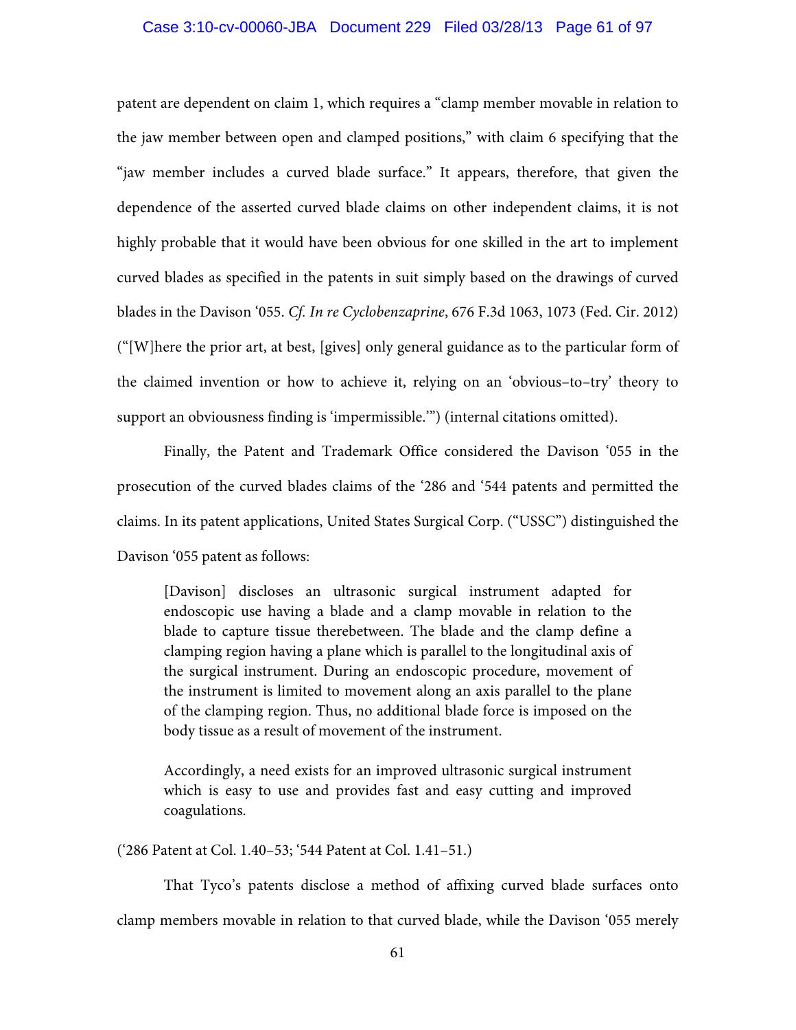### Case 3:10-cv-00060-JBA Document 229 Filed 03/28/13 Page 61 of 97

patent are dependent on claim 1, which requires a "clamp member movable in relation to the jaw member between open and clamped positions," with claim 6 specifying that the "jaw member includes a curved blade surface." It appears, therefore, that given the dependence of the asserted curved blade claims on other independent claims, it is not highly probable that it would have been obvious for one skilled in the art to implement curved blades as specified in the patents in suit simply based on the drawings of curved blades in the Davison '055. *Cf. In re Cyclobenzaprine*, 676 F.3d 1063, 1073 (Fed. Cir. 2012) ("[W]here the prior art, at best, [gives] only general guidance as to the particular form of the claimed invention or how to achieve it, relying on an 'obvious–to–try' theory to support an obviousness finding is 'impermissible.'") (internal citations omitted).

Finally, the Patent and Trademark Office considered the Davison '055 in the prosecution of the curved blades claims of the '286 and '544 patents and permitted the claims. In its patent applications, United States Surgical Corp. ("USSC") distinguished the Davison '055 patent as follows:

[Davison] discloses an ultrasonic surgical instrument adapted for endoscopic use having a blade and a clamp movable in relation to the blade to capture tissue therebetween. The blade and the clamp define a clamping region having a plane which is parallel to the longitudinal axis of the surgical instrument. During an endoscopic procedure, movement of the instrument is limited to movement along an axis parallel to the plane of the clamping region. Thus, no additional blade force is imposed on the body tissue as a result of movement of the instrument.

Accordingly, a need exists for an improved ultrasonic surgical instrument which is easy to use and provides fast and easy cutting and improved coagulations.

('286 Patent at Col. 1.40–53; '544 Patent at Col. 1.41–51.)

That Tyco's patents disclose a method of affixing curved blade surfaces onto clamp members movable in relation to that curved blade, while the Davison '055 merely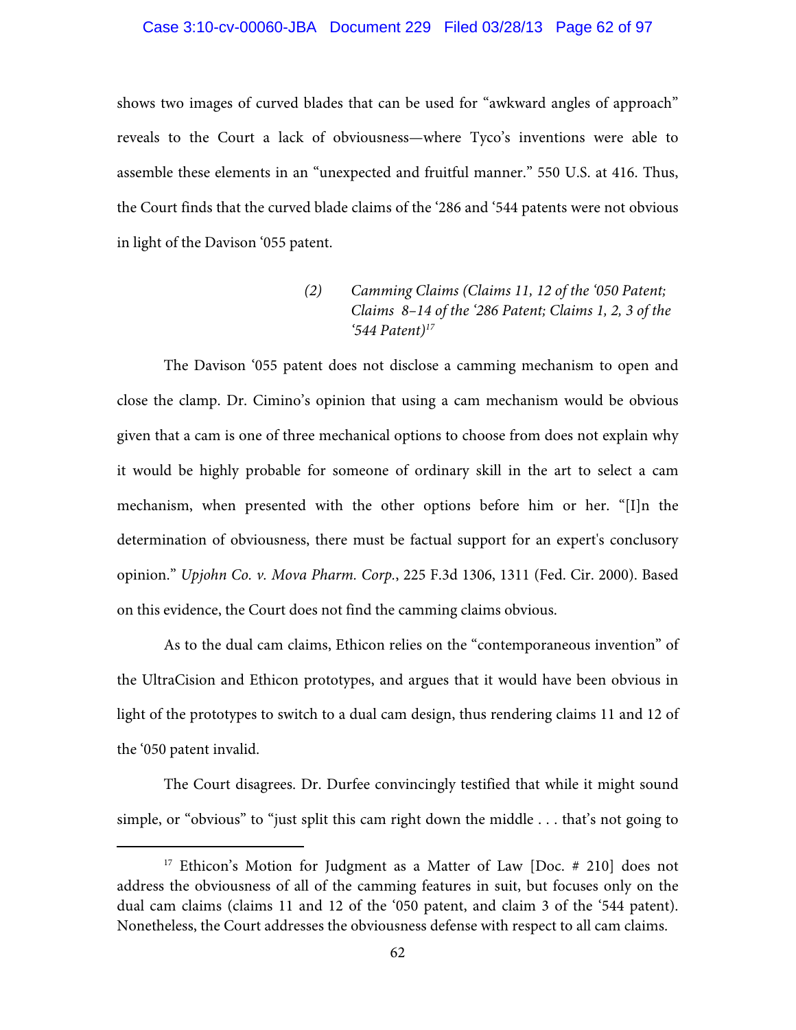#### Case 3:10-cv-00060-JBA Document 229 Filed 03/28/13 Page 62 of 97

shows two images of curved blades that can be used for "awkward angles of approach" reveals to the Court a lack of obviousness—where Tyco's inventions were able to assemble these elements in an "unexpected and fruitful manner." 550 U.S. at 416. Thus, the Court finds that the curved blade claims of the '286 and '544 patents were not obvious in light of the Davison '055 patent.

> *(2) Camming Claims (Claims 11, 12 of the '050 Patent; Claims 8–14 of the '286 Patent; Claims 1, 2, 3 of the '544 Patent)17*

The Davison '055 patent does not disclose a camming mechanism to open and close the clamp. Dr. Cimino's opinion that using a cam mechanism would be obvious given that a cam is one of three mechanical options to choose from does not explain why it would be highly probable for someone of ordinary skill in the art to select a cam mechanism, when presented with the other options before him or her. "[I]n the determination of obviousness, there must be factual support for an expert's conclusory opinion." *Upjohn Co. v. Mova Pharm. Corp.*, 225 F.3d 1306, 1311 (Fed. Cir. 2000). Based on this evidence, the Court does not find the camming claims obvious.

As to the dual cam claims, Ethicon relies on the "contemporaneous invention" of the UltraCision and Ethicon prototypes, and argues that it would have been obvious in light of the prototypes to switch to a dual cam design, thus rendering claims 11 and 12 of the '050 patent invalid.

The Court disagrees. Dr. Durfee convincingly testified that while it might sound simple, or "obvious" to "just split this cam right down the middle . . . that's not going to

<sup>&</sup>lt;sup>17</sup> Ethicon's Motion for Judgment as a Matter of Law [Doc. # 210] does not address the obviousness of all of the camming features in suit, but focuses only on the dual cam claims (claims 11 and 12 of the '050 patent, and claim 3 of the '544 patent). Nonetheless, the Court addresses the obviousness defense with respect to all cam claims.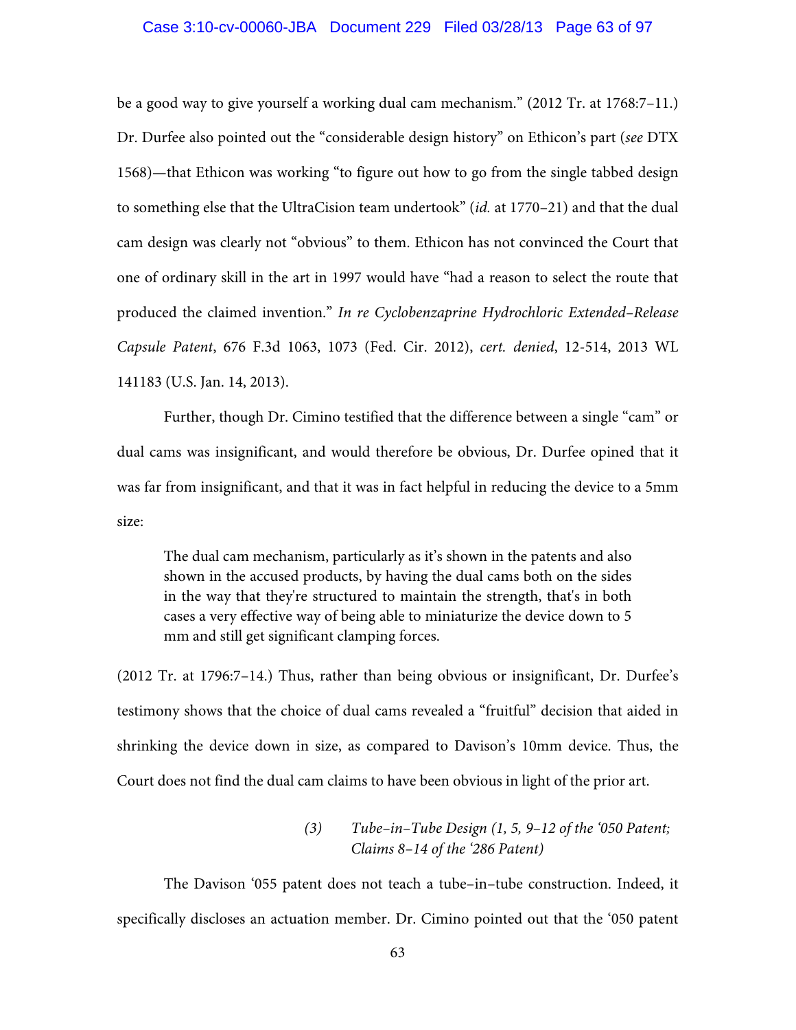### Case 3:10-cv-00060-JBA Document 229 Filed 03/28/13 Page 63 of 97

be a good way to give yourself a working dual cam mechanism." (2012 Tr. at 1768:7–11.) Dr. Durfee also pointed out the "considerable design history" on Ethicon's part (*see* DTX 1568)—that Ethicon was working "to figure out how to go from the single tabbed design to something else that the UltraCision team undertook" (*id.* at 1770–21) and that the dual cam design was clearly not "obvious" to them. Ethicon has not convinced the Court that one of ordinary skill in the art in 1997 would have "had a reason to select the route that produced the claimed invention." *In re Cyclobenzaprine Hydrochloric Extended–Release Capsule Patent*, 676 F.3d 1063, 1073 (Fed. Cir. 2012), *cert. denied*, 12-514, 2013 WL 141183 (U.S. Jan. 14, 2013).

Further, though Dr. Cimino testified that the difference between a single "cam" or dual cams was insignificant, and would therefore be obvious, Dr. Durfee opined that it was far from insignificant, and that it was in fact helpful in reducing the device to a 5mm size:

The dual cam mechanism, particularly as it's shown in the patents and also shown in the accused products, by having the dual cams both on the sides in the way that they're structured to maintain the strength, that's in both cases a very effective way of being able to miniaturize the device down to 5 mm and still get significant clamping forces.

(2012 Tr. at 1796:7–14.) Thus, rather than being obvious or insignificant, Dr. Durfee's testimony shows that the choice of dual cams revealed a "fruitful" decision that aided in shrinking the device down in size, as compared to Davison's 10mm device. Thus, the Court does not find the dual cam claims to have been obvious in light of the prior art.

# *(3) Tube–in–Tube Design (1, 5, 9–12 of the '050 Patent; Claims 8–14 of the '286 Patent)*

The Davison '055 patent does not teach a tube–in–tube construction. Indeed, it specifically discloses an actuation member. Dr. Cimino pointed out that the '050 patent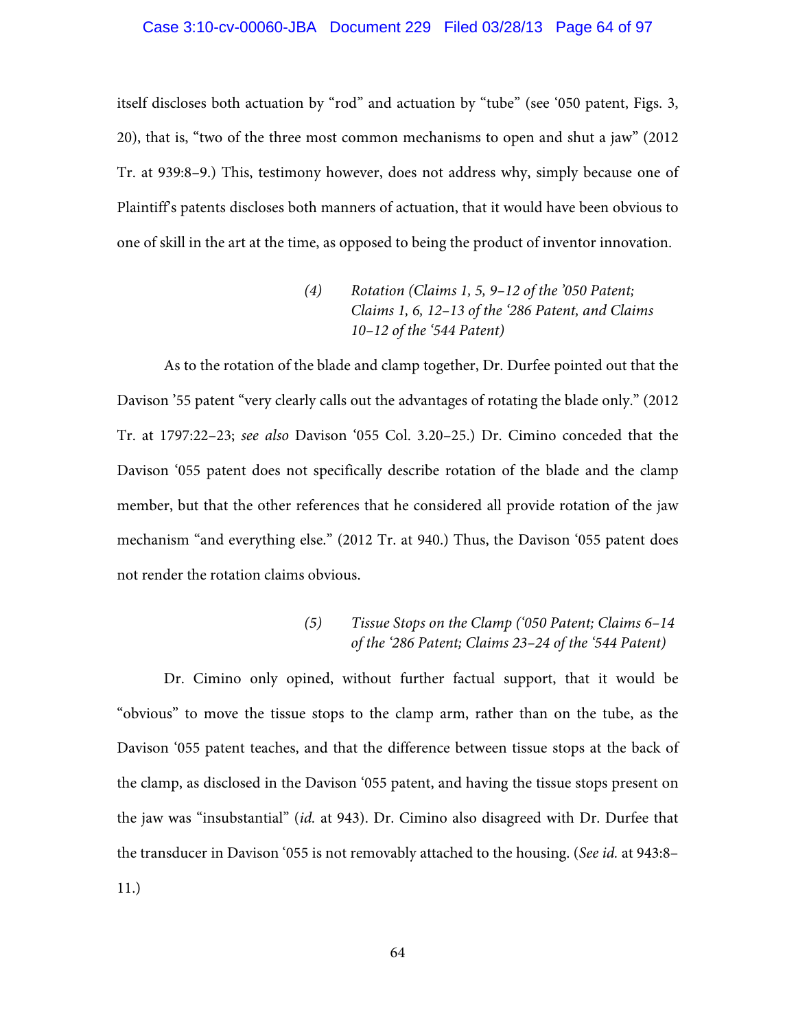## Case 3:10-cv-00060-JBA Document 229 Filed 03/28/13 Page 64 of 97

itself discloses both actuation by "rod" and actuation by "tube" (see '050 patent, Figs. 3, 20), that is, "two of the three most common mechanisms to open and shut a jaw" (2012 Tr. at 939:8–9.) This, testimony however, does not address why, simply because one of Plaintiff's patents discloses both manners of actuation, that it would have been obvious to one of skill in the art at the time, as opposed to being the product of inventor innovation.

(4) Rotation (Clains 1, 5, 9–12 of the '050 Patent;  
\nClains 1, 6, 12–13 of the '286 Patent, and Clains 
$$
10-12
$$
 of the '544 Patent)

As to the rotation of the blade and clamp together, Dr. Durfee pointed out that the Davison '55 patent "very clearly calls out the advantages of rotating the blade only." (2012 Tr. at 1797:22–23; *see also* Davison '055 Col. 3.20–25.) Dr. Cimino conceded that the Davison '055 patent does not specifically describe rotation of the blade and the clamp member, but that the other references that he considered all provide rotation of the jaw mechanism "and everything else." (2012 Tr. at 940.) Thus, the Davison '055 patent does not render the rotation claims obvious.

# *(5) Tissue Stops on the Clamp ('050 Patent; Claims 6–14 of the '286 Patent; Claims 23–24 of the '544 Patent)*

 Dr. Cimino only opined, without further factual support, that it would be "obvious" to move the tissue stops to the clamp arm, rather than on the tube, as the Davison '055 patent teaches, and that the difference between tissue stops at the back of the clamp, as disclosed in the Davison '055 patent, and having the tissue stops present on the jaw was "insubstantial" (*id.* at 943). Dr. Cimino also disagreed with Dr. Durfee that the transducer in Davison '055 is not removably attached to the housing. (*See id.* at 943:8– 11.)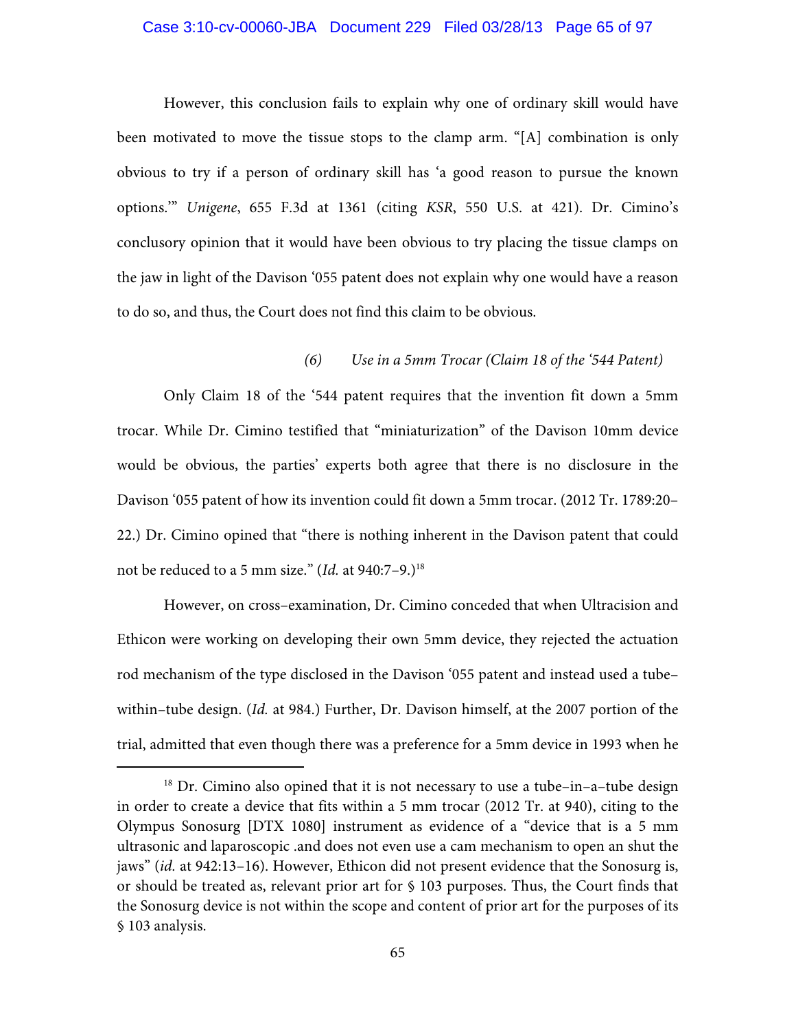#### Case 3:10-cv-00060-JBA Document 229 Filed 03/28/13 Page 65 of 97

However, this conclusion fails to explain why one of ordinary skill would have been motivated to move the tissue stops to the clamp arm. "[A] combination is only obvious to try if a person of ordinary skill has 'a good reason to pursue the known options.'" *Unigene*, 655 F.3d at 1361 (citing *KSR*, 550 U.S. at 421). Dr. Cimino's conclusory opinion that it would have been obvious to try placing the tissue clamps on the jaw in light of the Davison '055 patent does not explain why one would have a reason to do so, and thus, the Court does not find this claim to be obvious.

## *(6) Use in a 5mm Trocar (Claim 18 of the '544 Patent)*

 Only Claim 18 of the '544 patent requires that the invention fit down a 5mm trocar. While Dr. Cimino testified that "miniaturization" of the Davison 10mm device would be obvious, the parties' experts both agree that there is no disclosure in the Davison '055 patent of how its invention could fit down a 5mm trocar. (2012 Tr. 1789:20– 22.) Dr. Cimino opined that "there is nothing inherent in the Davison patent that could not be reduced to a 5 mm size." (*Id.* at 940:7–9.)18

However, on cross–examination, Dr. Cimino conceded that when Ultracision and Ethicon were working on developing their own 5mm device, they rejected the actuation rod mechanism of the type disclosed in the Davison '055 patent and instead used a tube– within–tube design. (*Id.* at 984.) Further, Dr. Davison himself, at the 2007 portion of the trial, admitted that even though there was a preference for a 5mm device in 1993 when he

<sup>&</sup>lt;sup>18</sup> Dr. Cimino also opined that it is not necessary to use a tube-in-a-tube design in order to create a device that fits within a 5 mm trocar (2012 Tr. at 940), citing to the Olympus Sonosurg [DTX 1080] instrument as evidence of a "device that is a 5 mm ultrasonic and laparoscopic .and does not even use a cam mechanism to open an shut the jaws" (*id.* at 942:13–16). However, Ethicon did not present evidence that the Sonosurg is, or should be treated as, relevant prior art for § 103 purposes. Thus, the Court finds that the Sonosurg device is not within the scope and content of prior art for the purposes of its § 103 analysis.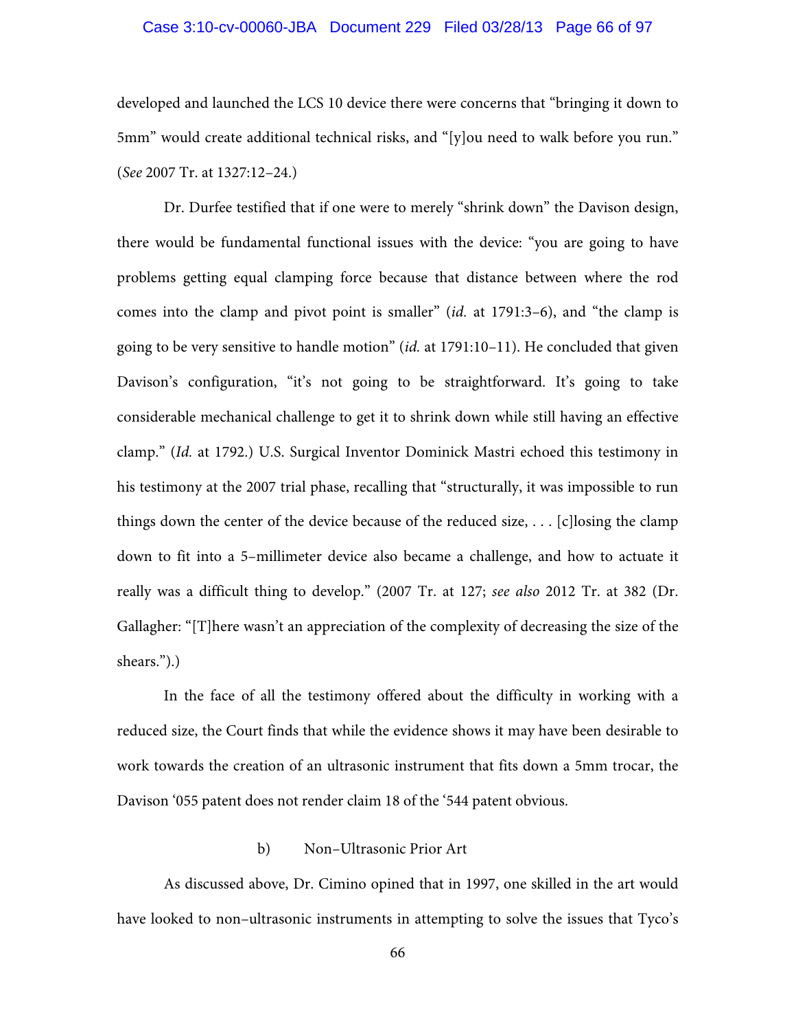## Case 3:10-cv-00060-JBA Document 229 Filed 03/28/13 Page 66 of 97

developed and launched the LCS 10 device there were concerns that "bringing it down to 5mm" would create additional technical risks, and "[y]ou need to walk before you run." (*See* 2007 Tr. at 1327:12–24.)

Dr. Durfee testified that if one were to merely "shrink down" the Davison design, there would be fundamental functional issues with the device: "you are going to have problems getting equal clamping force because that distance between where the rod comes into the clamp and pivot point is smaller" (*id.* at 1791:3–6), and "the clamp is going to be very sensitive to handle motion" (*id.* at 1791:10–11). He concluded that given Davison's configuration, "it's not going to be straightforward. It's going to take considerable mechanical challenge to get it to shrink down while still having an effective clamp." (*Id.* at 1792.) U.S. Surgical Inventor Dominick Mastri echoed this testimony in his testimony at the 2007 trial phase, recalling that "structurally, it was impossible to run things down the center of the device because of the reduced size, . . . [c]losing the clamp down to fit into a 5–millimeter device also became a challenge, and how to actuate it really was a difficult thing to develop." (2007 Tr. at 127; *see also* 2012 Tr. at 382 (Dr. Gallagher: "[T]here wasn't an appreciation of the complexity of decreasing the size of the shears.").)

In the face of all the testimony offered about the difficulty in working with a reduced size, the Court finds that while the evidence shows it may have been desirable to work towards the creation of an ultrasonic instrument that fits down a 5mm trocar, the Davison '055 patent does not render claim 18 of the '544 patent obvious.

#### b) Non–Ultrasonic Prior Art

As discussed above, Dr. Cimino opined that in 1997, one skilled in the art would have looked to non–ultrasonic instruments in attempting to solve the issues that Tyco's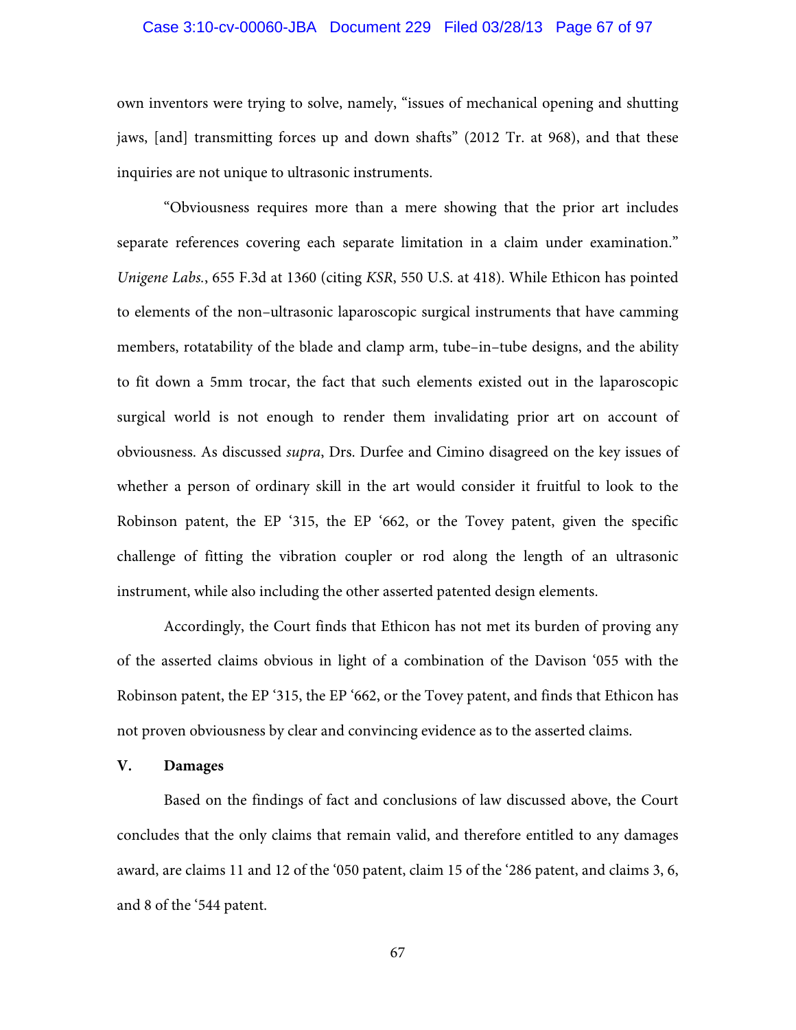## Case 3:10-cv-00060-JBA Document 229 Filed 03/28/13 Page 67 of 97

own inventors were trying to solve, namely, "issues of mechanical opening and shutting jaws, [and] transmitting forces up and down shafts" (2012 Tr. at 968), and that these inquiries are not unique to ultrasonic instruments.

"Obviousness requires more than a mere showing that the prior art includes separate references covering each separate limitation in a claim under examination." *Unigene Labs.*, 655 F.3d at 1360 (citing *KSR*, 550 U.S. at 418). While Ethicon has pointed to elements of the non–ultrasonic laparoscopic surgical instruments that have camming members, rotatability of the blade and clamp arm, tube–in–tube designs, and the ability to fit down a 5mm trocar, the fact that such elements existed out in the laparoscopic surgical world is not enough to render them invalidating prior art on account of obviousness. As discussed *supra*, Drs. Durfee and Cimino disagreed on the key issues of whether a person of ordinary skill in the art would consider it fruitful to look to the Robinson patent, the EP '315, the EP '662, or the Tovey patent, given the specific challenge of fitting the vibration coupler or rod along the length of an ultrasonic instrument, while also including the other asserted patented design elements.

Accordingly, the Court finds that Ethicon has not met its burden of proving any of the asserted claims obvious in light of a combination of the Davison '055 with the Robinson patent, the EP '315, the EP '662, or the Tovey patent, and finds that Ethicon has not proven obviousness by clear and convincing evidence as to the asserted claims.

## **V. Damages**

Based on the findings of fact and conclusions of law discussed above, the Court concludes that the only claims that remain valid, and therefore entitled to any damages award, are claims 11 and 12 of the '050 patent, claim 15 of the '286 patent, and claims 3, 6, and 8 of the '544 patent.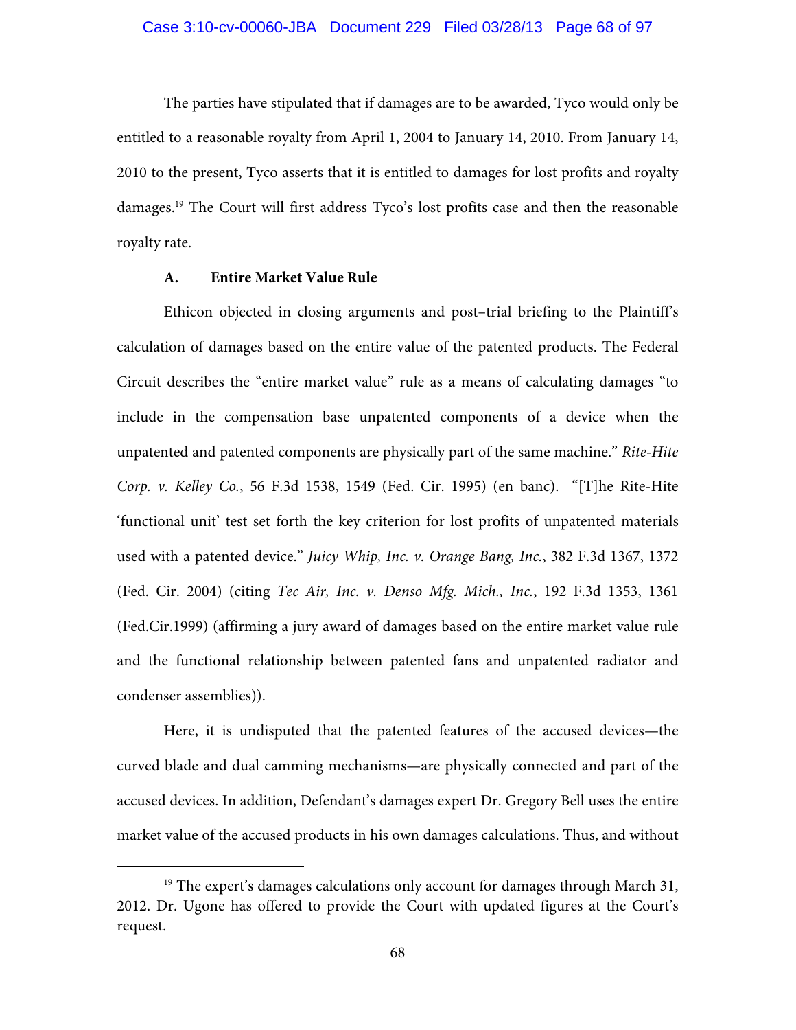The parties have stipulated that if damages are to be awarded, Tyco would only be entitled to a reasonable royalty from April 1, 2004 to January 14, 2010. From January 14, 2010 to the present, Tyco asserts that it is entitled to damages for lost profits and royalty damages.19 The Court will first address Tyco's lost profits case and then the reasonable royalty rate.

#### **A. Entire Market Value Rule**

Ethicon objected in closing arguments and post–trial briefing to the Plaintiff's calculation of damages based on the entire value of the patented products. The Federal Circuit describes the "entire market value" rule as a means of calculating damages "to include in the compensation base unpatented components of a device when the unpatented and patented components are physically part of the same machine." *Rite-Hite Corp. v. Kelley Co.*, 56 F.3d 1538, 1549 (Fed. Cir. 1995) (en banc). "[T]he Rite-Hite 'functional unit' test set forth the key criterion for lost profits of unpatented materials used with a patented device." *Juicy Whip, Inc. v. Orange Bang, Inc.*, 382 F.3d 1367, 1372 (Fed. Cir. 2004) (citing *Tec Air, Inc. v. Denso Mfg. Mich., Inc.*, 192 F.3d 1353, 1361 (Fed.Cir.1999) (affirming a jury award of damages based on the entire market value rule and the functional relationship between patented fans and unpatented radiator and condenser assemblies)).

Here, it is undisputed that the patented features of the accused devices—the curved blade and dual camming mechanisms—are physically connected and part of the accused devices. In addition, Defendant's damages expert Dr. Gregory Bell uses the entire market value of the accused products in his own damages calculations. Thus, and without

 $19$  The expert's damages calculations only account for damages through March 31, 2012. Dr. Ugone has offered to provide the Court with updated figures at the Court's request.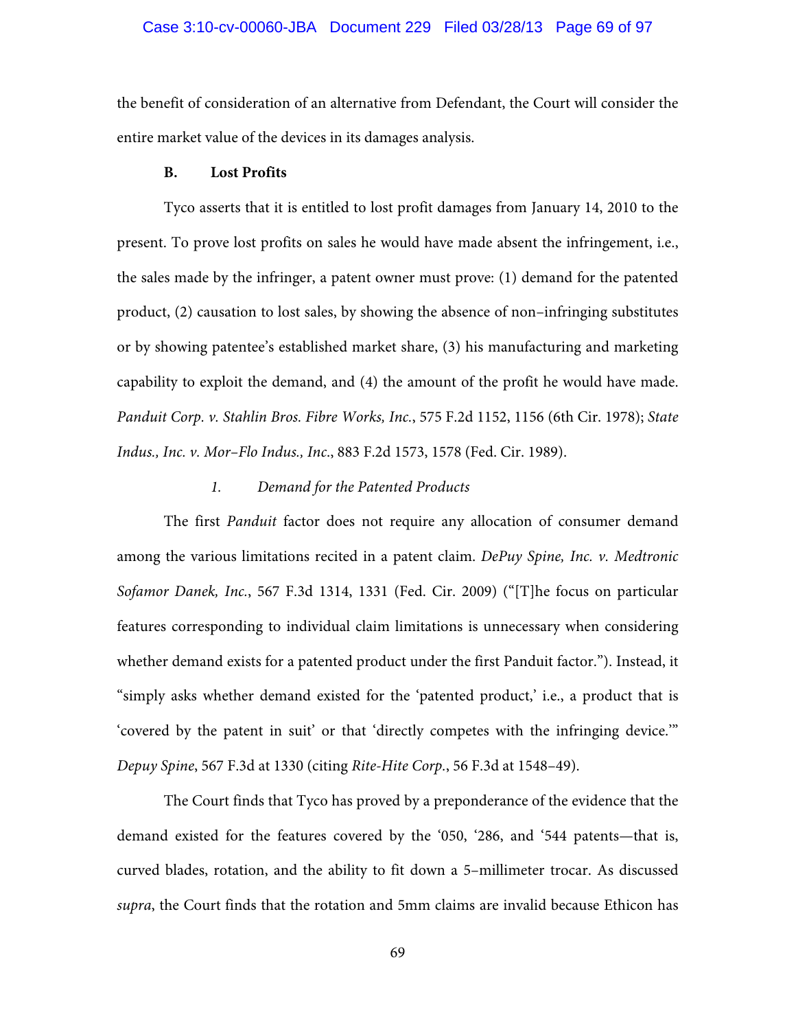# Case 3:10-cv-00060-JBA Document 229 Filed 03/28/13 Page 69 of 97

the benefit of consideration of an alternative from Defendant, the Court will consider the entire market value of the devices in its damages analysis.

### **B. Lost Profits**

Tyco asserts that it is entitled to lost profit damages from January 14, 2010 to the present. To prove lost profits on sales he would have made absent the infringement, i.e., the sales made by the infringer, a patent owner must prove: (1) demand for the patented product, (2) causation to lost sales, by showing the absence of non–infringing substitutes or by showing patentee's established market share, (3) his manufacturing and marketing capability to exploit the demand, and (4) the amount of the profit he would have made. *Panduit Corp. v. Stahlin Bros. Fibre Works, Inc.*, 575 F.2d 1152, 1156 (6th Cir. 1978); *State Indus., Inc. v. Mor–Flo Indus., Inc*., 883 F.2d 1573, 1578 (Fed. Cir. 1989).

## *1. Demand for the Patented Products*

The first *Panduit* factor does not require any allocation of consumer demand among the various limitations recited in a patent claim. *DePuy Spine, Inc. v. Medtronic Sofamor Danek, Inc.*, 567 F.3d 1314, 1331 (Fed. Cir. 2009) ("[T]he focus on particular features corresponding to individual claim limitations is unnecessary when considering whether demand exists for a patented product under the first Panduit factor."). Instead, it "simply asks whether demand existed for the 'patented product,' i.e., a product that is 'covered by the patent in suit' or that 'directly competes with the infringing device.'" *Depuy Spine*, 567 F.3d at 1330 (citing *Rite-Hite Corp.*, 56 F.3d at 1548–49).

The Court finds that Tyco has proved by a preponderance of the evidence that the demand existed for the features covered by the '050, '286, and '544 patents—that is, curved blades, rotation, and the ability to fit down a 5–millimeter trocar. As discussed *supra*, the Court finds that the rotation and 5mm claims are invalid because Ethicon has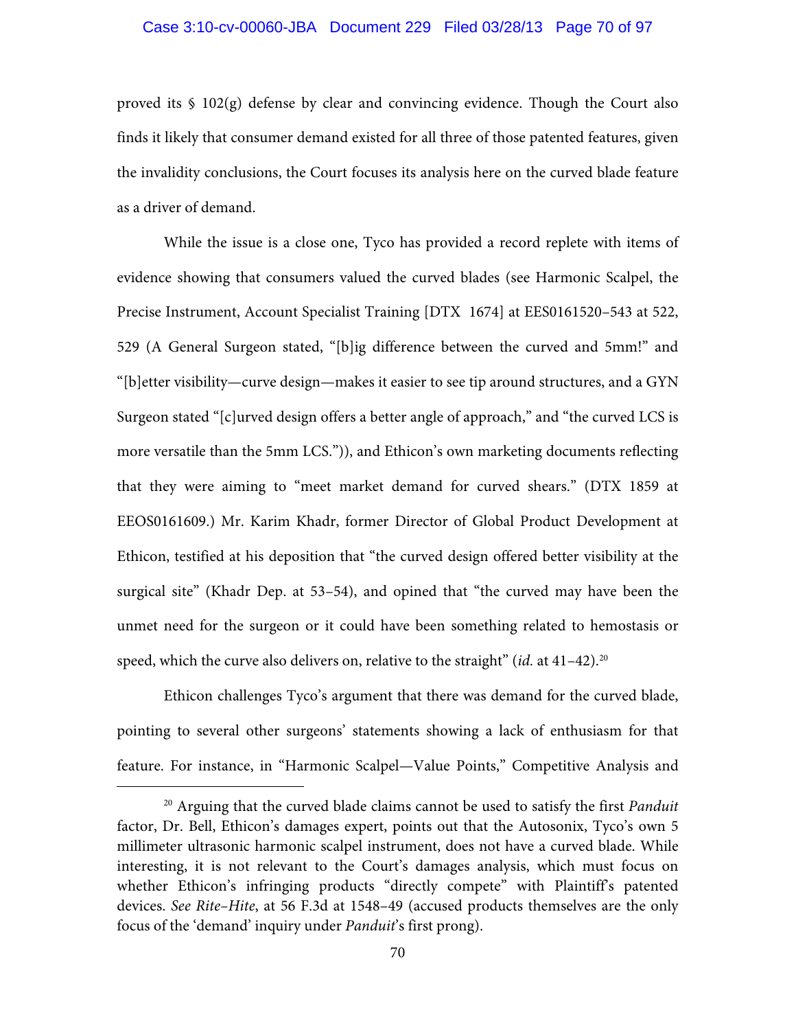#### Case 3:10-cv-00060-JBA Document 229 Filed 03/28/13 Page 70 of 97

proved its § 102(g) defense by clear and convincing evidence. Though the Court also finds it likely that consumer demand existed for all three of those patented features, given the invalidity conclusions, the Court focuses its analysis here on the curved blade feature as a driver of demand.

While the issue is a close one, Tyco has provided a record replete with items of evidence showing that consumers valued the curved blades (see Harmonic Scalpel, the Precise Instrument, Account Specialist Training [DTX 1674] at EES0161520–543 at 522, 529 (A General Surgeon stated, "[b]ig difference between the curved and 5mm!" and "[b]etter visibility—curve design—makes it easier to see tip around structures, and a GYN Surgeon stated "[c]urved design offers a better angle of approach," and "the curved LCS is more versatile than the 5mm LCS.")), and Ethicon's own marketing documents reflecting that they were aiming to "meet market demand for curved shears." (DTX 1859 at EEOS0161609.) Mr. Karim Khadr, former Director of Global Product Development at Ethicon, testified at his deposition that "the curved design offered better visibility at the surgical site" (Khadr Dep. at 53–54), and opined that "the curved may have been the unmet need for the surgeon or it could have been something related to hemostasis or speed, which the curve also delivers on, relative to the straight"  $(id$ . at  $41-42$ ).<sup>20</sup>

Ethicon challenges Tyco's argument that there was demand for the curved blade, pointing to several other surgeons' statements showing a lack of enthusiasm for that feature. For instance, in "Harmonic Scalpel—Value Points," Competitive Analysis and

 <sup>20</sup> Arguing that the curved blade claims cannot be used to satisfy the first *Panduit* factor, Dr. Bell, Ethicon's damages expert, points out that the Autosonix, Tyco's own 5 millimeter ultrasonic harmonic scalpel instrument, does not have a curved blade. While interesting, it is not relevant to the Court's damages analysis, which must focus on whether Ethicon's infringing products "directly compete" with Plaintiff's patented devices. *See Rite–Hite*, at 56 F.3d at 1548–49 (accused products themselves are the only focus of the 'demand' inquiry under *Panduit*'s first prong).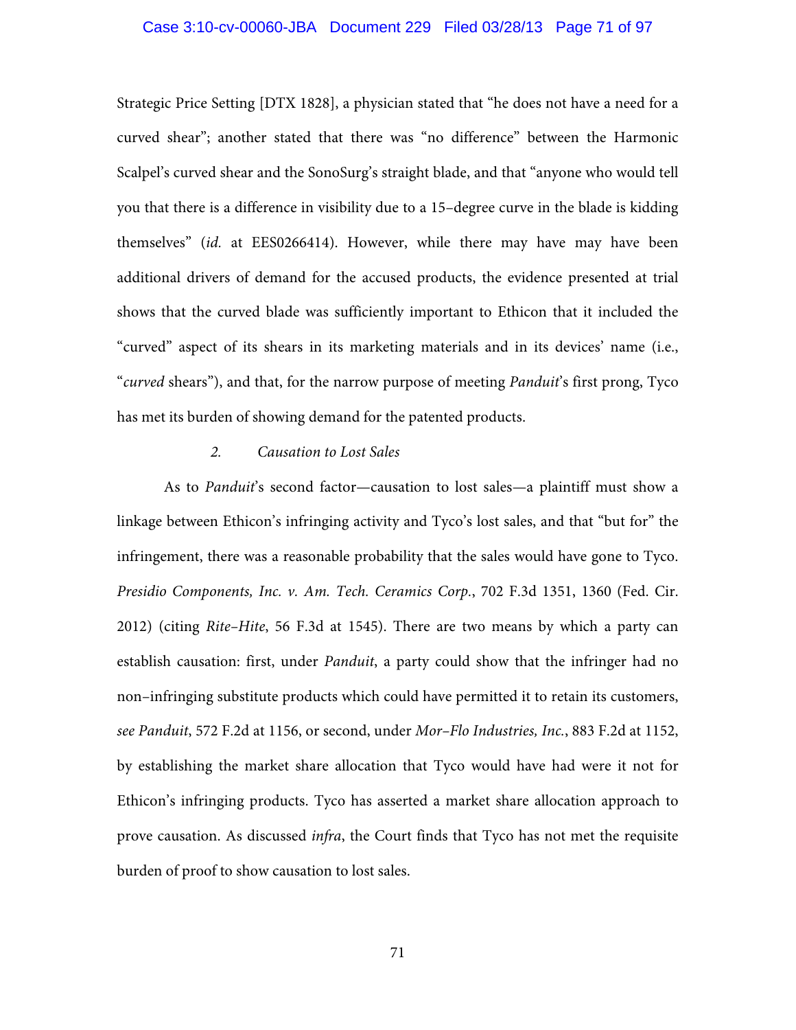## Case 3:10-cv-00060-JBA Document 229 Filed 03/28/13 Page 71 of 97

Strategic Price Setting [DTX 1828], a physician stated that "he does not have a need for a curved shear"; another stated that there was "no difference" between the Harmonic Scalpel's curved shear and the SonoSurg's straight blade, and that "anyone who would tell you that there is a difference in visibility due to a 15–degree curve in the blade is kidding themselves" (*id.* at EES0266414). However, while there may have may have been additional drivers of demand for the accused products, the evidence presented at trial shows that the curved blade was sufficiently important to Ethicon that it included the "curved" aspect of its shears in its marketing materials and in its devices' name (i.e., "*curved* shears"), and that, for the narrow purpose of meeting *Panduit*'s first prong, Tyco has met its burden of showing demand for the patented products.

## *2. Causation to Lost Sales*

As to *Panduit*'s second factor—causation to lost sales—a plaintiff must show a linkage between Ethicon's infringing activity and Tyco's lost sales, and that "but for" the infringement, there was a reasonable probability that the sales would have gone to Tyco. *Presidio Components, Inc. v. Am. Tech. Ceramics Corp.*, 702 F.3d 1351, 1360 (Fed. Cir. 2012) (citing *Rite–Hite*, 56 F.3d at 1545). There are two means by which a party can establish causation: first, under *Panduit*, a party could show that the infringer had no non–infringing substitute products which could have permitted it to retain its customers, *see Panduit*, 572 F.2d at 1156, or second, under *Mor–Flo Industries, Inc.*, 883 F.2d at 1152, by establishing the market share allocation that Tyco would have had were it not for Ethicon's infringing products. Tyco has asserted a market share allocation approach to prove causation. As discussed *infra*, the Court finds that Tyco has not met the requisite burden of proof to show causation to lost sales.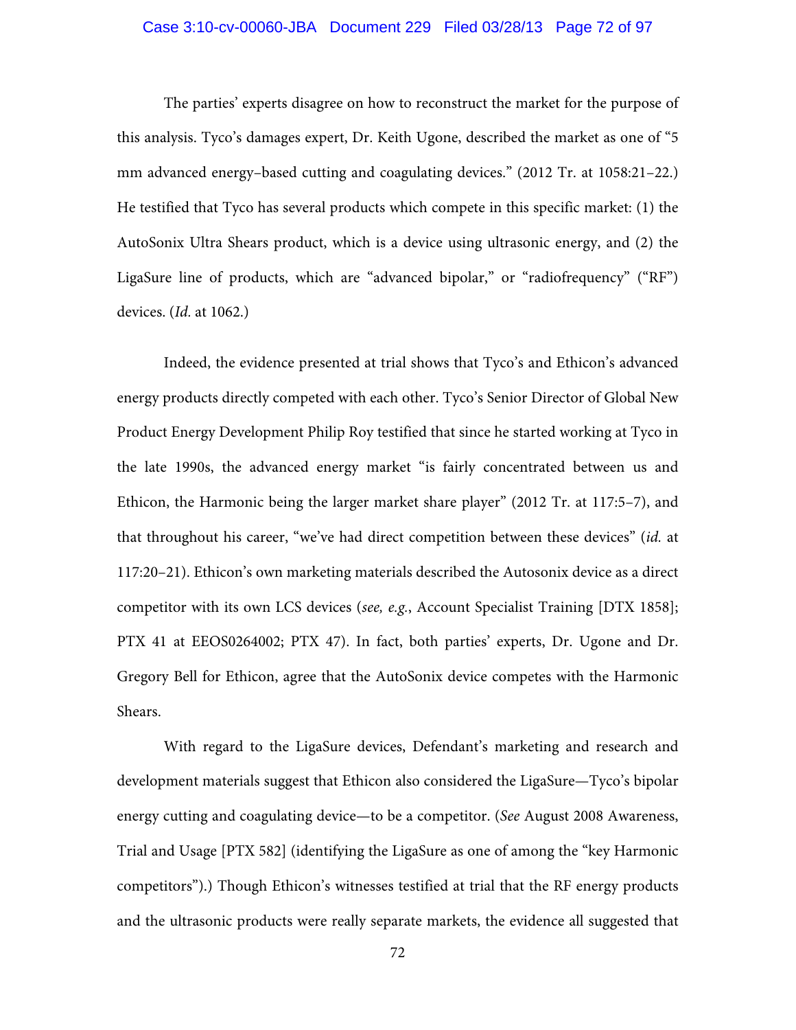## Case 3:10-cv-00060-JBA Document 229 Filed 03/28/13 Page 72 of 97

The parties' experts disagree on how to reconstruct the market for the purpose of this analysis. Tyco's damages expert, Dr. Keith Ugone, described the market as one of "5 mm advanced energy–based cutting and coagulating devices." (2012 Tr. at 1058:21–22.) He testified that Tyco has several products which compete in this specific market: (1) the AutoSonix Ultra Shears product, which is a device using ultrasonic energy, and (2) the LigaSure line of products, which are "advanced bipolar," or "radiofrequency" ("RF") devices. (*Id.* at 1062.)

Indeed, the evidence presented at trial shows that Tyco's and Ethicon's advanced energy products directly competed with each other. Tyco's Senior Director of Global New Product Energy Development Philip Roy testified that since he started working at Tyco in the late 1990s, the advanced energy market "is fairly concentrated between us and Ethicon, the Harmonic being the larger market share player" (2012 Tr. at 117:5–7), and that throughout his career, "we've had direct competition between these devices" (*id.* at 117:20–21). Ethicon's own marketing materials described the Autosonix device as a direct competitor with its own LCS devices (*see, e.g.*, Account Specialist Training [DTX 1858]; PTX 41 at EEOS0264002; PTX 47). In fact, both parties' experts, Dr. Ugone and Dr. Gregory Bell for Ethicon, agree that the AutoSonix device competes with the Harmonic Shears.

With regard to the LigaSure devices, Defendant's marketing and research and development materials suggest that Ethicon also considered the LigaSure—Tyco's bipolar energy cutting and coagulating device—to be a competitor. (*See* August 2008 Awareness, Trial and Usage [PTX 582] (identifying the LigaSure as one of among the "key Harmonic competitors").) Though Ethicon's witnesses testified at trial that the RF energy products and the ultrasonic products were really separate markets, the evidence all suggested that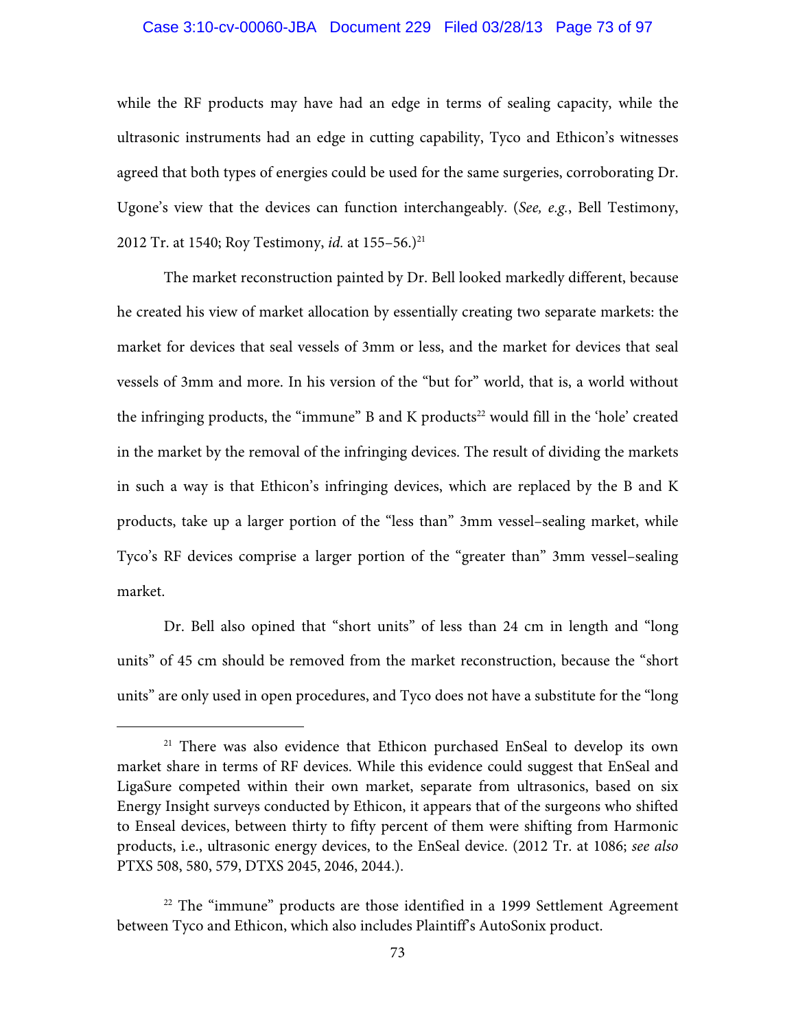### Case 3:10-cv-00060-JBA Document 229 Filed 03/28/13 Page 73 of 97

while the RF products may have had an edge in terms of sealing capacity, while the ultrasonic instruments had an edge in cutting capability, Tyco and Ethicon's witnesses agreed that both types of energies could be used for the same surgeries, corroborating Dr. Ugone's view that the devices can function interchangeably. (*See, e.g.*, Bell Testimony, 2012 Tr. at 1540; Roy Testimony, *id.* at 155–56.)<sup>21</sup>

The market reconstruction painted by Dr. Bell looked markedly different, because he created his view of market allocation by essentially creating two separate markets: the market for devices that seal vessels of 3mm or less, and the market for devices that seal vessels of 3mm and more. In his version of the "but for" world, that is, a world without the infringing products, the "immune" B and K products $22$  would fill in the 'hole' created in the market by the removal of the infringing devices. The result of dividing the markets in such a way is that Ethicon's infringing devices, which are replaced by the B and K products, take up a larger portion of the "less than" 3mm vessel–sealing market, while Tyco's RF devices comprise a larger portion of the "greater than" 3mm vessel–sealing market.

Dr. Bell also opined that "short units" of less than 24 cm in length and "long units" of 45 cm should be removed from the market reconstruction, because the "short units" are only used in open procedures, and Tyco does not have a substitute for the "long

<sup>&</sup>lt;sup>21</sup> There was also evidence that Ethicon purchased EnSeal to develop its own market share in terms of RF devices. While this evidence could suggest that EnSeal and LigaSure competed within their own market, separate from ultrasonics, based on six Energy Insight surveys conducted by Ethicon, it appears that of the surgeons who shifted to Enseal devices, between thirty to fifty percent of them were shifting from Harmonic products, i.e., ultrasonic energy devices, to the EnSeal device. (2012 Tr. at 1086; *see also* PTXS 508, 580, 579, DTXS 2045, 2046, 2044.).

 $22$  The "immune" products are those identified in a 1999 Settlement Agreement between Tyco and Ethicon, which also includes Plaintiff's AutoSonix product.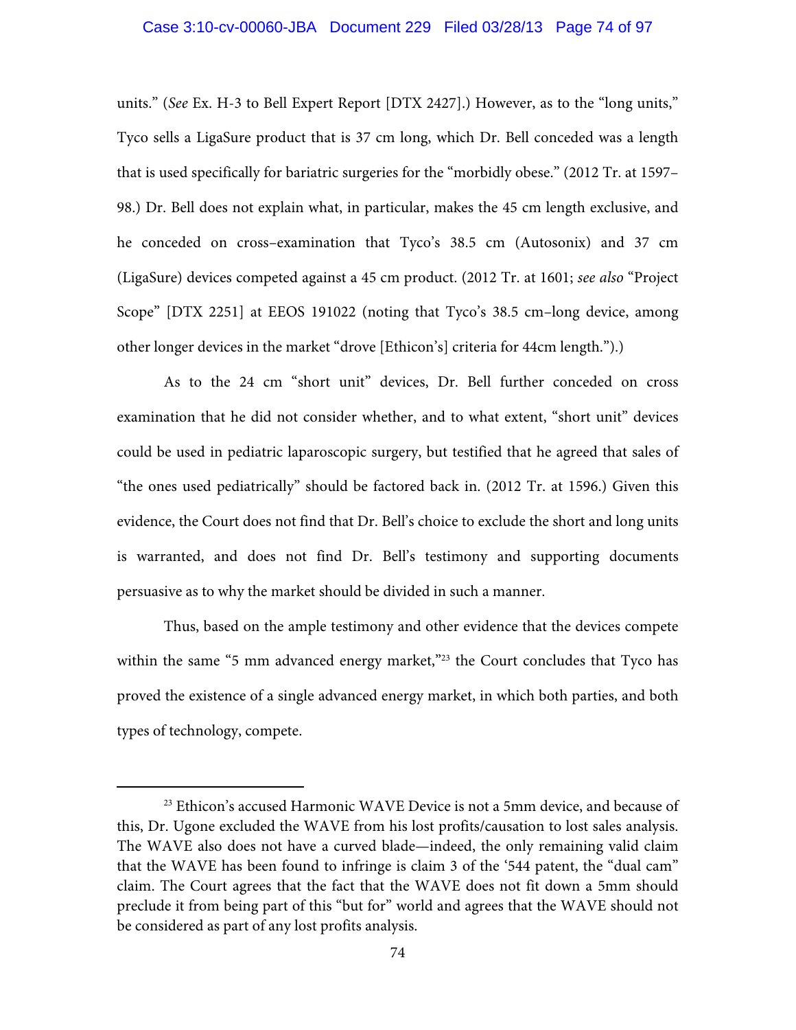### Case 3:10-cv-00060-JBA Document 229 Filed 03/28/13 Page 74 of 97

units." (*See* Ex. H-3 to Bell Expert Report [DTX 2427].) However, as to the "long units," Tyco sells a LigaSure product that is 37 cm long, which Dr. Bell conceded was a length that is used specifically for bariatric surgeries for the "morbidly obese." (2012 Tr. at 1597– 98.) Dr. Bell does not explain what, in particular, makes the 45 cm length exclusive, and he conceded on cross–examination that Tyco's 38.5 cm (Autosonix) and 37 cm (LigaSure) devices competed against a 45 cm product. (2012 Tr. at 1601; *see also* "Project Scope" [DTX 2251] at EEOS 191022 (noting that Tyco's 38.5 cm–long device, among other longer devices in the market "drove [Ethicon's] criteria for 44cm length.").)

As to the 24 cm "short unit" devices, Dr. Bell further conceded on cross examination that he did not consider whether, and to what extent, "short unit" devices could be used in pediatric laparoscopic surgery, but testified that he agreed that sales of "the ones used pediatrically" should be factored back in. (2012 Tr. at 1596.) Given this evidence, the Court does not find that Dr. Bell's choice to exclude the short and long units is warranted, and does not find Dr. Bell's testimony and supporting documents persuasive as to why the market should be divided in such a manner.

Thus, based on the ample testimony and other evidence that the devices compete within the same "5 mm advanced energy market,"<sup>23</sup> the Court concludes that Tyco has proved the existence of a single advanced energy market, in which both parties, and both types of technology, compete.

<sup>&</sup>lt;sup>23</sup> Ethicon's accused Harmonic WAVE Device is not a 5mm device, and because of this, Dr. Ugone excluded the WAVE from his lost profits/causation to lost sales analysis. The WAVE also does not have a curved blade—indeed, the only remaining valid claim that the WAVE has been found to infringe is claim 3 of the '544 patent, the "dual cam" claim. The Court agrees that the fact that the WAVE does not fit down a 5mm should preclude it from being part of this "but for" world and agrees that the WAVE should not be considered as part of any lost profits analysis.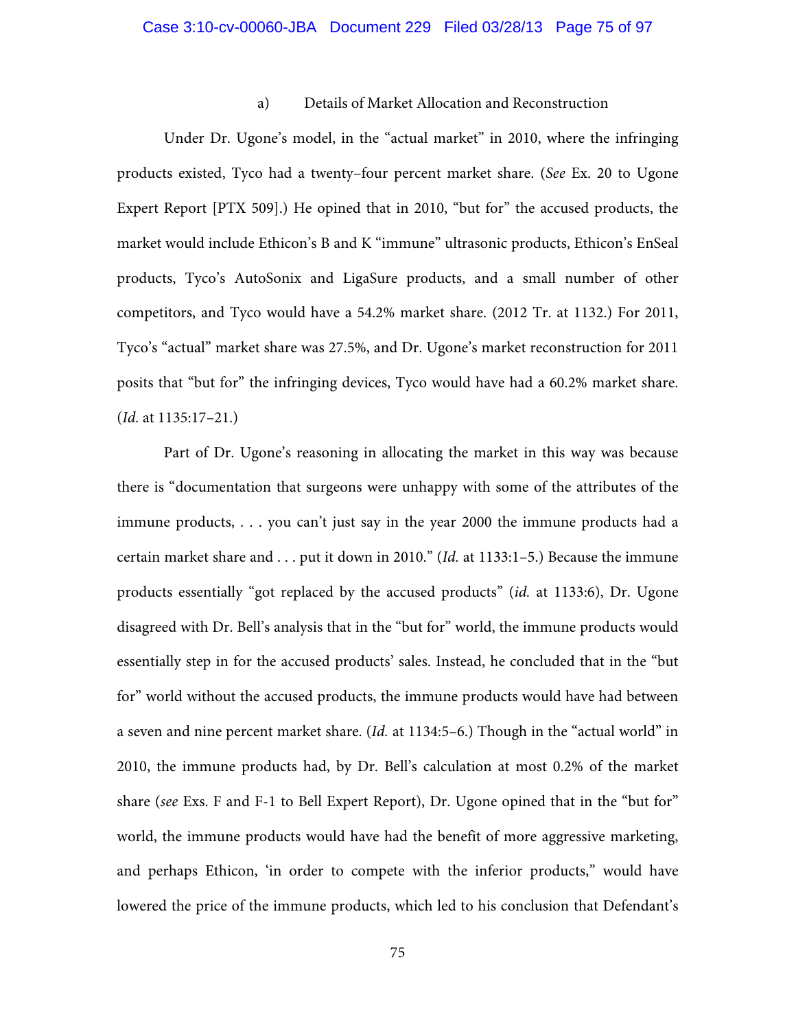# Case 3:10-cv-00060-JBA Document 229 Filed 03/28/13 Page 75 of 97

### a) Details of Market Allocation and Reconstruction

Under Dr. Ugone's model, in the "actual market" in 2010, where the infringing products existed, Tyco had a twenty–four percent market share. (*See* Ex. 20 to Ugone Expert Report [PTX 509].) He opined that in 2010, "but for" the accused products, the market would include Ethicon's B and K "immune" ultrasonic products, Ethicon's EnSeal products, Tyco's AutoSonix and LigaSure products, and a small number of other competitors, and Tyco would have a 54.2% market share. (2012 Tr. at 1132.) For 2011, Tyco's "actual" market share was 27.5%, and Dr. Ugone's market reconstruction for 2011 posits that "but for" the infringing devices, Tyco would have had a 60.2% market share. (*Id.* at 1135:17–21.)

Part of Dr. Ugone's reasoning in allocating the market in this way was because there is "documentation that surgeons were unhappy with some of the attributes of the immune products, . . . you can't just say in the year 2000 the immune products had a certain market share and . . . put it down in 2010." (*Id.* at 1133:1–5.) Because the immune products essentially "got replaced by the accused products" (*id.* at 1133:6), Dr. Ugone disagreed with Dr. Bell's analysis that in the "but for" world, the immune products would essentially step in for the accused products' sales. Instead, he concluded that in the "but for" world without the accused products, the immune products would have had between a seven and nine percent market share. (*Id.* at 1134:5–6.) Though in the "actual world" in 2010, the immune products had, by Dr. Bell's calculation at most 0.2% of the market share (*see* Exs. F and F-1 to Bell Expert Report), Dr. Ugone opined that in the "but for" world, the immune products would have had the benefit of more aggressive marketing, and perhaps Ethicon, 'in order to compete with the inferior products," would have lowered the price of the immune products, which led to his conclusion that Defendant's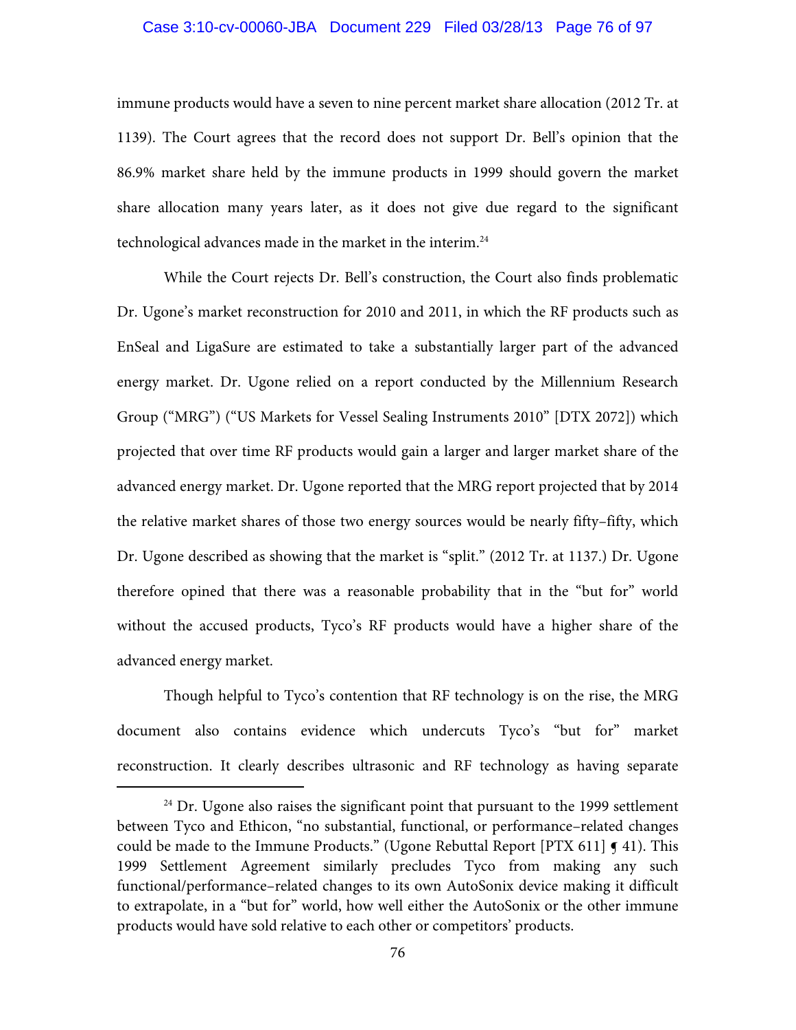### Case 3:10-cv-00060-JBA Document 229 Filed 03/28/13 Page 76 of 97

immune products would have a seven to nine percent market share allocation (2012 Tr. at 1139). The Court agrees that the record does not support Dr. Bell's opinion that the 86.9% market share held by the immune products in 1999 should govern the market share allocation many years later, as it does not give due regard to the significant technological advances made in the market in the interim.24

While the Court rejects Dr. Bell's construction, the Court also finds problematic Dr. Ugone's market reconstruction for 2010 and 2011, in which the RF products such as EnSeal and LigaSure are estimated to take a substantially larger part of the advanced energy market. Dr. Ugone relied on a report conducted by the Millennium Research Group ("MRG") ("US Markets for Vessel Sealing Instruments 2010" [DTX 2072]) which projected that over time RF products would gain a larger and larger market share of the advanced energy market. Dr. Ugone reported that the MRG report projected that by 2014 the relative market shares of those two energy sources would be nearly fifty–fifty, which Dr. Ugone described as showing that the market is "split." (2012 Tr. at 1137.) Dr. Ugone therefore opined that there was a reasonable probability that in the "but for" world without the accused products, Tyco's RF products would have a higher share of the advanced energy market.

Though helpful to Tyco's contention that RF technology is on the rise, the MRG document also contains evidence which undercuts Tyco's "but for" market reconstruction. It clearly describes ultrasonic and RF technology as having separate

 $24$  Dr. Ugone also raises the significant point that pursuant to the 1999 settlement between Tyco and Ethicon, "no substantial, functional, or performance–related changes could be made to the Immune Products." (Ugone Rebuttal Report [PTX 611]  $\leq 41$ ). This 1999 Settlement Agreement similarly precludes Tyco from making any such functional/performance–related changes to its own AutoSonix device making it difficult to extrapolate, in a "but for" world, how well either the AutoSonix or the other immune products would have sold relative to each other or competitors' products.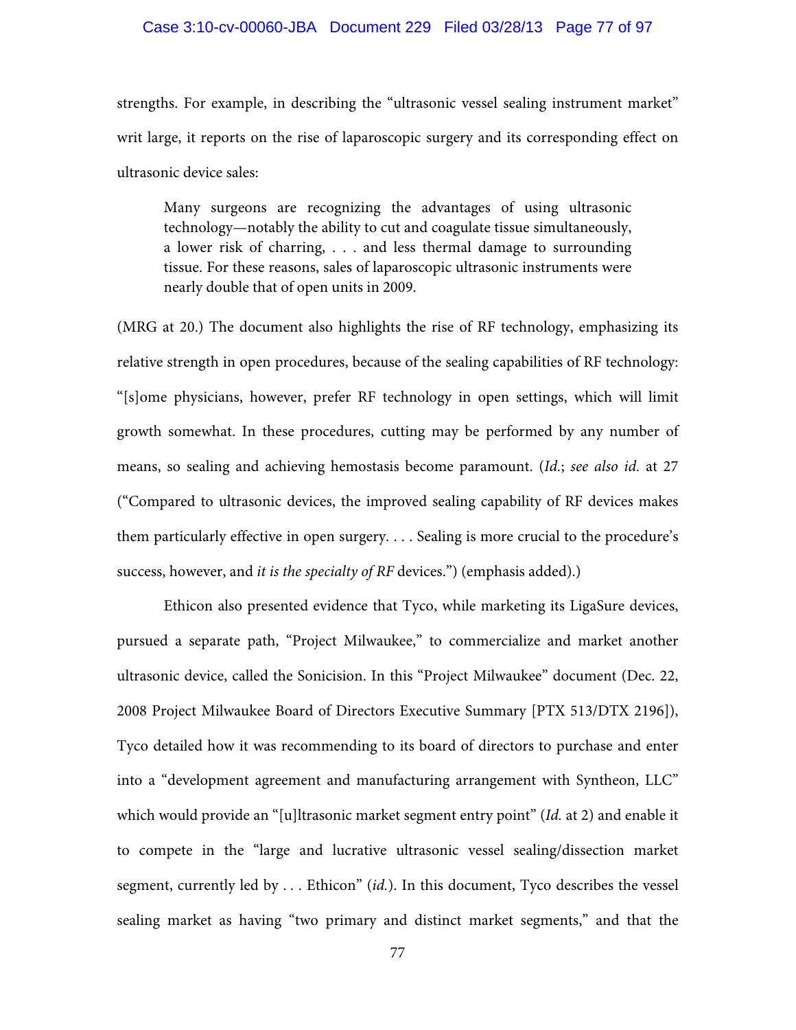### Case 3:10-cv-00060-JBA Document 229 Filed 03/28/13 Page 77 of 97

strengths. For example, in describing the "ultrasonic vessel sealing instrument market" writ large, it reports on the rise of laparoscopic surgery and its corresponding effect on ultrasonic device sales:

Many surgeons are recognizing the advantages of using ultrasonic technology—notably the ability to cut and coagulate tissue simultaneously, a lower risk of charring, . . . and less thermal damage to surrounding tissue. For these reasons, sales of laparoscopic ultrasonic instruments were nearly double that of open units in 2009.

(MRG at 20.) The document also highlights the rise of RF technology, emphasizing its relative strength in open procedures, because of the sealing capabilities of RF technology: "[s]ome physicians, however, prefer RF technology in open settings, which will limit growth somewhat. In these procedures, cutting may be performed by any number of means, so sealing and achieving hemostasis become paramount. (*Id.*; *see also id.* at 27 ("Compared to ultrasonic devices, the improved sealing capability of RF devices makes them particularly effective in open surgery. . . . Sealing is more crucial to the procedure's success, however, and *it is the specialty of RF* devices.") (emphasis added).)

 Ethicon also presented evidence that Tyco, while marketing its LigaSure devices, pursued a separate path, "Project Milwaukee," to commercialize and market another ultrasonic device, called the Sonicision. In this "Project Milwaukee" document (Dec. 22, 2008 Project Milwaukee Board of Directors Executive Summary [PTX 513/DTX 2196]), Tyco detailed how it was recommending to its board of directors to purchase and enter into a "development agreement and manufacturing arrangement with Syntheon, LLC" which would provide an "[u]ltrasonic market segment entry point" (*Id.* at 2) and enable it to compete in the "large and lucrative ultrasonic vessel sealing/dissection market segment, currently led by . . . Ethicon" (*id.*). In this document, Tyco describes the vessel sealing market as having "two primary and distinct market segments," and that the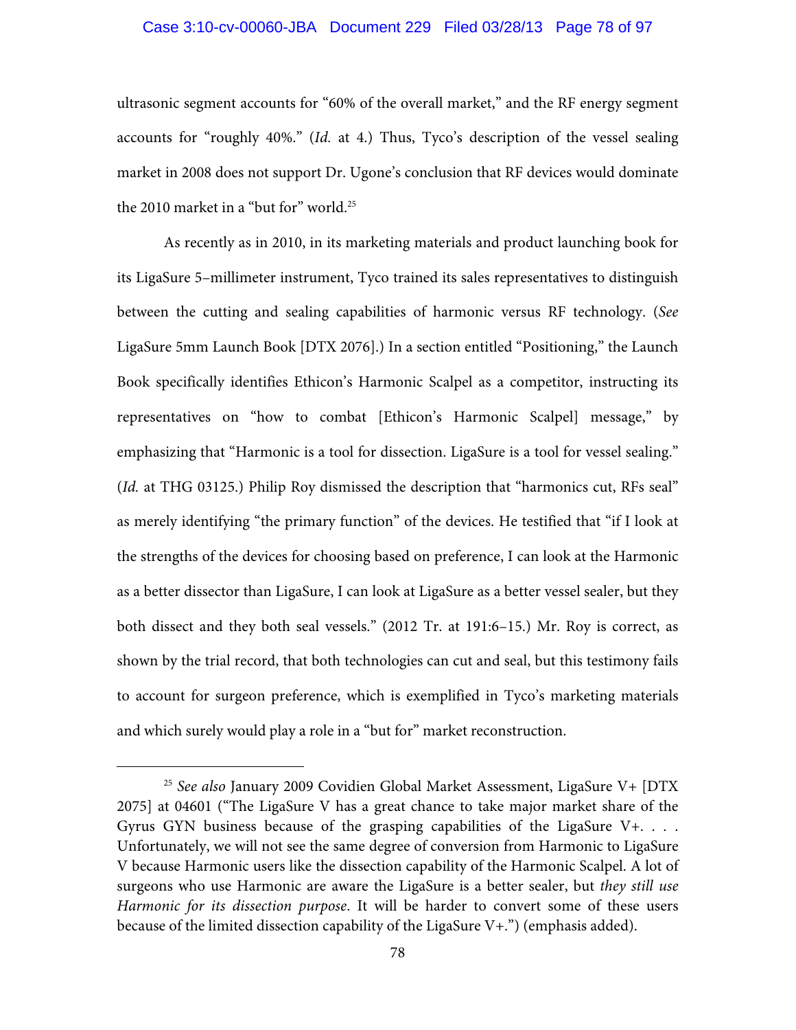### Case 3:10-cv-00060-JBA Document 229 Filed 03/28/13 Page 78 of 97

ultrasonic segment accounts for "60% of the overall market," and the RF energy segment accounts for "roughly 40%." (*Id.* at 4.) Thus, Tyco's description of the vessel sealing market in 2008 does not support Dr. Ugone's conclusion that RF devices would dominate the 2010 market in a "but for" world.<sup>25</sup>

As recently as in 2010, in its marketing materials and product launching book for its LigaSure 5–millimeter instrument, Tyco trained its sales representatives to distinguish between the cutting and sealing capabilities of harmonic versus RF technology. (*See* LigaSure 5mm Launch Book [DTX 2076].) In a section entitled "Positioning," the Launch Book specifically identifies Ethicon's Harmonic Scalpel as a competitor, instructing its representatives on "how to combat [Ethicon's Harmonic Scalpel] message," by emphasizing that "Harmonic is a tool for dissection. LigaSure is a tool for vessel sealing." (*Id.* at THG 03125.) Philip Roy dismissed the description that "harmonics cut, RFs seal" as merely identifying "the primary function" of the devices. He testified that "if I look at the strengths of the devices for choosing based on preference, I can look at the Harmonic as a better dissector than LigaSure, I can look at LigaSure as a better vessel sealer, but they both dissect and they both seal vessels." (2012 Tr. at 191:6–15.) Mr. Roy is correct, as shown by the trial record, that both technologies can cut and seal, but this testimony fails to account for surgeon preference, which is exemplified in Tyco's marketing materials and which surely would play a role in a "but for" market reconstruction.

 <sup>25</sup> *See also* January 2009 Covidien Global Market Assessment, LigaSure V+ [DTX 2075] at 04601 ("The LigaSure V has a great chance to take major market share of the Gyrus GYN business because of the grasping capabilities of the LigaSure  $V_+$ .... Unfortunately, we will not see the same degree of conversion from Harmonic to LigaSure V because Harmonic users like the dissection capability of the Harmonic Scalpel. A lot of surgeons who use Harmonic are aware the LigaSure is a better sealer, but *they still use Harmonic for its dissection purpose*. It will be harder to convert some of these users because of the limited dissection capability of the LigaSure  $V^+$ .") (emphasis added).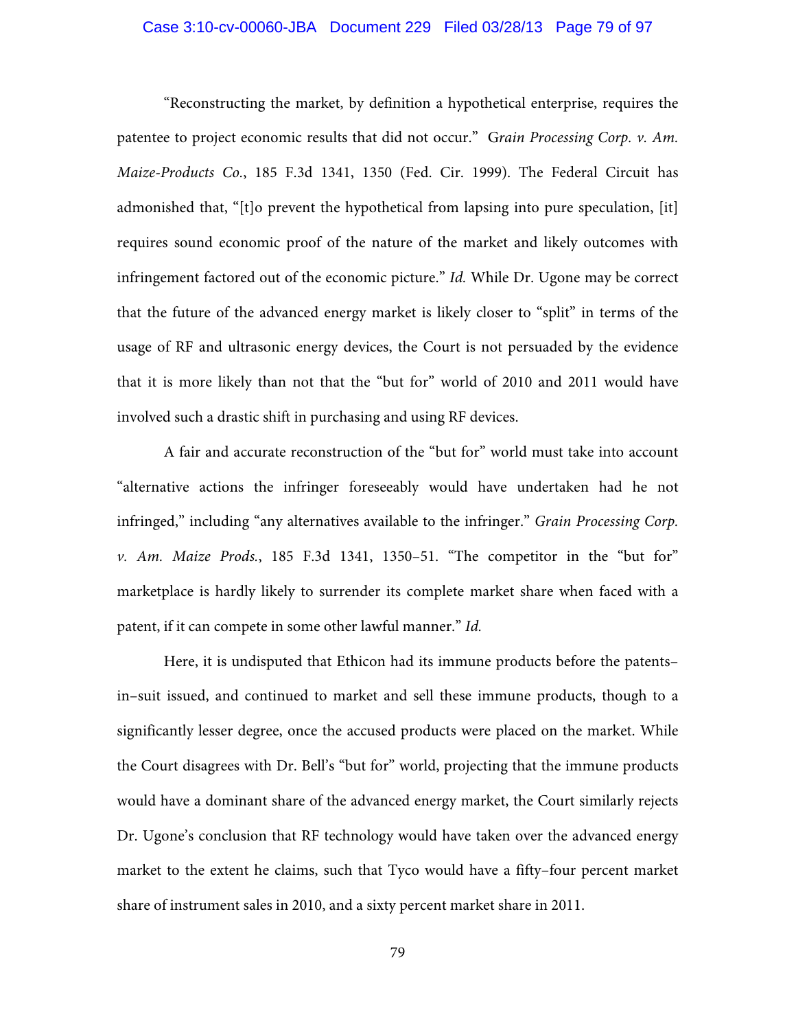## Case 3:10-cv-00060-JBA Document 229 Filed 03/28/13 Page 79 of 97

"Reconstructing the market, by definition a hypothetical enterprise, requires the patentee to project economic results that did not occur." G*rain Processing Corp. v. Am. Maize-Products Co.*, 185 F.3d 1341, 1350 (Fed. Cir. 1999). The Federal Circuit has admonished that, "[t]o prevent the hypothetical from lapsing into pure speculation, [it] requires sound economic proof of the nature of the market and likely outcomes with infringement factored out of the economic picture." *Id.* While Dr. Ugone may be correct that the future of the advanced energy market is likely closer to "split" in terms of the usage of RF and ultrasonic energy devices, the Court is not persuaded by the evidence that it is more likely than not that the "but for" world of 2010 and 2011 would have involved such a drastic shift in purchasing and using RF devices.

A fair and accurate reconstruction of the "but for" world must take into account "alternative actions the infringer foreseeably would have undertaken had he not infringed," including "any alternatives available to the infringer." *Grain Processing Corp. v. Am. Maize Prods.*, 185 F.3d 1341, 1350–51. "The competitor in the "but for" marketplace is hardly likely to surrender its complete market share when faced with a patent, if it can compete in some other lawful manner." *Id.*

Here, it is undisputed that Ethicon had its immune products before the patents– in–suit issued, and continued to market and sell these immune products, though to a significantly lesser degree, once the accused products were placed on the market. While the Court disagrees with Dr. Bell's "but for" world, projecting that the immune products would have a dominant share of the advanced energy market, the Court similarly rejects Dr. Ugone's conclusion that RF technology would have taken over the advanced energy market to the extent he claims, such that Tyco would have a fifty–four percent market share of instrument sales in 2010, and a sixty percent market share in 2011.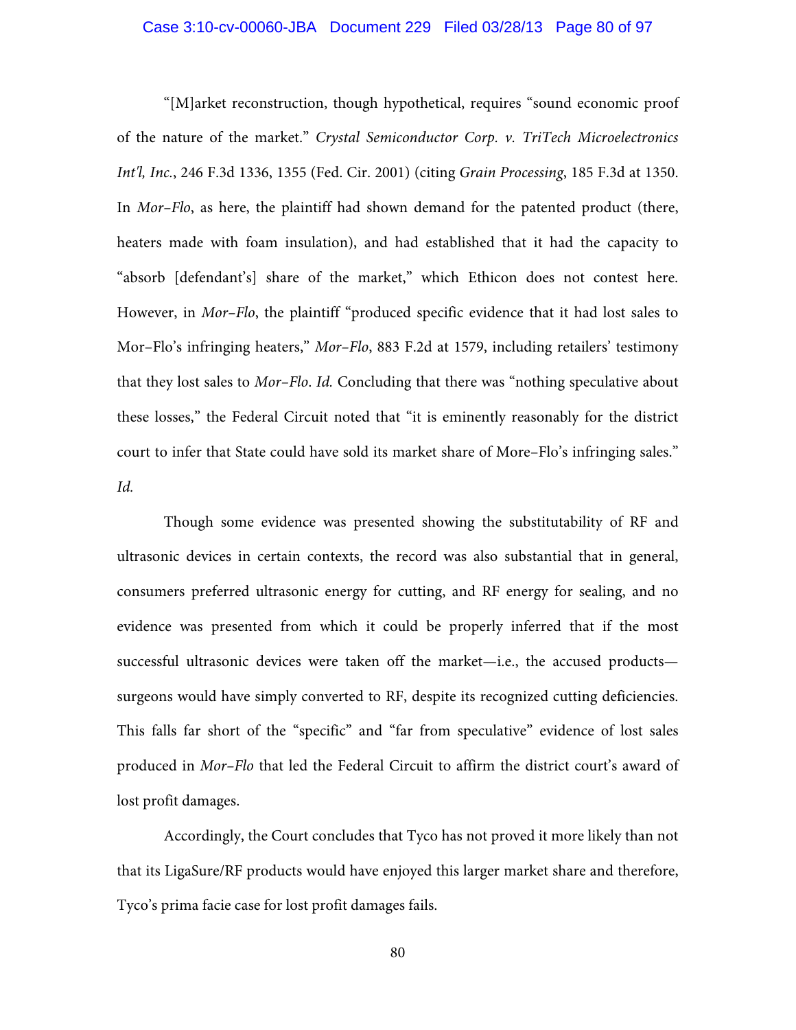## Case 3:10-cv-00060-JBA Document 229 Filed 03/28/13 Page 80 of 97

"[M]arket reconstruction, though hypothetical, requires "sound economic proof of the nature of the market." *Crystal Semiconductor Corp. v. TriTech Microelectronics Int'l, Inc.*, 246 F.3d 1336, 1355 (Fed. Cir. 2001) (citing *Grain Processing*, 185 F.3d at 1350. In *Mor–Flo*, as here, the plaintiff had shown demand for the patented product (there, heaters made with foam insulation), and had established that it had the capacity to "absorb [defendant's] share of the market," which Ethicon does not contest here. However, in *Mor–Flo*, the plaintiff "produced specific evidence that it had lost sales to Mor–Flo's infringing heaters," *Mor–Flo*, 883 F.2d at 1579, including retailers' testimony that they lost sales to *Mor–Flo*. *Id.* Concluding that there was "nothing speculative about these losses," the Federal Circuit noted that "it is eminently reasonably for the district court to infer that State could have sold its market share of More–Flo's infringing sales." *Id.*

Though some evidence was presented showing the substitutability of RF and ultrasonic devices in certain contexts, the record was also substantial that in general, consumers preferred ultrasonic energy for cutting, and RF energy for sealing, and no evidence was presented from which it could be properly inferred that if the most successful ultrasonic devices were taken off the market—i.e., the accused products surgeons would have simply converted to RF, despite its recognized cutting deficiencies. This falls far short of the "specific" and "far from speculative" evidence of lost sales produced in *Mor–Flo* that led the Federal Circuit to affirm the district court's award of lost profit damages.

Accordingly, the Court concludes that Tyco has not proved it more likely than not that its LigaSure/RF products would have enjoyed this larger market share and therefore, Tyco's prima facie case for lost profit damages fails.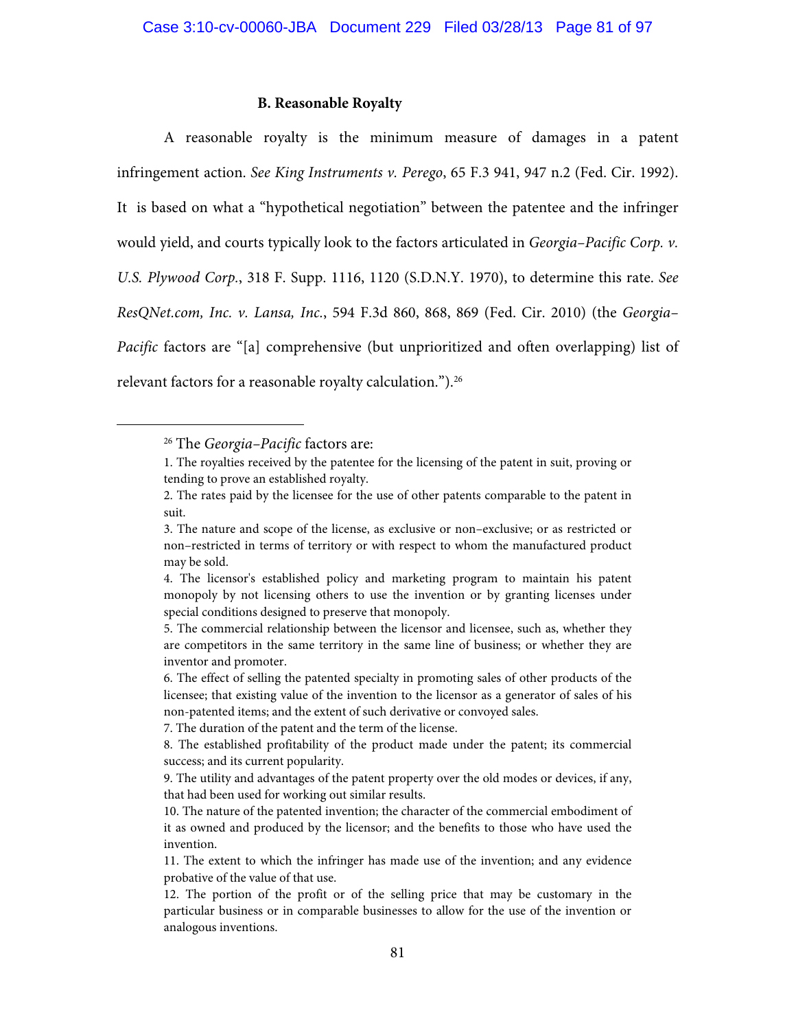### **B. Reasonable Royalty**

A reasonable royalty is the minimum measure of damages in a patent infringement action. *See King Instruments v. Perego*, 65 F.3 941, 947 n.2 (Fed. Cir. 1992). It is based on what a "hypothetical negotiation" between the patentee and the infringer would yield, and courts typically look to the factors articulated in *Georgia–Pacific Corp. v. U.S. Plywood Corp.*, 318 F. Supp. 1116, 1120 (S.D.N.Y. 1970), to determine this rate. *See ResQNet.com, Inc. v. Lansa, Inc.*, 594 F.3d 860, 868, 869 (Fed. Cir. 2010) (the *Georgia– Pacific* factors are "[a] comprehensive (but unprioritized and often overlapping) list of relevant factors for a reasonable royalty calculation.").<sup>26</sup>

 <sup>26</sup> The *Georgia–Pacific* factors are:

<sup>1.</sup> The royalties received by the patentee for the licensing of the patent in suit, proving or tending to prove an established royalty.

<sup>2.</sup> The rates paid by the licensee for the use of other patents comparable to the patent in suit.

<sup>3.</sup> The nature and scope of the license, as exclusive or non–exclusive; or as restricted or non–restricted in terms of territory or with respect to whom the manufactured product may be sold.

<sup>4.</sup> The licensor's established policy and marketing program to maintain his patent monopoly by not licensing others to use the invention or by granting licenses under special conditions designed to preserve that monopoly.

<sup>5.</sup> The commercial relationship between the licensor and licensee, such as, whether they are competitors in the same territory in the same line of business; or whether they are inventor and promoter.

<sup>6.</sup> The effect of selling the patented specialty in promoting sales of other products of the licensee; that existing value of the invention to the licensor as a generator of sales of his non-patented items; and the extent of such derivative or convoyed sales.

<sup>7.</sup> The duration of the patent and the term of the license.

<sup>8.</sup> The established profitability of the product made under the patent; its commercial success; and its current popularity.

<sup>9.</sup> The utility and advantages of the patent property over the old modes or devices, if any, that had been used for working out similar results.

<sup>10.</sup> The nature of the patented invention; the character of the commercial embodiment of it as owned and produced by the licensor; and the benefits to those who have used the invention.

<sup>11.</sup> The extent to which the infringer has made use of the invention; and any evidence probative of the value of that use.

<sup>12.</sup> The portion of the profit or of the selling price that may be customary in the particular business or in comparable businesses to allow for the use of the invention or analogous inventions.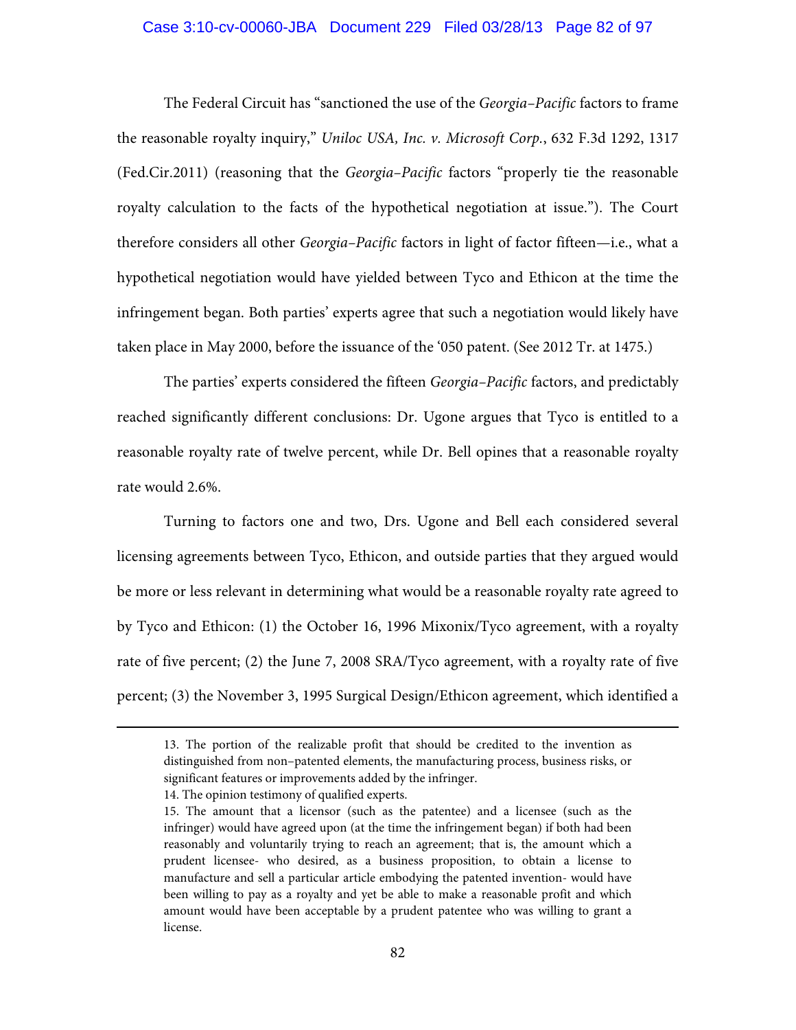### Case 3:10-cv-00060-JBA Document 229 Filed 03/28/13 Page 82 of 97

The Federal Circuit has "sanctioned the use of the *Georgia–Pacific* factors to frame the reasonable royalty inquiry," *Uniloc USA, Inc. v. Microsoft Corp.*, 632 F.3d 1292, 1317 (Fed.Cir.2011) (reasoning that the *Georgia–Pacific* factors "properly tie the reasonable royalty calculation to the facts of the hypothetical negotiation at issue."). The Court therefore considers all other *Georgia–Pacific* factors in light of factor fifteen—i.e., what a hypothetical negotiation would have yielded between Tyco and Ethicon at the time the infringement began. Both parties' experts agree that such a negotiation would likely have taken place in May 2000, before the issuance of the '050 patent. (See 2012 Tr. at 1475.)

The parties' experts considered the fifteen *Georgia–Pacific* factors, and predictably reached significantly different conclusions: Dr. Ugone argues that Tyco is entitled to a reasonable royalty rate of twelve percent, while Dr. Bell opines that a reasonable royalty rate would 2.6%.

Turning to factors one and two, Drs. Ugone and Bell each considered several licensing agreements between Tyco, Ethicon, and outside parties that they argued would be more or less relevant in determining what would be a reasonable royalty rate agreed to by Tyco and Ethicon: (1) the October 16, 1996 Mixonix/Tyco agreement, with a royalty rate of five percent; (2) the June 7, 2008 SRA/Tyco agreement, with a royalty rate of five percent; (3) the November 3, 1995 Surgical Design/Ethicon agreement, which identified a

 $\overline{a}$ 

<sup>13.</sup> The portion of the realizable profit that should be credited to the invention as distinguished from non–patented elements, the manufacturing process, business risks, or significant features or improvements added by the infringer.

<sup>14.</sup> The opinion testimony of qualified experts.

<sup>15.</sup> The amount that a licensor (such as the patentee) and a licensee (such as the infringer) would have agreed upon (at the time the infringement began) if both had been reasonably and voluntarily trying to reach an agreement; that is, the amount which a prudent licensee- who desired, as a business proposition, to obtain a license to manufacture and sell a particular article embodying the patented invention- would have been willing to pay as a royalty and yet be able to make a reasonable profit and which amount would have been acceptable by a prudent patentee who was willing to grant a license.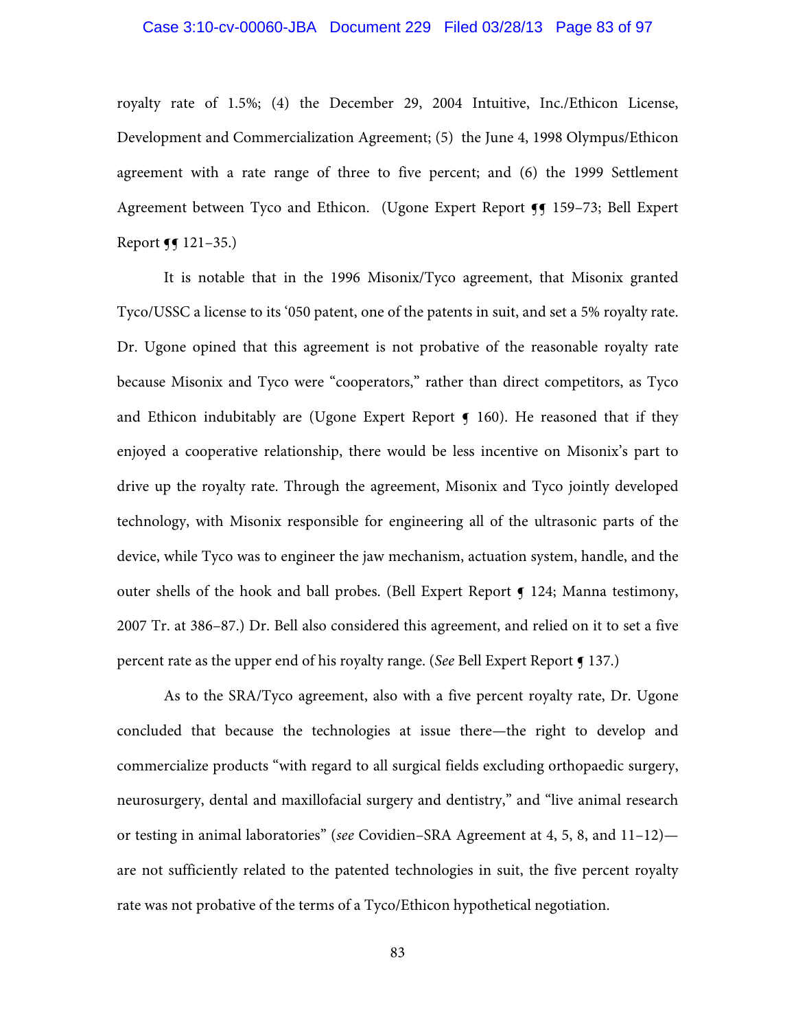## Case 3:10-cv-00060-JBA Document 229 Filed 03/28/13 Page 83 of 97

royalty rate of 1.5%; (4) the December 29, 2004 Intuitive, Inc./Ethicon License, Development and Commercialization Agreement; (5) the June 4, 1998 Olympus/Ethicon agreement with a rate range of three to five percent; and (6) the 1999 Settlement Agreement between Tyco and Ethicon. (Ugone Expert Report ¶¶ 159-73; Bell Expert Report  $\P$  121–35.)

It is notable that in the 1996 Misonix/Tyco agreement, that Misonix granted Tyco/USSC a license to its '050 patent, one of the patents in suit, and set a 5% royalty rate. Dr. Ugone opined that this agreement is not probative of the reasonable royalty rate because Misonix and Tyco were "cooperators," rather than direct competitors, as Tyco and Ethicon indubitably are (Ugone Expert Report  $\epsilon$  160). He reasoned that if they enjoyed a cooperative relationship, there would be less incentive on Misonix's part to drive up the royalty rate. Through the agreement, Misonix and Tyco jointly developed technology, with Misonix responsible for engineering all of the ultrasonic parts of the device, while Tyco was to engineer the jaw mechanism, actuation system, handle, and the outer shells of the hook and ball probes. (Bell Expert Report **[ 124**; Manna testimony, 2007 Tr. at 386–87.) Dr. Bell also considered this agreement, and relied on it to set a five percent rate as the upper end of his royalty range. (*See* Bell Expert Report ¶ 137.)

As to the SRA/Tyco agreement, also with a five percent royalty rate, Dr. Ugone concluded that because the technologies at issue there—the right to develop and commercialize products "with regard to all surgical fields excluding orthopaedic surgery, neurosurgery, dental and maxillofacial surgery and dentistry," and "live animal research or testing in animal laboratories" (*see* Covidien–SRA Agreement at 4, 5, 8, and 11–12) are not sufficiently related to the patented technologies in suit, the five percent royalty rate was not probative of the terms of a Tyco/Ethicon hypothetical negotiation.

83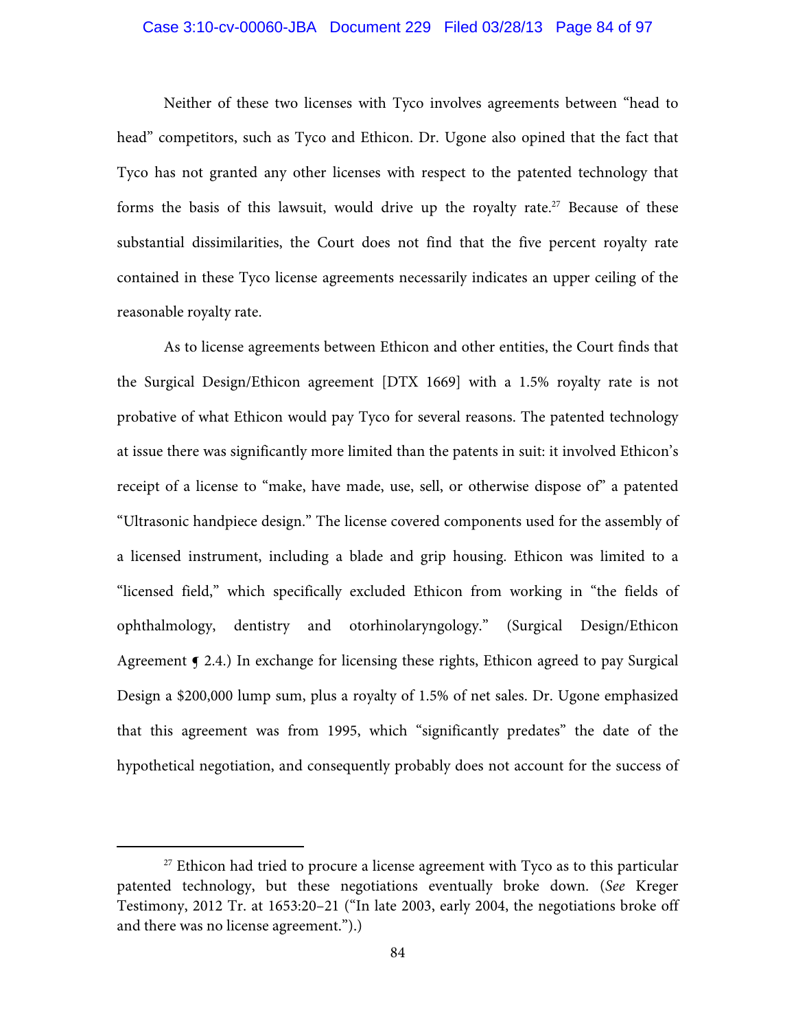## Case 3:10-cv-00060-JBA Document 229 Filed 03/28/13 Page 84 of 97

Neither of these two licenses with Tyco involves agreements between "head to head" competitors, such as Tyco and Ethicon. Dr. Ugone also opined that the fact that Tyco has not granted any other licenses with respect to the patented technology that forms the basis of this lawsuit, would drive up the royalty rate.<sup>27</sup> Because of these substantial dissimilarities, the Court does not find that the five percent royalty rate contained in these Tyco license agreements necessarily indicates an upper ceiling of the reasonable royalty rate.

As to license agreements between Ethicon and other entities, the Court finds that the Surgical Design/Ethicon agreement [DTX 1669] with a 1.5% royalty rate is not probative of what Ethicon would pay Tyco for several reasons. The patented technology at issue there was significantly more limited than the patents in suit: it involved Ethicon's receipt of a license to "make, have made, use, sell, or otherwise dispose of" a patented "Ultrasonic handpiece design." The license covered components used for the assembly of a licensed instrument, including a blade and grip housing. Ethicon was limited to a "licensed field," which specifically excluded Ethicon from working in "the fields of ophthalmology, dentistry and otorhinolaryngology." (Surgical Design/Ethicon Agreement  $\epsilon$  2.4.) In exchange for licensing these rights, Ethicon agreed to pay Surgical Design a \$200,000 lump sum, plus a royalty of 1.5% of net sales. Dr. Ugone emphasized that this agreement was from 1995, which "significantly predates" the date of the hypothetical negotiation, and consequently probably does not account for the success of

 $27$  Ethicon had tried to procure a license agreement with Tyco as to this particular patented technology, but these negotiations eventually broke down. (*See* Kreger Testimony, 2012 Tr. at 1653:20–21 ("In late 2003, early 2004, the negotiations broke off and there was no license agreement.").)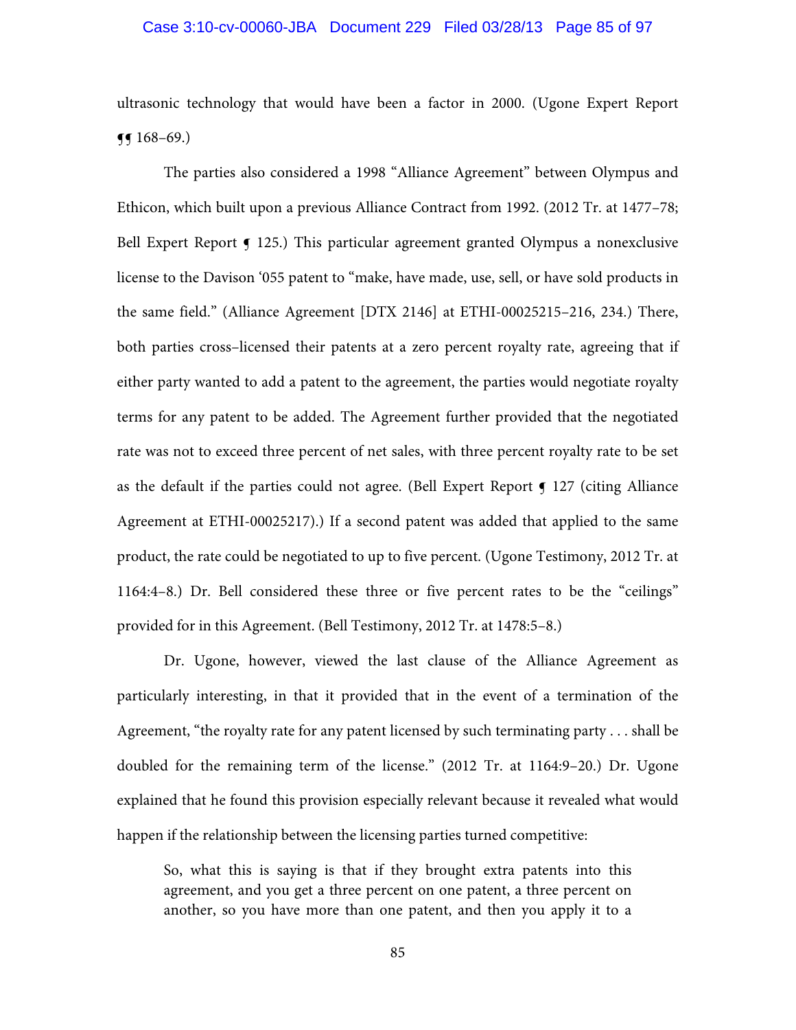### Case 3:10-cv-00060-JBA Document 229 Filed 03/28/13 Page 85 of 97

ultrasonic technology that would have been a factor in 2000. (Ugone Expert Report  $\P(168-69)$ .

The parties also considered a 1998 "Alliance Agreement" between Olympus and Ethicon, which built upon a previous Alliance Contract from 1992. (2012 Tr. at 1477–78; Bell Expert Report  $\bigcirc$  125.) This particular agreement granted Olympus a nonexclusive license to the Davison '055 patent to "make, have made, use, sell, or have sold products in the same field." (Alliance Agreement [DTX 2146] at ETHI-00025215–216, 234.) There, both parties cross–licensed their patents at a zero percent royalty rate, agreeing that if either party wanted to add a patent to the agreement, the parties would negotiate royalty terms for any patent to be added. The Agreement further provided that the negotiated rate was not to exceed three percent of net sales, with three percent royalty rate to be set as the default if the parties could not agree. (Bell Expert Report  $\P$  127 (citing Alliance Agreement at ETHI-00025217).) If a second patent was added that applied to the same product, the rate could be negotiated to up to five percent. (Ugone Testimony, 2012 Tr. at 1164:4–8.) Dr. Bell considered these three or five percent rates to be the "ceilings" provided for in this Agreement. (Bell Testimony, 2012 Tr. at 1478:5–8.)

Dr. Ugone, however, viewed the last clause of the Alliance Agreement as particularly interesting, in that it provided that in the event of a termination of the Agreement, "the royalty rate for any patent licensed by such terminating party . . . shall be doubled for the remaining term of the license." (2012 Tr. at 1164:9–20.) Dr. Ugone explained that he found this provision especially relevant because it revealed what would happen if the relationship between the licensing parties turned competitive:

So, what this is saying is that if they brought extra patents into this agreement, and you get a three percent on one patent, a three percent on another, so you have more than one patent, and then you apply it to a

85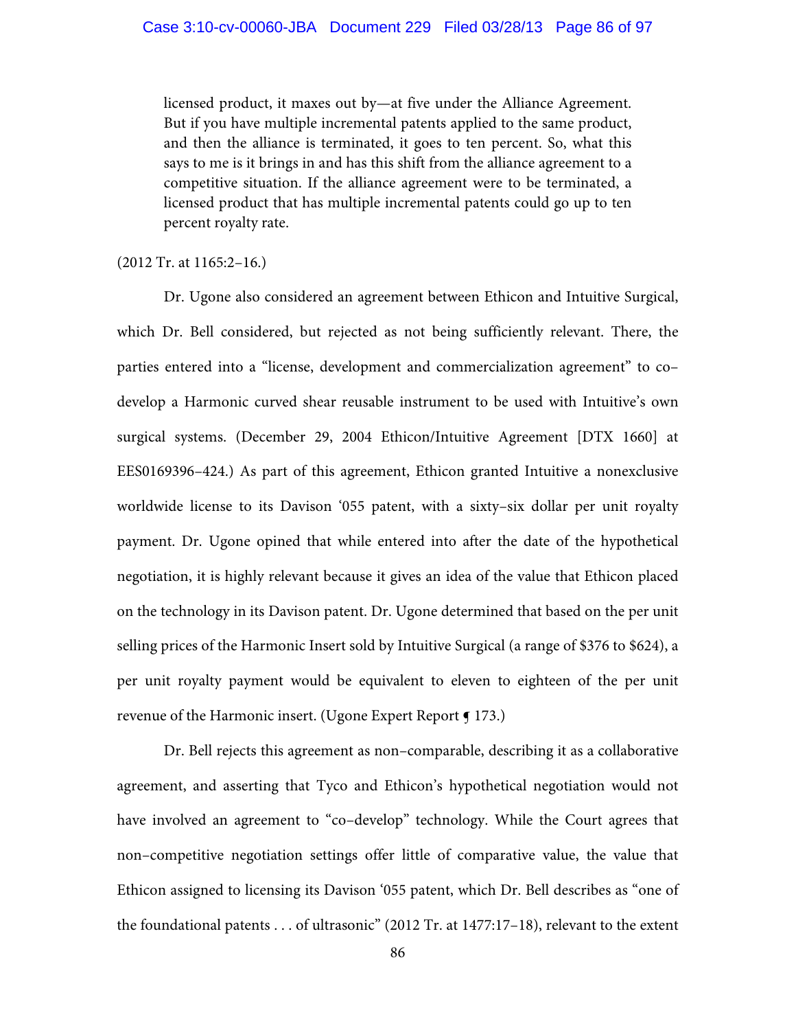licensed product, it maxes out by—at five under the Alliance Agreement. But if you have multiple incremental patents applied to the same product, and then the alliance is terminated, it goes to ten percent. So, what this says to me is it brings in and has this shift from the alliance agreement to a competitive situation. If the alliance agreement were to be terminated, a licensed product that has multiple incremental patents could go up to ten percent royalty rate.

(2012 Tr. at 1165:2–16.)

Dr. Ugone also considered an agreement between Ethicon and Intuitive Surgical, which Dr. Bell considered, but rejected as not being sufficiently relevant. There, the parties entered into a "license, development and commercialization agreement" to co– develop a Harmonic curved shear reusable instrument to be used with Intuitive's own surgical systems. (December 29, 2004 Ethicon/Intuitive Agreement [DTX 1660] at EES0169396–424.) As part of this agreement, Ethicon granted Intuitive a nonexclusive worldwide license to its Davison '055 patent, with a sixty–six dollar per unit royalty payment. Dr. Ugone opined that while entered into after the date of the hypothetical negotiation, it is highly relevant because it gives an idea of the value that Ethicon placed on the technology in its Davison patent. Dr. Ugone determined that based on the per unit selling prices of the Harmonic Insert sold by Intuitive Surgical (a range of \$376 to \$624), a per unit royalty payment would be equivalent to eleven to eighteen of the per unit revenue of the Harmonic insert. (Ugone Expert Report ¶ 173.)

Dr. Bell rejects this agreement as non–comparable, describing it as a collaborative agreement, and asserting that Tyco and Ethicon's hypothetical negotiation would not have involved an agreement to "co–develop" technology. While the Court agrees that non–competitive negotiation settings offer little of comparative value, the value that Ethicon assigned to licensing its Davison '055 patent, which Dr. Bell describes as "one of the foundational patents . . . of ultrasonic" (2012 Tr. at 1477:17–18), relevant to the extent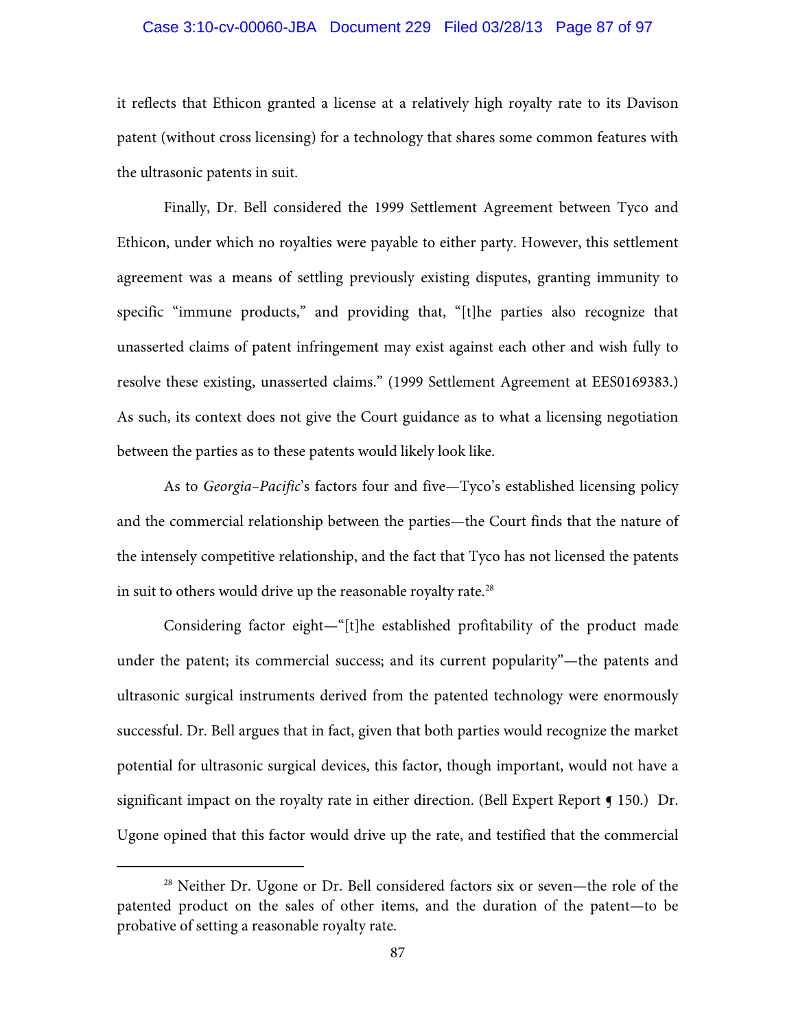## Case 3:10-cv-00060-JBA Document 229 Filed 03/28/13 Page 87 of 97

it reflects that Ethicon granted a license at a relatively high royalty rate to its Davison patent (without cross licensing) for a technology that shares some common features with the ultrasonic patents in suit.

Finally, Dr. Bell considered the 1999 Settlement Agreement between Tyco and Ethicon, under which no royalties were payable to either party. However, this settlement agreement was a means of settling previously existing disputes, granting immunity to specific "immune products," and providing that, "[t]he parties also recognize that unasserted claims of patent infringement may exist against each other and wish fully to resolve these existing, unasserted claims." (1999 Settlement Agreement at EES0169383.) As such, its context does not give the Court guidance as to what a licensing negotiation between the parties as to these patents would likely look like.

As to *Georgia–Pacific*'s factors four and five—Tyco's established licensing policy and the commercial relationship between the parties—the Court finds that the nature of the intensely competitive relationship, and the fact that Tyco has not licensed the patents in suit to others would drive up the reasonable royalty rate.<sup>28</sup>

Considering factor eight—"[t]he established profitability of the product made under the patent; its commercial success; and its current popularity"—the patents and ultrasonic surgical instruments derived from the patented technology were enormously successful. Dr. Bell argues that in fact, given that both parties would recognize the market potential for ultrasonic surgical devices, this factor, though important, would not have a significant impact on the royalty rate in either direction. (Bell Expert Report  $\P$  150.) Dr. Ugone opined that this factor would drive up the rate, and testified that the commercial

<sup>&</sup>lt;sup>28</sup> Neither Dr. Ugone or Dr. Bell considered factors six or seven—the role of the patented product on the sales of other items, and the duration of the patent—to be probative of setting a reasonable royalty rate.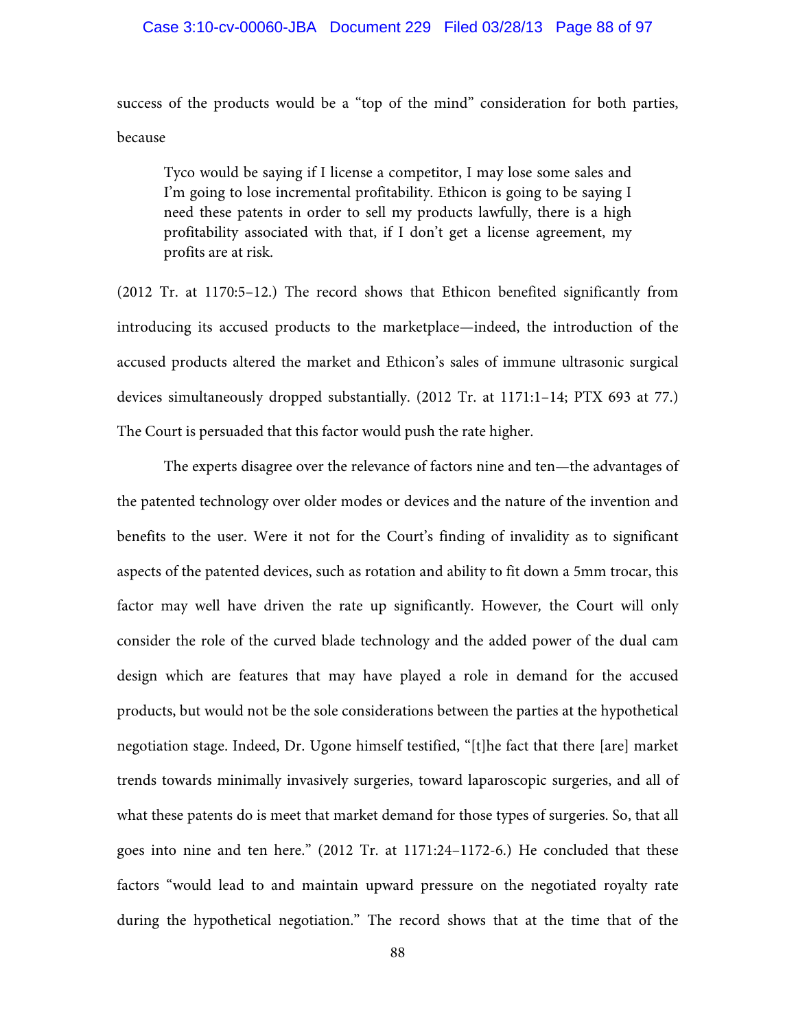success of the products would be a "top of the mind" consideration for both parties, because

Tyco would be saying if I license a competitor, I may lose some sales and I'm going to lose incremental profitability. Ethicon is going to be saying I need these patents in order to sell my products lawfully, there is a high profitability associated with that, if I don't get a license agreement, my profits are at risk.

(2012 Tr. at 1170:5–12.) The record shows that Ethicon benefited significantly from introducing its accused products to the marketplace—indeed, the introduction of the accused products altered the market and Ethicon's sales of immune ultrasonic surgical devices simultaneously dropped substantially. (2012 Tr. at 1171:1–14; PTX 693 at 77.) The Court is persuaded that this factor would push the rate higher.

The experts disagree over the relevance of factors nine and ten—the advantages of the patented technology over older modes or devices and the nature of the invention and benefits to the user. Were it not for the Court's finding of invalidity as to significant aspects of the patented devices, such as rotation and ability to fit down a 5mm trocar, this factor may well have driven the rate up significantly. However*,* the Court will only consider the role of the curved blade technology and the added power of the dual cam design which are features that may have played a role in demand for the accused products, but would not be the sole considerations between the parties at the hypothetical negotiation stage. Indeed, Dr. Ugone himself testified, "[t]he fact that there [are] market trends towards minimally invasively surgeries, toward laparoscopic surgeries, and all of what these patents do is meet that market demand for those types of surgeries. So, that all goes into nine and ten here." (2012 Tr. at 1171:24–1172-6.) He concluded that these factors "would lead to and maintain upward pressure on the negotiated royalty rate during the hypothetical negotiation." The record shows that at the time that of the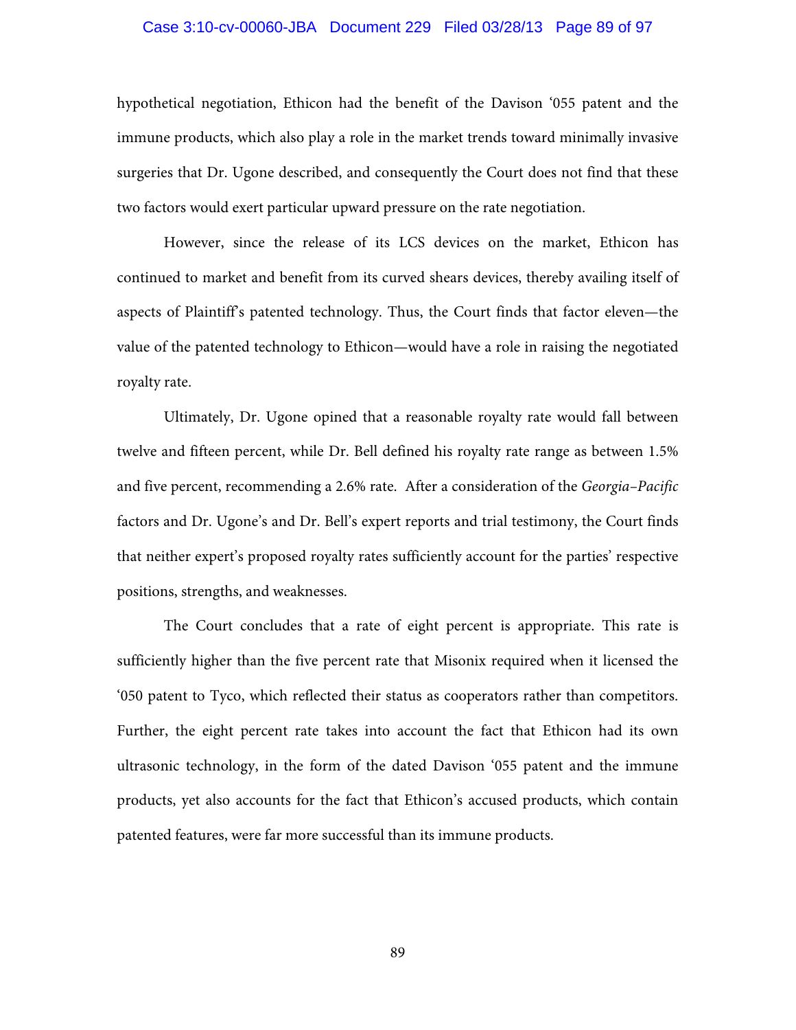## Case 3:10-cv-00060-JBA Document 229 Filed 03/28/13 Page 89 of 97

hypothetical negotiation, Ethicon had the benefit of the Davison '055 patent and the immune products, which also play a role in the market trends toward minimally invasive surgeries that Dr. Ugone described, and consequently the Court does not find that these two factors would exert particular upward pressure on the rate negotiation.

However, since the release of its LCS devices on the market, Ethicon has continued to market and benefit from its curved shears devices, thereby availing itself of aspects of Plaintiff's patented technology. Thus, the Court finds that factor eleven—the value of the patented technology to Ethicon—would have a role in raising the negotiated royalty rate.

Ultimately, Dr. Ugone opined that a reasonable royalty rate would fall between twelve and fifteen percent, while Dr. Bell defined his royalty rate range as between 1.5% and five percent, recommending a 2.6% rate. After a consideration of the *Georgia–Pacific* factors and Dr. Ugone's and Dr. Bell's expert reports and trial testimony, the Court finds that neither expert's proposed royalty rates sufficiently account for the parties' respective positions, strengths, and weaknesses.

The Court concludes that a rate of eight percent is appropriate. This rate is sufficiently higher than the five percent rate that Misonix required when it licensed the '050 patent to Tyco, which reflected their status as cooperators rather than competitors. Further, the eight percent rate takes into account the fact that Ethicon had its own ultrasonic technology, in the form of the dated Davison '055 patent and the immune products, yet also accounts for the fact that Ethicon's accused products, which contain patented features, were far more successful than its immune products.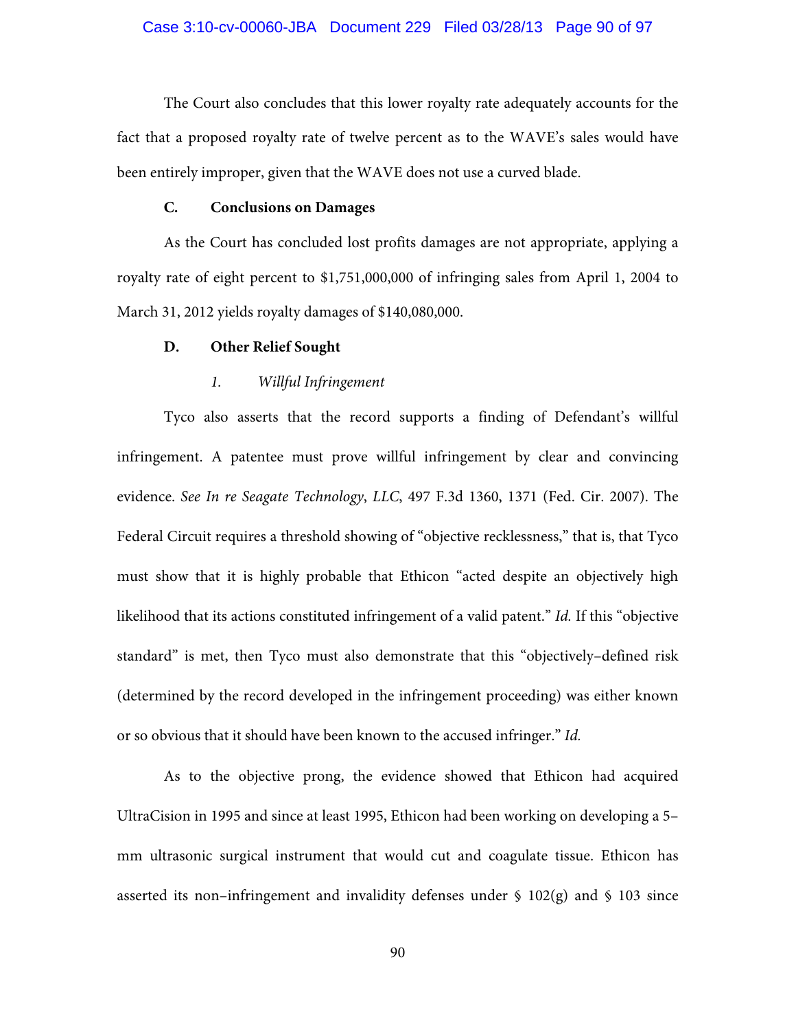The Court also concludes that this lower royalty rate adequately accounts for the fact that a proposed royalty rate of twelve percent as to the WAVE's sales would have been entirely improper, given that the WAVE does not use a curved blade.

## **C. Conclusions on Damages**

As the Court has concluded lost profits damages are not appropriate, applying a royalty rate of eight percent to \$1,751,000,000 of infringing sales from April 1, 2004 to March 31, 2012 yields royalty damages of \$140,080,000.

## **D. Other Relief Sought**

## *1. Willful Infringement*

Tyco also asserts that the record supports a finding of Defendant's willful infringement. A patentee must prove willful infringement by clear and convincing evidence. *See In re Seagate Technology*, *LLC*, 497 F.3d 1360, 1371 (Fed. Cir. 2007). The Federal Circuit requires a threshold showing of "objective recklessness," that is, that Tyco must show that it is highly probable that Ethicon "acted despite an objectively high likelihood that its actions constituted infringement of a valid patent." *Id.* If this "objective standard" is met, then Tyco must also demonstrate that this "objectively–defined risk (determined by the record developed in the infringement proceeding) was either known or so obvious that it should have been known to the accused infringer." *Id.*

As to the objective prong, the evidence showed that Ethicon had acquired UltraCision in 1995 and since at least 1995, Ethicon had been working on developing a 5– mm ultrasonic surgical instrument that would cut and coagulate tissue. Ethicon has asserted its non–infringement and invalidity defenses under § 102(g) and § 103 since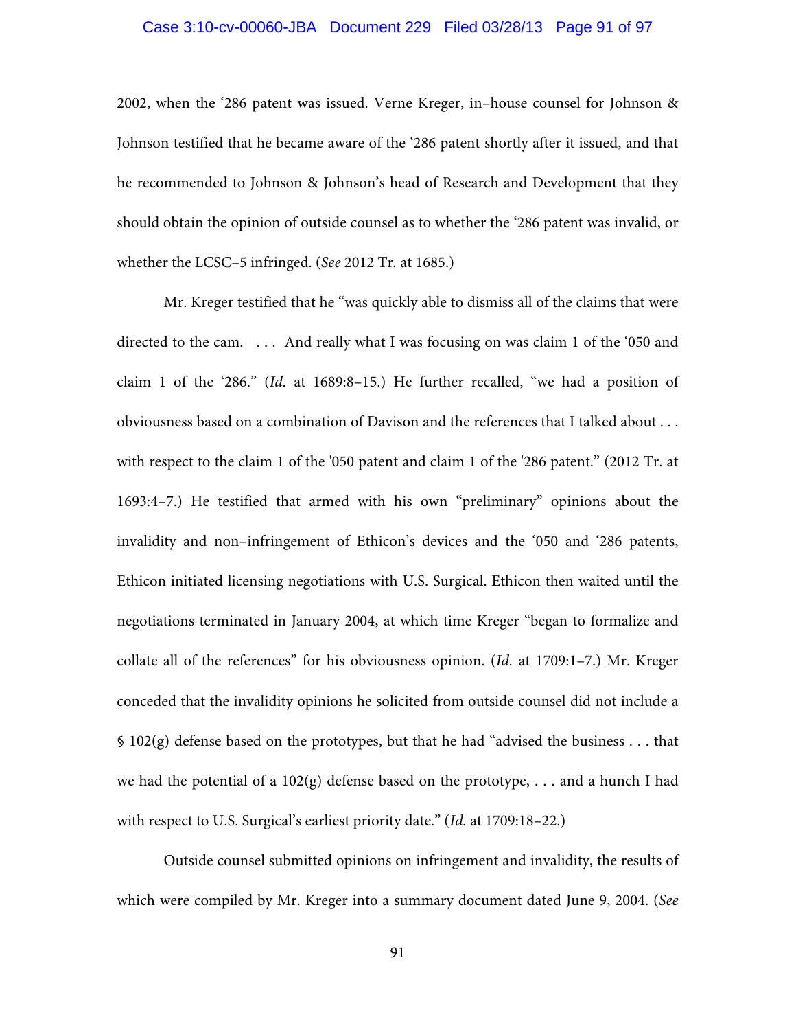# Case 3:10-cv-00060-JBA Document 229 Filed 03/28/13 Page 91 of 97

2002, when the '286 patent was issued. Verne Kreger, in–house counsel for Johnson & Johnson testified that he became aware of the '286 patent shortly after it issued, and that he recommended to Johnson & Johnson's head of Research and Development that they should obtain the opinion of outside counsel as to whether the '286 patent was invalid, or whether the LCSC–5 infringed. (*See* 2012 Tr*.* at 1685.)

Mr. Kreger testified that he "was quickly able to dismiss all of the claims that were directed to the cam. . . . And really what I was focusing on was claim 1 of the '050 and claim 1 of the '286." (*Id.* at 1689:8–15.) He further recalled, "we had a position of obviousness based on a combination of Davison and the references that I talked about . . . with respect to the claim 1 of the '050 patent and claim 1 of the '286 patent." (2012 Tr. at 1693:4–7.) He testified that armed with his own "preliminary" opinions about the invalidity and non–infringement of Ethicon's devices and the '050 and '286 patents, Ethicon initiated licensing negotiations with U.S. Surgical. Ethicon then waited until the negotiations terminated in January 2004, at which time Kreger "began to formalize and collate all of the references" for his obviousness opinion. (*Id.* at 1709:1–7.) Mr. Kreger conceded that the invalidity opinions he solicited from outside counsel did not include a § 102(g) defense based on the prototypes, but that he had "advised the business . . . that we had the potential of a  $102(g)$  defense based on the prototype, ... and a hunch I had with respect to U.S. Surgical's earliest priority date." (*Id.* at 1709:18–22.)

Outside counsel submitted opinions on infringement and invalidity, the results of which were compiled by Mr. Kreger into a summary document dated June 9, 2004. (*See*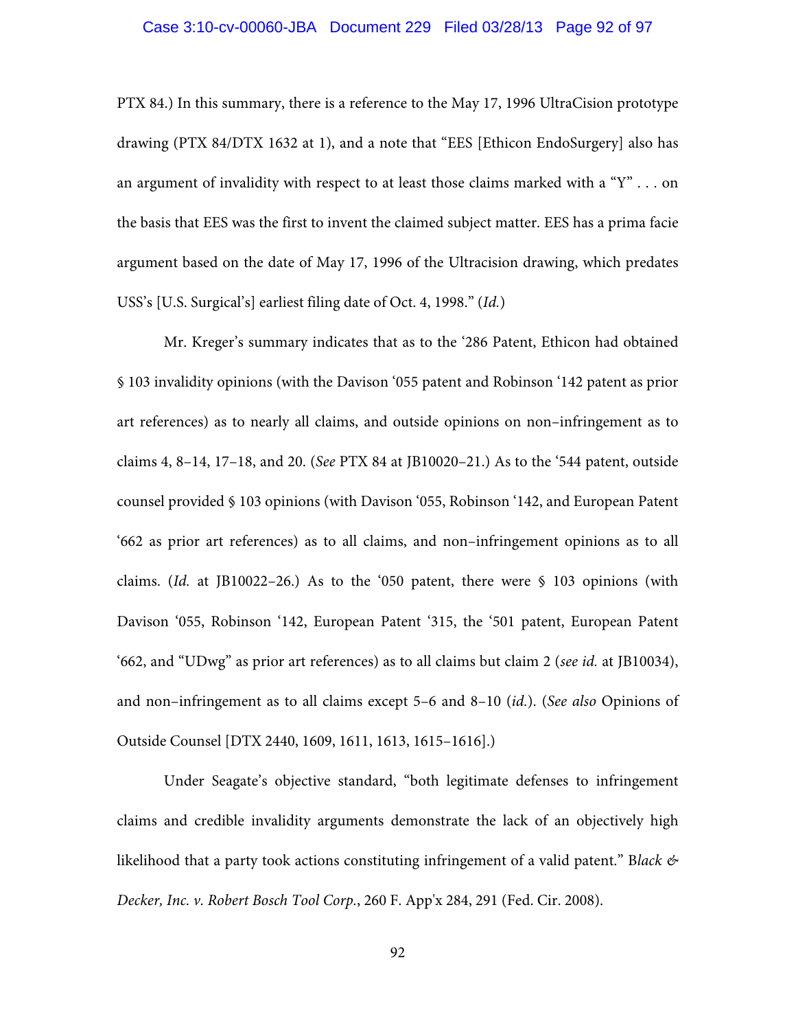# Case 3:10-cv-00060-JBA Document 229 Filed 03/28/13 Page 92 of 97

PTX 84.) In this summary, there is a reference to the May 17, 1996 UltraCision prototype drawing (PTX 84/DTX 1632 at 1), and a note that "EES [Ethicon EndoSurgery] also has an argument of invalidity with respect to at least those claims marked with a "Y" . . . on the basis that EES was the first to invent the claimed subject matter. EES has a prima facie argument based on the date of May 17, 1996 of the Ultracision drawing, which predates USS's [U.S. Surgical's] earliest filing date of Oct. 4, 1998." (*Id.*)

Mr. Kreger's summary indicates that as to the '286 Patent, Ethicon had obtained § 103 invalidity opinions (with the Davison '055 patent and Robinson '142 patent as prior art references) as to nearly all claims, and outside opinions on non–infringement as to claims 4, 8–14, 17–18, and 20. (*See* PTX 84 at JB10020–21.) As to the '544 patent, outside counsel provided § 103 opinions (with Davison '055, Robinson '142, and European Patent '662 as prior art references) as to all claims, and non–infringement opinions as to all claims. (*Id.* at JB10022–26.) As to the '050 patent, there were § 103 opinions (with Davison '055, Robinson '142, European Patent '315, the '501 patent, European Patent '662, and "UDwg" as prior art references) as to all claims but claim 2 (*see id.* at JB10034), and non–infringement as to all claims except 5–6 and 8–10 (*id.*). (*See also* Opinions of Outside Counsel [DTX 2440, 1609, 1611, 1613, 1615–1616].)

Under Seagate's objective standard, "both legitimate defenses to infringement claims and credible invalidity arguments demonstrate the lack of an objectively high likelihood that a party took actions constituting infringement of a valid patent." B*lack & Decker, Inc. v. Robert Bosch Tool Corp.*, 260 F. App'x 284, 291 (Fed. Cir. 2008).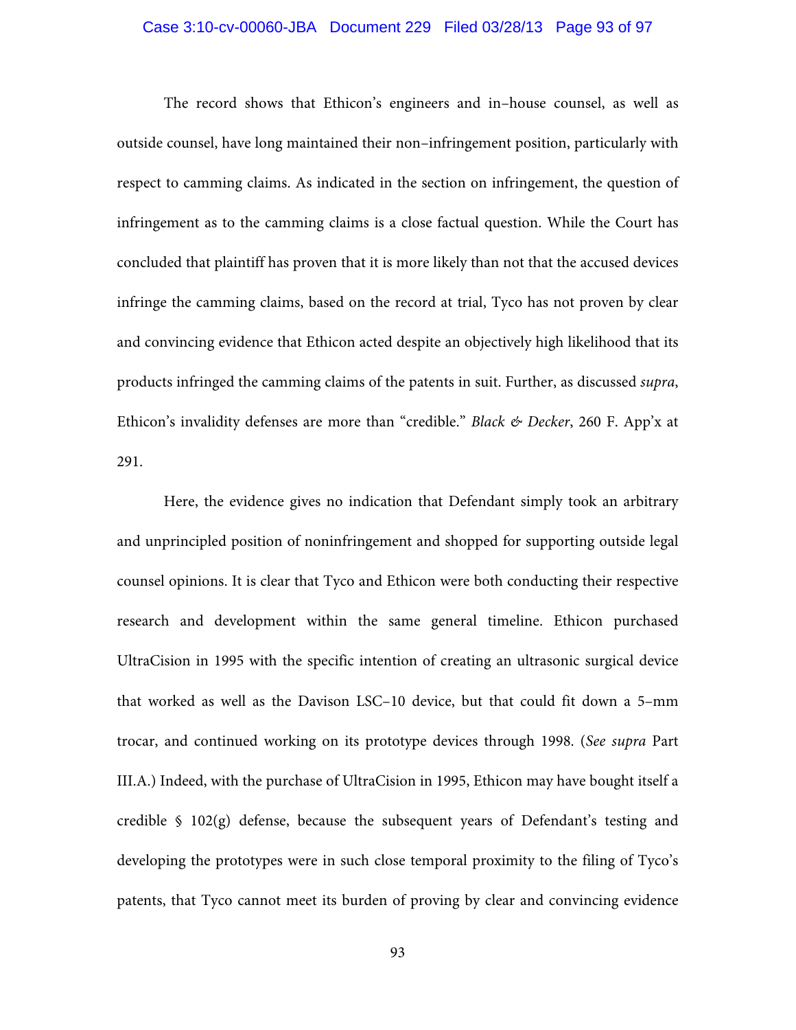## Case 3:10-cv-00060-JBA Document 229 Filed 03/28/13 Page 93 of 97

The record shows that Ethicon's engineers and in–house counsel, as well as outside counsel, have long maintained their non–infringement position, particularly with respect to camming claims. As indicated in the section on infringement, the question of infringement as to the camming claims is a close factual question. While the Court has concluded that plaintiff has proven that it is more likely than not that the accused devices infringe the camming claims, based on the record at trial, Tyco has not proven by clear and convincing evidence that Ethicon acted despite an objectively high likelihood that its products infringed the camming claims of the patents in suit. Further, as discussed *supra*, Ethicon's invalidity defenses are more than "credible." *Black & Decker*, 260 F. App'x at 291.

Here, the evidence gives no indication that Defendant simply took an arbitrary and unprincipled position of noninfringement and shopped for supporting outside legal counsel opinions. It is clear that Tyco and Ethicon were both conducting their respective research and development within the same general timeline. Ethicon purchased UltraCision in 1995 with the specific intention of creating an ultrasonic surgical device that worked as well as the Davison LSC–10 device, but that could fit down a 5–mm trocar, and continued working on its prototype devices through 1998. (*See supra* Part III.A.) Indeed, with the purchase of UltraCision in 1995, Ethicon may have bought itself a credible  $\S$  102(g) defense, because the subsequent years of Defendant's testing and developing the prototypes were in such close temporal proximity to the filing of Tyco's patents, that Tyco cannot meet its burden of proving by clear and convincing evidence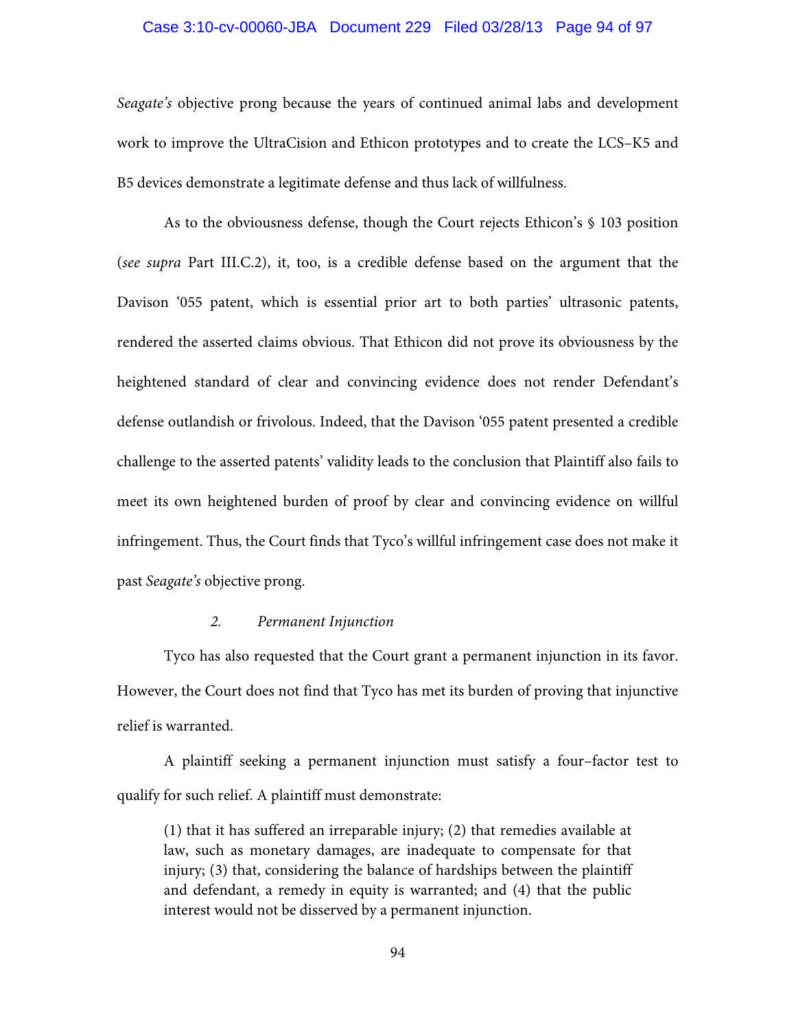### Case 3:10-cv-00060-JBA Document 229 Filed 03/28/13 Page 94 of 97

*Seagate's* objective prong because the years of continued animal labs and development work to improve the UltraCision and Ethicon prototypes and to create the LCS–K5 and B5 devices demonstrate a legitimate defense and thus lack of willfulness.

As to the obviousness defense, though the Court rejects Ethicon's § 103 position (*see supra* Part III.C.2), it, too, is a credible defense based on the argument that the Davison '055 patent, which is essential prior art to both parties' ultrasonic patents, rendered the asserted claims obvious. That Ethicon did not prove its obviousness by the heightened standard of clear and convincing evidence does not render Defendant's defense outlandish or frivolous. Indeed, that the Davison '055 patent presented a credible challenge to the asserted patents' validity leads to the conclusion that Plaintiff also fails to meet its own heightened burden of proof by clear and convincing evidence on willful infringement. Thus, the Court finds that Tyco's willful infringement case does not make it past *Seagate's* objective prong.

## *2. Permanent Injunction*

Tyco has also requested that the Court grant a permanent injunction in its favor. However, the Court does not find that Tyco has met its burden of proving that injunctive relief is warranted.

A plaintiff seeking a permanent injunction must satisfy a four–factor test to qualify for such relief. A plaintiff must demonstrate:

(1) that it has suffered an irreparable injury; (2) that remedies available at law, such as monetary damages, are inadequate to compensate for that injury; (3) that, considering the balance of hardships between the plaintiff and defendant, a remedy in equity is warranted; and (4) that the public interest would not be disserved by a permanent injunction.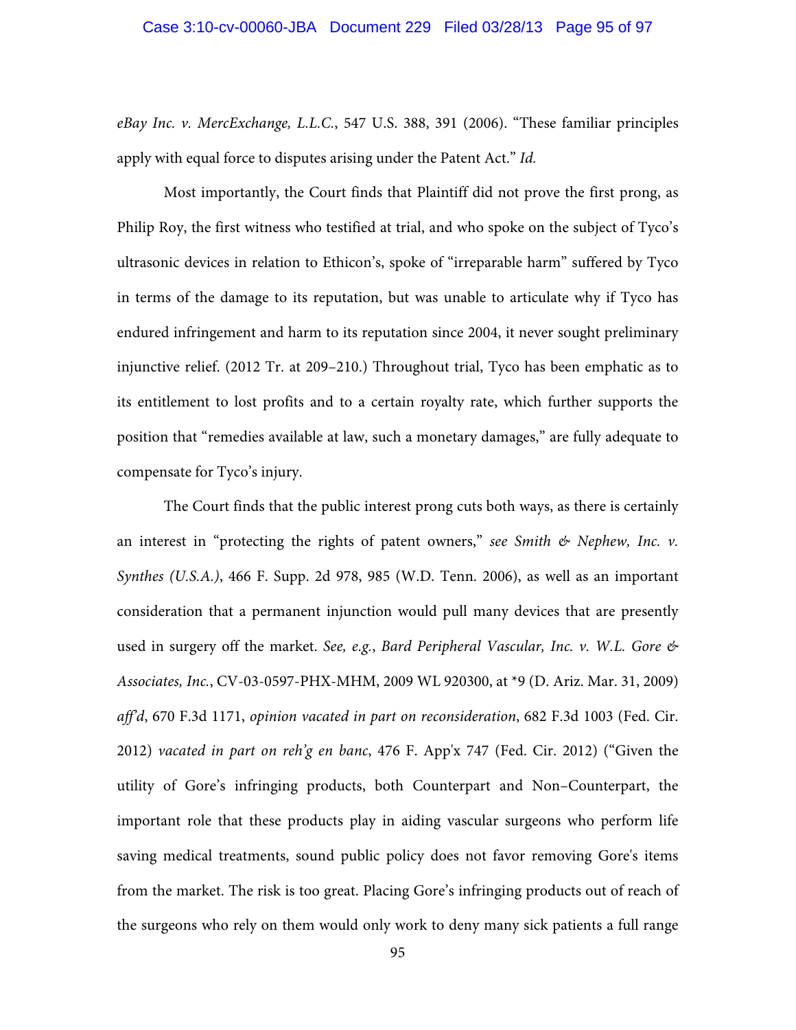*eBay Inc. v. MercExchange, L.L.C.*, 547 U.S. 388, 391 (2006). "These familiar principles apply with equal force to disputes arising under the Patent Act." *Id.*

Most importantly, the Court finds that Plaintiff did not prove the first prong, as Philip Roy, the first witness who testified at trial, and who spoke on the subject of Tyco's ultrasonic devices in relation to Ethicon's, spoke of "irreparable harm" suffered by Tyco in terms of the damage to its reputation, but was unable to articulate why if Tyco has endured infringement and harm to its reputation since 2004, it never sought preliminary injunctive relief. (2012 Tr. at 209–210.) Throughout trial, Tyco has been emphatic as to its entitlement to lost profits and to a certain royalty rate, which further supports the position that "remedies available at law, such a monetary damages," are fully adequate to compensate for Tyco's injury.

The Court finds that the public interest prong cuts both ways, as there is certainly an interest in "protecting the rights of patent owners," *see Smith & Nephew, Inc. v. Synthes (U.S.A.)*, 466 F. Supp. 2d 978, 985 (W.D. Tenn. 2006), as well as an important consideration that a permanent injunction would pull many devices that are presently used in surgery off the market. *See, e.g.*, *Bard Peripheral Vascular, Inc. v. W.L. Gore & Associates, Inc.*, CV-03-0597-PHX-MHM, 2009 WL 920300, at \*9 (D. Ariz. Mar. 31, 2009) *aff'd*, 670 F.3d 1171, *opinion vacated in part on reconsideration*, 682 F.3d 1003 (Fed. Cir. 2012) *vacated in part on reh'g en banc*, 476 F. App'x 747 (Fed. Cir. 2012) ("Given the utility of Gore's infringing products, both Counterpart and Non–Counterpart, the important role that these products play in aiding vascular surgeons who perform life saving medical treatments, sound public policy does not favor removing Gore's items from the market. The risk is too great. Placing Gore's infringing products out of reach of the surgeons who rely on them would only work to deny many sick patients a full range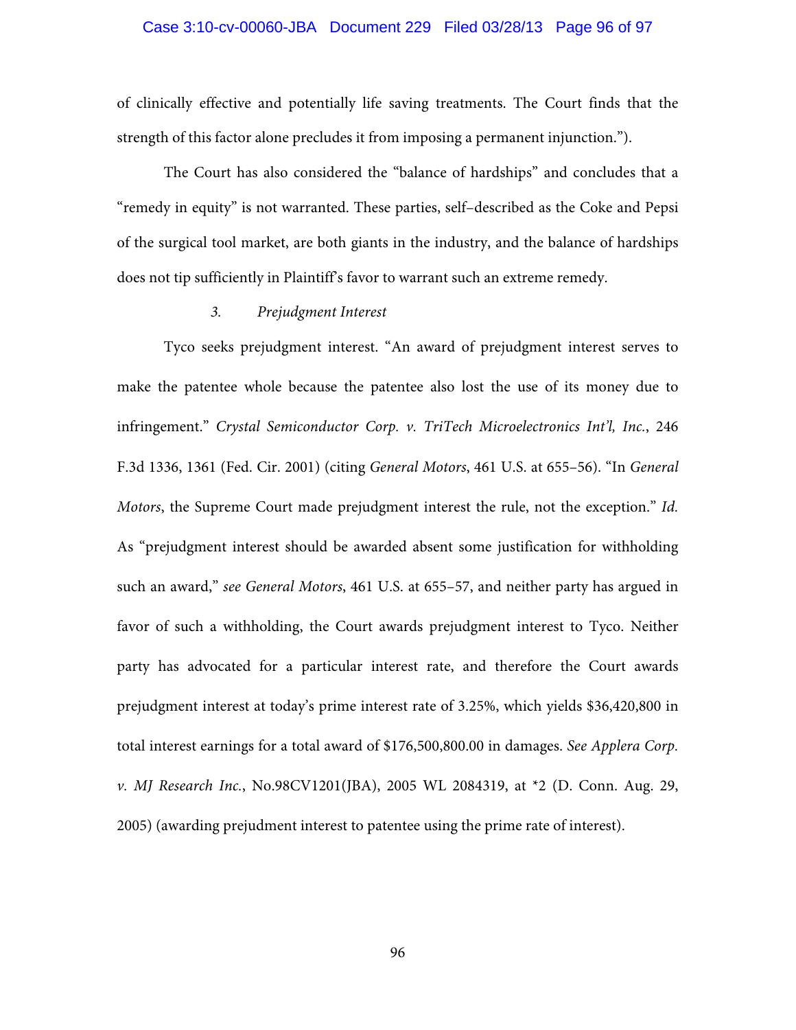## Case 3:10-cv-00060-JBA Document 229 Filed 03/28/13 Page 96 of 97

of clinically effective and potentially life saving treatments. The Court finds that the strength of this factor alone precludes it from imposing a permanent injunction.").

The Court has also considered the "balance of hardships" and concludes that a "remedy in equity" is not warranted. These parties, self–described as the Coke and Pepsi of the surgical tool market, are both giants in the industry, and the balance of hardships does not tip sufficiently in Plaintiff's favor to warrant such an extreme remedy.

### *3. Prejudgment Interest*

Tyco seeks prejudgment interest. "An award of prejudgment interest serves to make the patentee whole because the patentee also lost the use of its money due to infringement." *Crystal Semiconductor Corp. v. TriTech Microelectronics Int'l, Inc.*, 246 F.3d 1336, 1361 (Fed. Cir. 2001) (citing *General Motors*, 461 U.S. at 655–56). "In *General Motors*, the Supreme Court made prejudgment interest the rule, not the exception." *Id.*  As "prejudgment interest should be awarded absent some justification for withholding such an award," *see General Motors*, 461 U.S. at 655–57, and neither party has argued in favor of such a withholding, the Court awards prejudgment interest to Tyco. Neither party has advocated for a particular interest rate, and therefore the Court awards prejudgment interest at today's prime interest rate of 3.25%, which yields \$36,420,800 in total interest earnings for a total award of \$176,500,800.00 in damages. *See Applera Corp. v. MJ Research Inc.*, No.98CV1201(JBA), 2005 WL 2084319, at \*2 (D. Conn. Aug. 29, 2005) (awarding prejudment interest to patentee using the prime rate of interest).